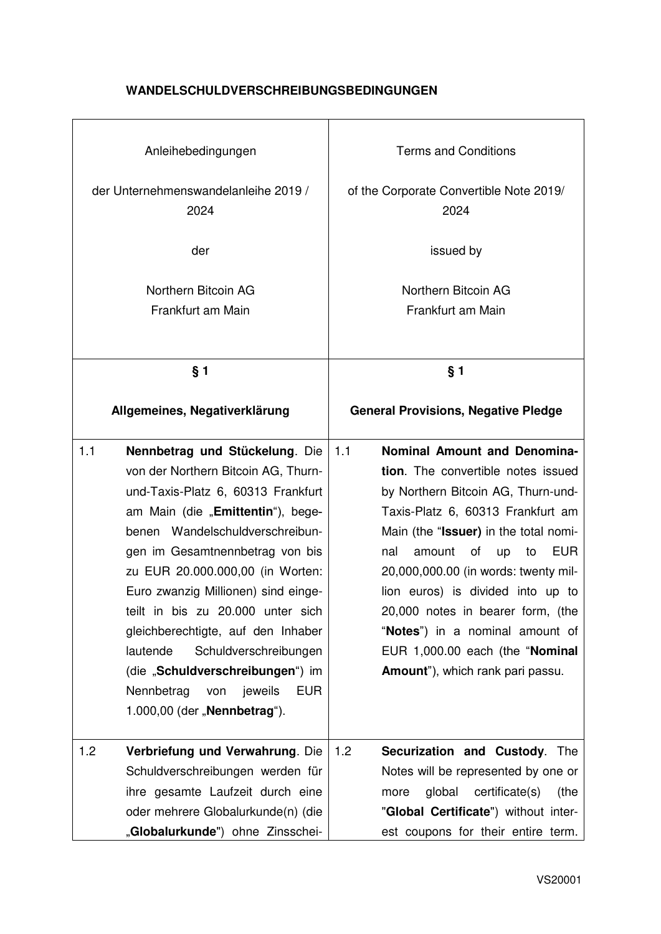## **WANDELSCHULDVERSCHREIBUNGSBEDINGUNGEN**

| Anleihebedingungen<br>der Unternehmenswandelanleihe 2019 /<br>2024 |                                                                                                                                                                                                                                                                                                                                                                                                                                                                                                                                     | <b>Terms and Conditions</b><br>of the Corporate Convertible Note 2019/<br>2024 |                                                                                                                                                                                                                                                                                                                                                                                                                                                                     |  |
|--------------------------------------------------------------------|-------------------------------------------------------------------------------------------------------------------------------------------------------------------------------------------------------------------------------------------------------------------------------------------------------------------------------------------------------------------------------------------------------------------------------------------------------------------------------------------------------------------------------------|--------------------------------------------------------------------------------|---------------------------------------------------------------------------------------------------------------------------------------------------------------------------------------------------------------------------------------------------------------------------------------------------------------------------------------------------------------------------------------------------------------------------------------------------------------------|--|
| der                                                                |                                                                                                                                                                                                                                                                                                                                                                                                                                                                                                                                     |                                                                                | issued by                                                                                                                                                                                                                                                                                                                                                                                                                                                           |  |
|                                                                    | Northern Bitcoin AG                                                                                                                                                                                                                                                                                                                                                                                                                                                                                                                 |                                                                                | Northern Bitcoin AG                                                                                                                                                                                                                                                                                                                                                                                                                                                 |  |
|                                                                    | Frankfurt am Main                                                                                                                                                                                                                                                                                                                                                                                                                                                                                                                   |                                                                                | Frankfurt am Main                                                                                                                                                                                                                                                                                                                                                                                                                                                   |  |
|                                                                    |                                                                                                                                                                                                                                                                                                                                                                                                                                                                                                                                     |                                                                                |                                                                                                                                                                                                                                                                                                                                                                                                                                                                     |  |
|                                                                    | § 1                                                                                                                                                                                                                                                                                                                                                                                                                                                                                                                                 |                                                                                | § 1                                                                                                                                                                                                                                                                                                                                                                                                                                                                 |  |
|                                                                    | Allgemeines, Negativerklärung                                                                                                                                                                                                                                                                                                                                                                                                                                                                                                       |                                                                                | <b>General Provisions, Negative Pledge</b>                                                                                                                                                                                                                                                                                                                                                                                                                          |  |
| 1.1                                                                | Nennbetrag und Stückelung. Die<br>von der Northern Bitcoin AG, Thurn-<br>und-Taxis-Platz 6, 60313 Frankfurt<br>am Main (die "Emittentin"), bege-<br>benen Wandelschuldverschreibun-<br>gen im Gesamtnennbetrag von bis<br>zu EUR 20.000.000,00 (in Worten:<br>Euro zwanzig Millionen) sind einge-<br>teilt in bis zu 20.000 unter sich<br>gleichberechtigte, auf den Inhaber<br>lautende<br>Schuldverschreibungen<br>(die "Schuldverschreibungen") im<br>Nennbetrag<br>jeweils<br><b>EUR</b><br>von<br>1.000,00 (der "Nennbetrag"). | 1.1                                                                            | Nominal Amount and Denomina-<br>tion. The convertible notes issued<br>by Northern Bitcoin AG, Thurn-und-<br>Taxis-Platz 6, 60313 Frankfurt am<br>Main (the "Issuer) in the total nomi-<br>amount<br>of<br><b>EUR</b><br>nal<br>up<br>to<br>20,000,000.00 (in words: twenty mil-<br>lion euros) is divided into up to<br>20,000 notes in bearer form, (the<br>"Notes") in a nominal amount of<br>EUR 1,000.00 each (the "Nominal<br>Amount"), which rank pari passu. |  |
| 1.2                                                                | Verbriefung und Verwahrung. Die<br>Schuldverschreibungen werden für<br>ihre gesamte Laufzeit durch eine<br>oder mehrere Globalurkunde(n) (die<br>"Globalurkunde") ohne Zinsschei-                                                                                                                                                                                                                                                                                                                                                   | 1.2                                                                            | Securization and Custody.<br>The<br>Notes will be represented by one or<br>certificate(s)<br>global<br>more<br>(the<br>"Global Certificate") without inter-<br>est coupons for their entire term.                                                                                                                                                                                                                                                                   |  |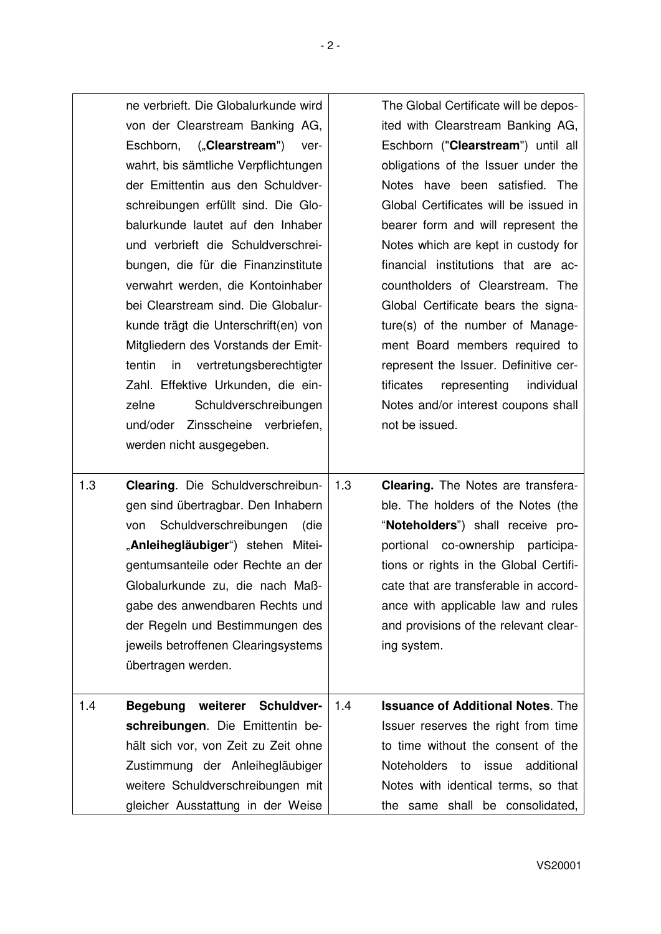| ne verbrieft. Die Globalurkunde wird<br>von der Clearstream Banking AG,<br>Eschborn, ("Clearstream")<br>ver-<br>wahrt, bis sämtliche Verpflichtungen<br>der Emittentin aus den Schuldver-<br>schreibungen erfüllt sind. Die Glo-<br>balurkunde lautet auf den Inhaber<br>und verbrieft die Schuldverschrei-<br>bungen, die für die Finanzinstitute<br>verwahrt werden, die Kontoinhaber<br>bei Clearstream sind. Die Globalur-<br>kunde trägt die Unterschrift(en) von<br>Mitgliedern des Vorstands der Emit-<br>tentin<br>in vertretungsberechtigter<br>Zahl. Effektive Urkunden, die ein-<br>Schuldverschreibungen<br>zelne<br>und/oder Zinsscheine verbriefen,<br>werden nicht ausgegeben. | The Global Certificate will be depos-<br>ited with Clearstream Banking AG,<br>Eschborn ("Clearstream") until all<br>obligations of the Issuer under the<br>Notes have been satisfied. The<br>Global Certificates will be issued in<br>bearer form and will represent the<br>Notes which are kept in custody for<br>financial institutions that are ac-<br>countholders of Clearstream. The<br>Global Certificate bears the signa-<br>ture(s) of the number of Manage-<br>ment Board members required to<br>represent the Issuer. Definitive cer-<br>representing<br>individual<br>tificates<br>Notes and/or interest coupons shall<br>not be issued. |
|-----------------------------------------------------------------------------------------------------------------------------------------------------------------------------------------------------------------------------------------------------------------------------------------------------------------------------------------------------------------------------------------------------------------------------------------------------------------------------------------------------------------------------------------------------------------------------------------------------------------------------------------------------------------------------------------------|------------------------------------------------------------------------------------------------------------------------------------------------------------------------------------------------------------------------------------------------------------------------------------------------------------------------------------------------------------------------------------------------------------------------------------------------------------------------------------------------------------------------------------------------------------------------------------------------------------------------------------------------------|
| 1.3<br><b>Clearing.</b> Die Schuldverschreibun-<br>gen sind übertragbar. Den Inhabern<br>Schuldverschreibungen<br>von<br>(die<br>"Anleihegläubiger") stehen Mitei-<br>gentumsanteile oder Rechte an der<br>Globalurkunde zu, die nach Maß-<br>gabe des anwendbaren Rechts und<br>der Regeln und Bestimmungen des<br>jeweils betroffenen Clearingsystems<br>übertragen werden.                                                                                                                                                                                                                                                                                                                 | 1.3<br><b>Clearing.</b> The Notes are transfera-<br>ble. The holders of the Notes (the<br>"Noteholders") shall receive pro-<br>portional co-ownership participa-<br>tions or rights in the Global Certifi-<br>cate that are transferable in accord-<br>ance with applicable law and rules<br>and provisions of the relevant clear-<br>ing system.                                                                                                                                                                                                                                                                                                    |
| weiterer Schuldver-<br>1.4<br>Begebung<br>schreibungen. Die Emittentin be-<br>hält sich vor, von Zeit zu Zeit ohne<br>Zustimmung der Anleihegläubiger<br>weitere Schuldverschreibungen mit<br>gleicher Ausstattung in der Weise                                                                                                                                                                                                                                                                                                                                                                                                                                                               | <b>Issuance of Additional Notes. The</b><br>1.4<br>Issuer reserves the right from time<br>to time without the consent of the<br>Noteholders to issue<br>additional<br>Notes with identical terms, so that<br>the same shall be consolidated,                                                                                                                                                                                                                                                                                                                                                                                                         |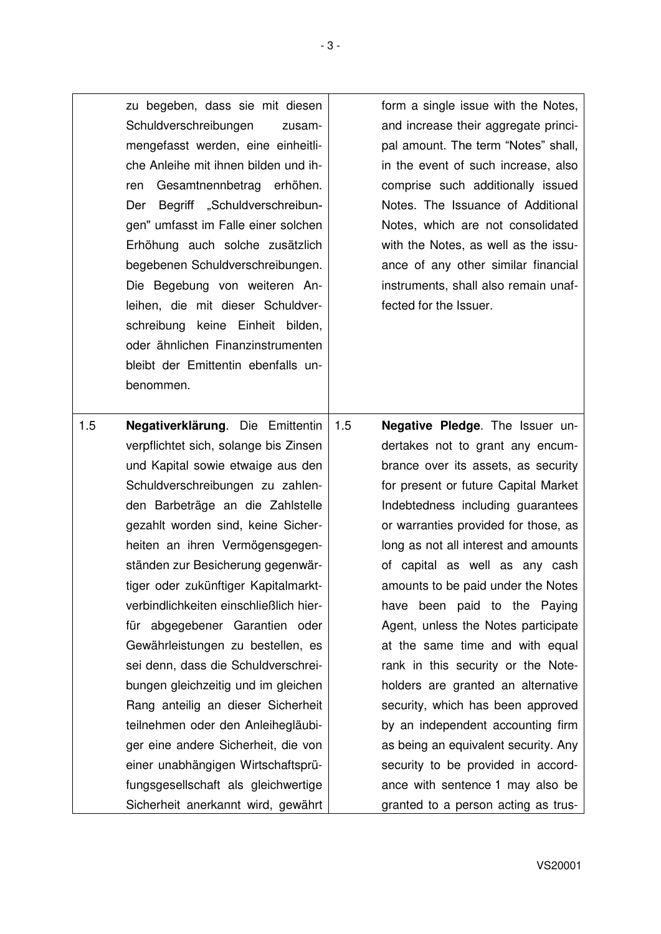| zu begeben, dass sie mit diesen<br>Schuldverschreibungen<br>zusam-<br>mengefasst werden, eine einheitli-<br>che Anleihe mit ihnen bilden und ih-<br>Gesamtnennbetrag erhöhen.<br>ren<br>Begriff "Schuldverschreibun-<br>Der<br>gen" umfasst im Falle einer solchen<br>Erhöhung auch solche zusätzlich<br>begebenen Schuldverschreibungen.<br>Die Begebung von weiteren An-<br>leihen, die mit dieser Schuldver-<br>schreibung keine Einheit bilden,<br>oder ähnlichen Finanzinstrumenten<br>bleibt der Emittentin ebenfalls un- | form a single issue with the Notes,<br>and increase their aggregate princi-<br>pal amount. The term "Notes" shall,<br>in the event of such increase, also<br>comprise such additionally issued<br>Notes. The Issuance of Additional<br>Notes, which are not consolidated<br>with the Notes, as well as the issu-<br>ance of any other similar financial<br>instruments, shall also remain unaf-<br>fected for the Issuer.                                                                          |
|---------------------------------------------------------------------------------------------------------------------------------------------------------------------------------------------------------------------------------------------------------------------------------------------------------------------------------------------------------------------------------------------------------------------------------------------------------------------------------------------------------------------------------|----------------------------------------------------------------------------------------------------------------------------------------------------------------------------------------------------------------------------------------------------------------------------------------------------------------------------------------------------------------------------------------------------------------------------------------------------------------------------------------------------|
| benommen.                                                                                                                                                                                                                                                                                                                                                                                                                                                                                                                       |                                                                                                                                                                                                                                                                                                                                                                                                                                                                                                    |
| verpflichtet sich, solange bis Zinsen<br>und Kapital sowie etwaige aus den<br>Schuldverschreibungen zu zahlen-<br>den Barbeträge an die Zahlstelle<br>gezahlt worden sind, keine Sicher-<br>heiten an ihren Vermögensgegen-<br>ständen zur Besicherung gegenwär-<br>tiger oder zukünftiger Kapitalmarkt-<br>verbindlichkeiten einschließlich hier-<br>für abgegebener Garantien oder<br>Gewährleistungen zu bestellen, es<br>sei denn, dass die Schuldverschrei-<br>bungen gleichzeitig und im gleichen                         | dertakes not to grant any encum-<br>brance over its assets, as security<br>for present or future Capital Market<br>Indebtedness including guarantees<br>or warranties provided for those, as<br>long as not all interest and amounts<br>of capital as well as any cash<br>amounts to be paid under the Notes<br>have been paid to the Paying<br>Agent, unless the Notes participate<br>at the same time and with equal<br>rank in this security or the Note-<br>holders are granted an alternative |
| Rang anteilig an dieser Sicherheit<br>teilnehmen oder den Anleihegläubi-<br>ger eine andere Sicherheit, die von<br>einer unabhängigen Wirtschaftsprü-<br>fungsgesellschaft als gleichwertige<br>Sicherheit anerkannt wird, gewährt                                                                                                                                                                                                                                                                                              | security, which has been approved<br>by an independent accounting firm<br>as being an equivalent security. Any<br>security to be provided in accord-<br>ance with sentence 1 may also be<br>granted to a person acting as trus-                                                                                                                                                                                                                                                                    |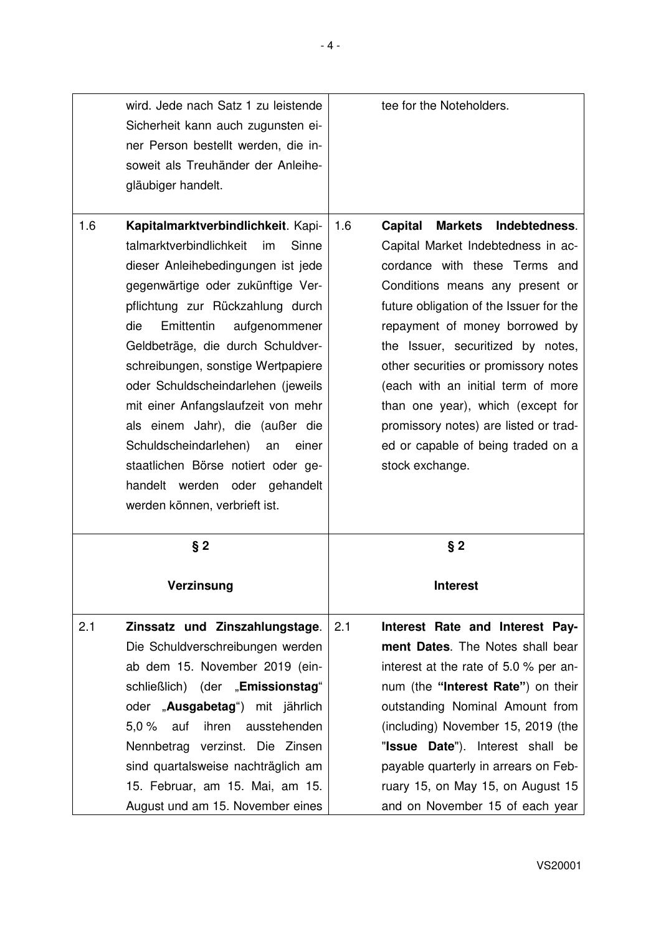| gläubiger handelt.                   | wird. Jede nach Satz 1 zu leistende<br>Sicherheit kann auch zugunsten ei-<br>ner Person bestellt werden, die in-<br>soweit als Treuhänder der Anleihe-                                                                                                                                                                                                                                                                                                                                                                                                               |                       | tee for the Noteholders.                                                                                                                                                                                                                                                                                                                                                                                                                                                         |
|--------------------------------------|----------------------------------------------------------------------------------------------------------------------------------------------------------------------------------------------------------------------------------------------------------------------------------------------------------------------------------------------------------------------------------------------------------------------------------------------------------------------------------------------------------------------------------------------------------------------|-----------------------|----------------------------------------------------------------------------------------------------------------------------------------------------------------------------------------------------------------------------------------------------------------------------------------------------------------------------------------------------------------------------------------------------------------------------------------------------------------------------------|
| 1.6<br>die                           | Kapitalmarktverbindlichkeit. Kapi-<br>talmarktverbindlichkeit<br>Sinne<br>im<br>dieser Anleihebedingungen ist jede<br>gegenwärtige oder zukünftige Ver-<br>pflichtung zur Rückzahlung durch<br>Emittentin<br>aufgenommener<br>Geldbeträge, die durch Schuldver-<br>schreibungen, sonstige Wertpapiere<br>oder Schuldscheindarlehen (jeweils<br>mit einer Anfangslaufzeit von mehr<br>als einem Jahr), die (außer die<br>Schuldscheindarlehen)<br>einer<br>an<br>staatlichen Börse notiert oder ge-<br>handelt werden oder gehandelt<br>werden können, verbrieft ist. | 1.6<br><b>Capital</b> | Indebtedness.<br><b>Markets</b><br>Capital Market Indebtedness in ac-<br>cordance with these Terms and<br>Conditions means any present or<br>future obligation of the Issuer for the<br>repayment of money borrowed by<br>the Issuer, securitized by notes,<br>other securities or promissory notes<br>(each with an initial term of more<br>than one year), which (except for<br>promissory notes) are listed or trad-<br>ed or capable of being traded on a<br>stock exchange. |
|                                      | $§$ 2<br>Verzinsung                                                                                                                                                                                                                                                                                                                                                                                                                                                                                                                                                  |                       | $§$ 2<br><b>Interest</b>                                                                                                                                                                                                                                                                                                                                                                                                                                                         |
| 2.1<br>$5.0 \%$<br>auf<br>Nennbetrag | Zinssatz und Zinszahlungstage.<br>Die Schuldverschreibungen werden<br>ab dem 15. November 2019 (ein-<br>schließlich) (der "Emissionstag"<br>oder "Ausgabetag") mit jährlich<br>ausstehenden<br>ihren<br>verzinst. Die Zinsen<br>sind quartalsweise nachträglich am<br>15. Februar, am 15. Mai, am 15.<br>August und am 15. November eines                                                                                                                                                                                                                            | 2.1                   | Interest Rate and Interest Pay-<br>ment Dates. The Notes shall bear<br>interest at the rate of 5.0 % per an-<br>num (the "Interest Rate") on their<br>outstanding Nominal Amount from<br>(including) November 15, 2019 (the<br>"Issue Date"). Interest shall be<br>payable quarterly in arrears on Feb-<br>ruary 15, on May 15, on August 15<br>and on November 15 of each year                                                                                                  |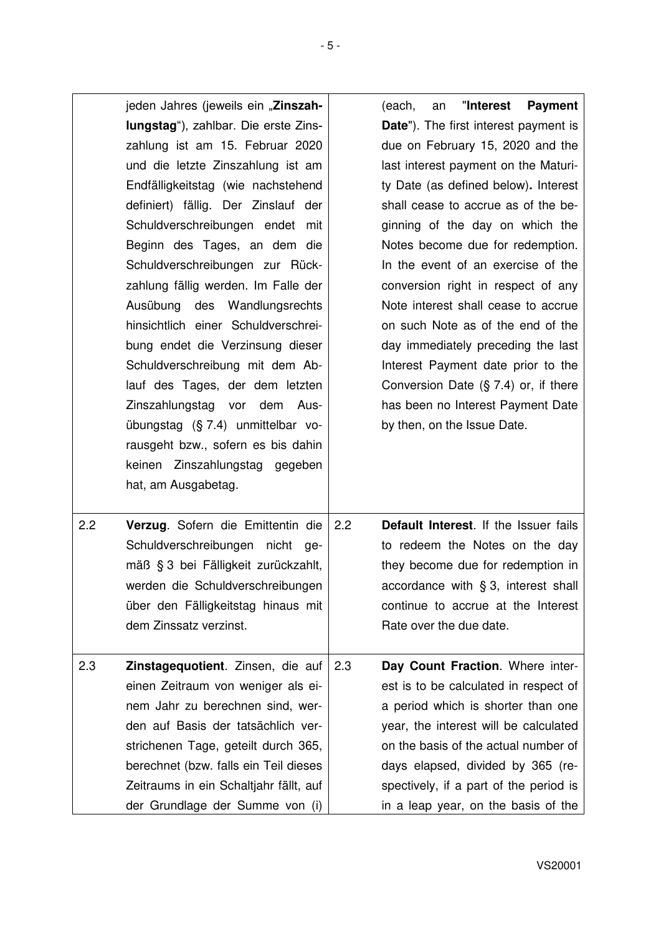|     | jeden Jahres (jeweils ein "Zinszah-<br>lungstag"), zahlbar. Die erste Zins-<br>zahlung ist am 15. Februar 2020<br>und die letzte Zinszahlung ist am<br>Endfälligkeitstag (wie nachstehend<br>definiert) fällig. Der Zinslauf der<br>Schuldverschreibungen endet mit<br>Beginn des Tages, an dem die<br>Schuldverschreibungen zur Rück-<br>zahlung fällig werden. Im Falle der<br>Ausübung des Wandlungsrechts<br>hinsichtlich einer Schuldverschrei-<br>bung endet die Verzinsung dieser<br>Schuldverschreibung mit dem Ab-<br>lauf des Tages, der dem letzten<br>Zinszahlungstag vor dem Aus-<br>übungstag (§ 7.4) unmittelbar vo-<br>rausgeht bzw., sofern es bis dahin<br>keinen Zinszahlungstag gegeben<br>hat, am Ausgabetag. |     | "Interest<br>(each,<br><b>Payment</b><br>an<br><b>Date").</b> The first interest payment is<br>due on February 15, 2020 and the<br>last interest payment on the Maturi-<br>ty Date (as defined below). Interest<br>shall cease to accrue as of the be-<br>ginning of the day on which the<br>Notes become due for redemption.<br>In the event of an exercise of the<br>conversion right in respect of any<br>Note interest shall cease to accrue<br>on such Note as of the end of the<br>day immediately preceding the last<br>Interest Payment date prior to the<br>Conversion Date $(S, 7.4)$ or, if there<br>has been no Interest Payment Date<br>by then, on the Issue Date. |
|-----|------------------------------------------------------------------------------------------------------------------------------------------------------------------------------------------------------------------------------------------------------------------------------------------------------------------------------------------------------------------------------------------------------------------------------------------------------------------------------------------------------------------------------------------------------------------------------------------------------------------------------------------------------------------------------------------------------------------------------------|-----|----------------------------------------------------------------------------------------------------------------------------------------------------------------------------------------------------------------------------------------------------------------------------------------------------------------------------------------------------------------------------------------------------------------------------------------------------------------------------------------------------------------------------------------------------------------------------------------------------------------------------------------------------------------------------------|
| 2.2 | Verzug. Sofern die Emittentin die<br>Schuldverschreibungen nicht ge-<br>mäß § 3 bei Fälligkeit zurückzahlt,<br>werden die Schuldverschreibungen<br>über den Fälligkeitstag hinaus mit<br>dem Zinssatz verzinst.                                                                                                                                                                                                                                                                                                                                                                                                                                                                                                                    | 2.2 | Default Interest. If the Issuer fails<br>to redeem the Notes on the day<br>they become due for redemption in<br>accordance with § 3, interest shall<br>continue to accrue at the Interest<br>Rate over the due date.                                                                                                                                                                                                                                                                                                                                                                                                                                                             |
| 2.3 | Zinstagequotient. Zinsen, die auf<br>einen Zeitraum von weniger als ei-<br>nem Jahr zu berechnen sind, wer-<br>den auf Basis der tatsächlich ver-<br>strichenen Tage, geteilt durch 365,<br>berechnet (bzw. falls ein Teil dieses<br>Zeitraums in ein Schaltjahr fällt, auf<br>der Grundlage der Summe von (i)                                                                                                                                                                                                                                                                                                                                                                                                                     | 2.3 | Day Count Fraction. Where inter-<br>est is to be calculated in respect of<br>a period which is shorter than one<br>year, the interest will be calculated<br>on the basis of the actual number of<br>days elapsed, divided by 365 (re-<br>spectively, if a part of the period is<br>in a leap year, on the basis of the                                                                                                                                                                                                                                                                                                                                                           |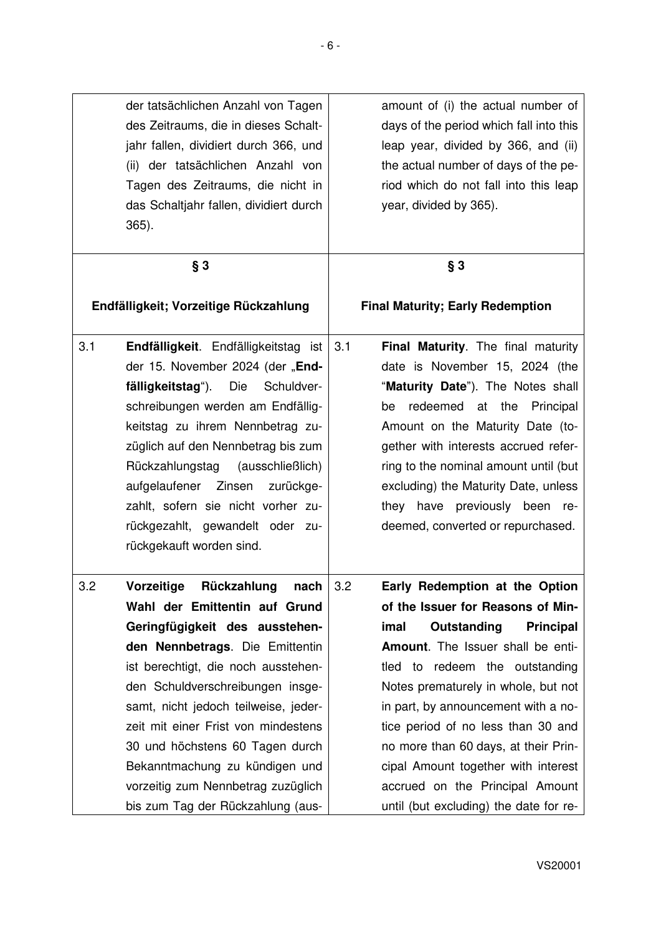| der tatsächlichen Anzahl von Tagen     | amount of (i) the actual number of      |
|----------------------------------------|-----------------------------------------|
| des Zeitraums, die in dieses Schalt-   | days of the period which fall into this |
| jahr fallen, dividiert durch 366, und  | leap year, divided by 366, and (ii)     |
| (ii) der tatsächlichen Anzahl von      | the actual number of days of the pe-    |
| Tagen des Zeitraums, die nicht in      | riod which do not fall into this leap   |
| das Schaltjahr fallen, dividiert durch | year, divided by 365).                  |
| $365$ ).                               |                                         |
|                                        |                                         |
|                                        |                                         |

| $§$ 3                                                                                                                                                                                                                                                                                                                                                                                                                                                    | $§$ 3                                                                                                                                                                                                                                                                                                                                                                                                                                                                        |
|----------------------------------------------------------------------------------------------------------------------------------------------------------------------------------------------------------------------------------------------------------------------------------------------------------------------------------------------------------------------------------------------------------------------------------------------------------|------------------------------------------------------------------------------------------------------------------------------------------------------------------------------------------------------------------------------------------------------------------------------------------------------------------------------------------------------------------------------------------------------------------------------------------------------------------------------|
| Endfälligkeit; Vorzeitige Rückzahlung                                                                                                                                                                                                                                                                                                                                                                                                                    | <b>Final Maturity; Early Redemption</b>                                                                                                                                                                                                                                                                                                                                                                                                                                      |
| 3.1<br>Endfälligkeit. Endfälligkeitstag ist<br>der 15. November 2024 (der "End-<br>fälligkeitstag").<br>Die<br>Schuldver-<br>schreibungen werden am Endfällig-<br>keitstag zu ihrem Nennbetrag zu-<br>züglich auf den Nennbetrag bis zum<br>Rückzahlungstag<br>(ausschließlich)<br>aufgelaufener Zinsen<br>zurückge-<br>zahlt, sofern sie nicht vorher zu-<br>rückgezahlt, gewandelt oder zu-<br>rückgekauft worden sind.                                | 3.1<br>Final Maturity. The final maturity<br>date is November 15, 2024 (the<br>"Maturity Date"). The Notes shall<br>redeemed<br>at<br>the<br>Principal<br>be<br>Amount on the Maturity Date (to-<br>gether with interests accrued refer-<br>ring to the nominal amount until (but<br>excluding) the Maturity Date, unless<br>they have previously been re-<br>deemed, converted or repurchased.                                                                              |
| 3.2<br>Rückzahlung<br>Vorzeitige<br>nach<br>Wahl der Emittentin auf Grund<br>Geringfügigkeit des ausstehen-<br>den Nennbetrags. Die Emittentin<br>ist berechtigt, die noch ausstehen-<br>den Schuldverschreibungen insge-<br>samt, nicht jedoch teilweise, jeder-<br>zeit mit einer Frist von mindestens<br>30 und höchstens 60 Tagen durch<br>Bekanntmachung zu kündigen und<br>vorzeitig zum Nennbetrag zuzüglich<br>bis zum Tag der Rückzahlung (aus- | 3.2<br>Early Redemption at the Option<br>of the Issuer for Reasons of Min-<br>imal<br>Outstanding<br><b>Principal</b><br>Amount. The Issuer shall be enti-<br>tled to redeem the outstanding<br>Notes prematurely in whole, but not<br>in part, by announcement with a no-<br>tice period of no less than 30 and<br>no more than 60 days, at their Prin-<br>cipal Amount together with interest<br>accrued on the Principal Amount<br>until (but excluding) the date for re- |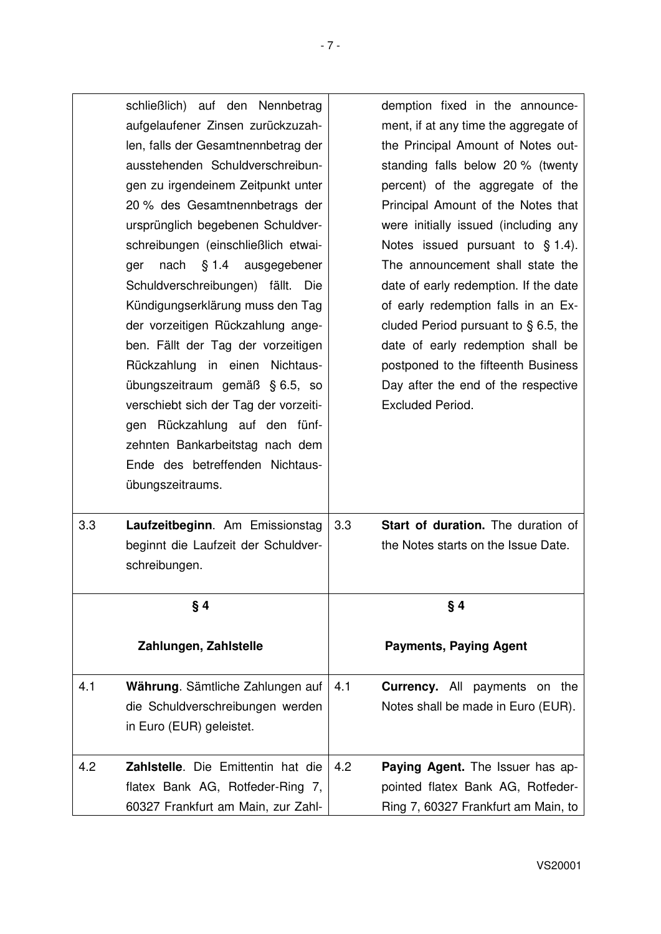|     | schließlich) auf den Nennbetrag<br>aufgelaufener Zinsen zurückzuzah-<br>len, falls der Gesamtnennbetrag der<br>ausstehenden Schuldverschreibun-<br>gen zu irgendeinem Zeitpunkt unter<br>20 % des Gesamtnennbetrags der<br>ursprünglich begebenen Schuldver-<br>schreibungen (einschließlich etwai-<br>nach § 1.4 ausgegebener<br>ger<br>Schuldverschreibungen) fällt. Die<br>Kündigungserklärung muss den Tag<br>der vorzeitigen Rückzahlung ange-<br>ben. Fällt der Tag der vorzeitigen<br>Rückzahlung in einen Nichtaus-<br>übungszeitraum gemäß § 6.5, so<br>verschiebt sich der Tag der vorzeiti-<br>gen Rückzahlung auf den fünf-<br>zehnten Bankarbeitstag nach dem<br>Ende des betreffenden Nichtaus-<br>übungszeitraums. |     | demption fixed in the announce-<br>ment, if at any time the aggregate of<br>the Principal Amount of Notes out-<br>standing falls below 20 % (twenty<br>percent) of the aggregate of the<br>Principal Amount of the Notes that<br>were initially issued (including any<br>Notes issued pursuant to $\S$ 1.4).<br>The announcement shall state the<br>date of early redemption. If the date<br>of early redemption falls in an Ex-<br>cluded Period pursuant to $\S$ 6.5, the<br>date of early redemption shall be<br>postponed to the fifteenth Business<br>Day after the end of the respective<br>Excluded Period. |
|-----|-----------------------------------------------------------------------------------------------------------------------------------------------------------------------------------------------------------------------------------------------------------------------------------------------------------------------------------------------------------------------------------------------------------------------------------------------------------------------------------------------------------------------------------------------------------------------------------------------------------------------------------------------------------------------------------------------------------------------------------|-----|--------------------------------------------------------------------------------------------------------------------------------------------------------------------------------------------------------------------------------------------------------------------------------------------------------------------------------------------------------------------------------------------------------------------------------------------------------------------------------------------------------------------------------------------------------------------------------------------------------------------|
| 3.3 | Laufzeitbeginn. Am Emissionstag<br>beginnt die Laufzeit der Schuldver-<br>schreibungen.                                                                                                                                                                                                                                                                                                                                                                                                                                                                                                                                                                                                                                           | 3.3 | Start of duration. The duration of<br>the Notes starts on the Issue Date.                                                                                                                                                                                                                                                                                                                                                                                                                                                                                                                                          |
|     | §4                                                                                                                                                                                                                                                                                                                                                                                                                                                                                                                                                                                                                                                                                                                                |     | §4                                                                                                                                                                                                                                                                                                                                                                                                                                                                                                                                                                                                                 |
|     |                                                                                                                                                                                                                                                                                                                                                                                                                                                                                                                                                                                                                                                                                                                                   |     |                                                                                                                                                                                                                                                                                                                                                                                                                                                                                                                                                                                                                    |
|     | Zahlungen, Zahlstelle                                                                                                                                                                                                                                                                                                                                                                                                                                                                                                                                                                                                                                                                                                             |     | <b>Payments, Paying Agent</b>                                                                                                                                                                                                                                                                                                                                                                                                                                                                                                                                                                                      |
| 4.1 | Währung. Sämtliche Zahlungen auf<br>die Schuldverschreibungen werden<br>in Euro (EUR) geleistet.                                                                                                                                                                                                                                                                                                                                                                                                                                                                                                                                                                                                                                  | 4.1 | <b>Currency.</b> All payments on the<br>Notes shall be made in Euro (EUR).                                                                                                                                                                                                                                                                                                                                                                                                                                                                                                                                         |
| 4.2 | Zahlstelle. Die Emittentin hat die<br>flatex Bank AG, Rotfeder-Ring 7,<br>60327 Frankfurt am Main, zur Zahl-                                                                                                                                                                                                                                                                                                                                                                                                                                                                                                                                                                                                                      | 4.2 | Paying Agent. The Issuer has ap-<br>pointed flatex Bank AG, Rotfeder-<br>Ring 7, 60327 Frankfurt am Main, to                                                                                                                                                                                                                                                                                                                                                                                                                                                                                                       |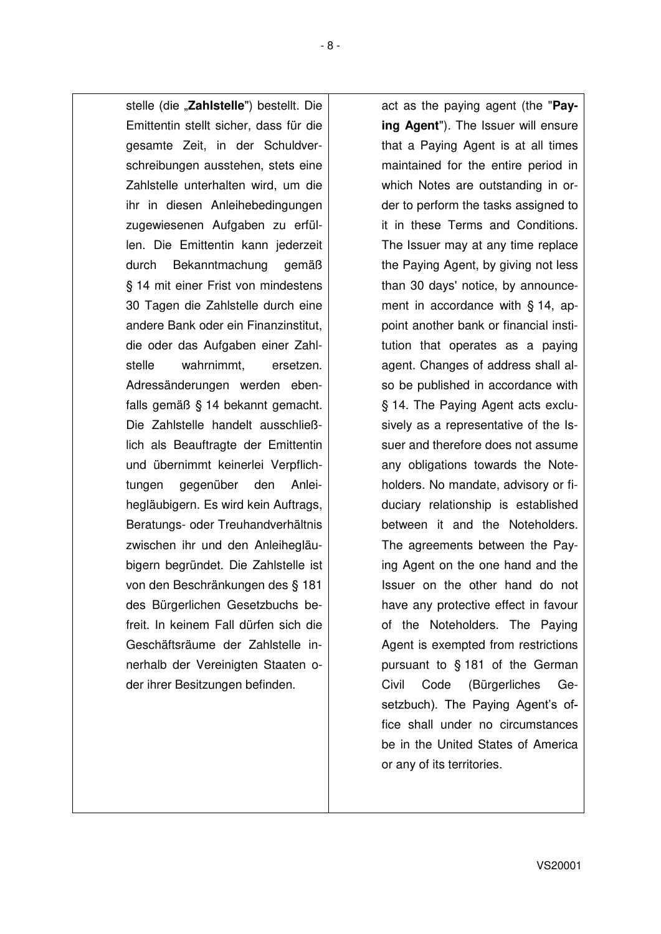stelle (die "Zahlstelle") bestellt. Die Emittentin stellt sicher, dass für die gesamte Zeit, in der Schuldverschreibungen ausstehen, stets eine Zahlstelle unterhalten wird, um die ihr in diesen Anleihebedingungen zugewiesenen Aufgaben zu erfüllen. Die Emittentin kann jederzeit durch Bekanntmachung gemäß § 14 mit einer Frist von mindestens 30 Tagen die Zahlstelle durch eine andere Bank oder ein Finanzinstitut, die oder das Aufgaben einer Zahlstelle wahrnimmt, ersetzen. Adressänderungen werden ebenfalls gemäß § 14 bekannt gemacht. Die Zahlstelle handelt ausschließlich als Beauftragte der Emittentin und übernimmt keinerlei Verpflichtungen gegenüber den Anleihegläubigern. Es wird kein Auftrags, Beratungs- oder Treuhandverhältnis zwischen ihr und den Anleihegläubigern begründet. Die Zahlstelle ist von den Beschränkungen des § 181 des Bürgerlichen Gesetzbuchs befreit. In keinem Fall dürfen sich die Geschäftsräume der Zahlstelle innerhalb der Vereinigten Staaten oder ihrer Besitzungen befinden.

act as the paying agent (the "**Paying Agent**"). The Issuer will ensure that a Paying Agent is at all times maintained for the entire period in which Notes are outstanding in order to perform the tasks assigned to it in these Terms and Conditions. The Issuer may at any time replace the Paying Agent, by giving not less than 30 days' notice, by announcement in accordance with § 14, appoint another bank or financial institution that operates as a paying agent. Changes of address shall also be published in accordance with § 14. The Paying Agent acts exclusively as a representative of the Issuer and therefore does not assume any obligations towards the Noteholders. No mandate, advisory or fiduciary relationship is established between it and the Noteholders. The agreements between the Paying Agent on the one hand and the Issuer on the other hand do not have any protective effect in favour of the Noteholders. The Paying Agent is exempted from restrictions pursuant to § 181 of the German Civil Code (Bürgerliches Gesetzbuch). The Paying Agent's office shall under no circumstances be in the United States of America or any of its territories.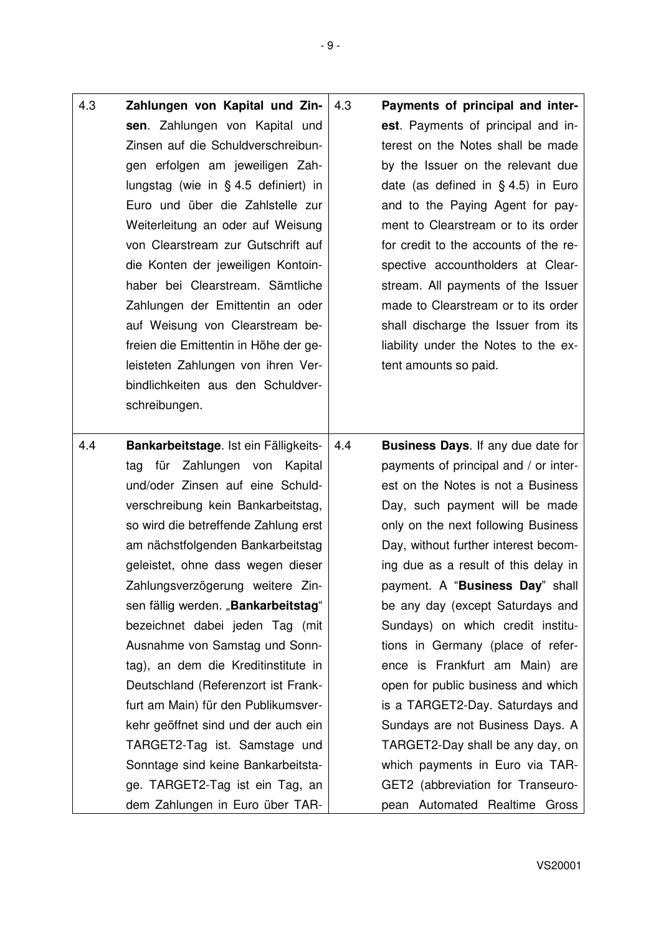- 4.3 **Zahlungen von Kapital und Zinsen**. Zahlungen von Kapital und Zinsen auf die Schuldverschreibungen erfolgen am jeweiligen Zahlungstag (wie in § 4.5 definiert) in Euro und über die Zahlstelle zur Weiterleitung an oder auf Weisung von Clearstream zur Gutschrift auf die Konten der jeweiligen Kontoinhaber bei Clearstream. Sämtliche Zahlungen der Emittentin an oder auf Weisung von Clearstream befreien die Emittentin in Höhe der geleisteten Zahlungen von ihren Verbindlichkeiten aus den Schuldverschreibungen. 4.3 **Payments of principal and interest**. Payments of principal and interest on the Notes shall be made by the Issuer on the relevant due date (as defined in § 4.5) in Euro and to the Paying Agent for payment to Clearstream or to its order for credit to the accounts of the respective accountholders at Clearstream. All payments of the Issuer made to Clearstream or to its order shall discharge the Issuer from its liability under the Notes to the extent amounts so paid. 4.4 **Bankarbeitstage**. Ist ein Fälligkeitstag für Zahlungen von Kapital und/oder Zinsen auf eine Schuldverschreibung kein Bankarbeitstag, so wird die betreffende Zahlung erst am nächstfolgenden Bankarbeitstag geleistet, ohne dass wegen dieser 4.4 **Business Days**. If any due date for payments of principal and / or interest on the Notes is not a Business Day, such payment will be made
	- Zahlungsverzögerung weitere Zinsen fällig werden. "**Bankarbeitstag"** bezeichnet dabei jeden Tag (mit Ausnahme von Samstag und Sonntag), an dem die Kreditinstitute in Deutschland (Referenzort ist Frankfurt am Main) für den Publikumsverkehr geöffnet sind und der auch ein TARGET2-Tag ist. Samstage und Sonntage sind keine Bankarbeitstage. TARGET2-Tag ist ein Tag, an dem Zahlungen in Euro über TARonly on the next following Business Day, without further interest becoming due as a result of this delay in payment. A "**Business Day**" shall be any day (except Saturdays and Sundays) on which credit institutions in Germany (place of reference is Frankfurt am Main) are open for public business and which is a TARGET2-Day. Saturdays and Sundays are not Business Days. A TARGET2-Day shall be any day, on which payments in Euro via TAR-GET2 (abbreviation for Transeuropean Automated Realtime Gross

- 9 -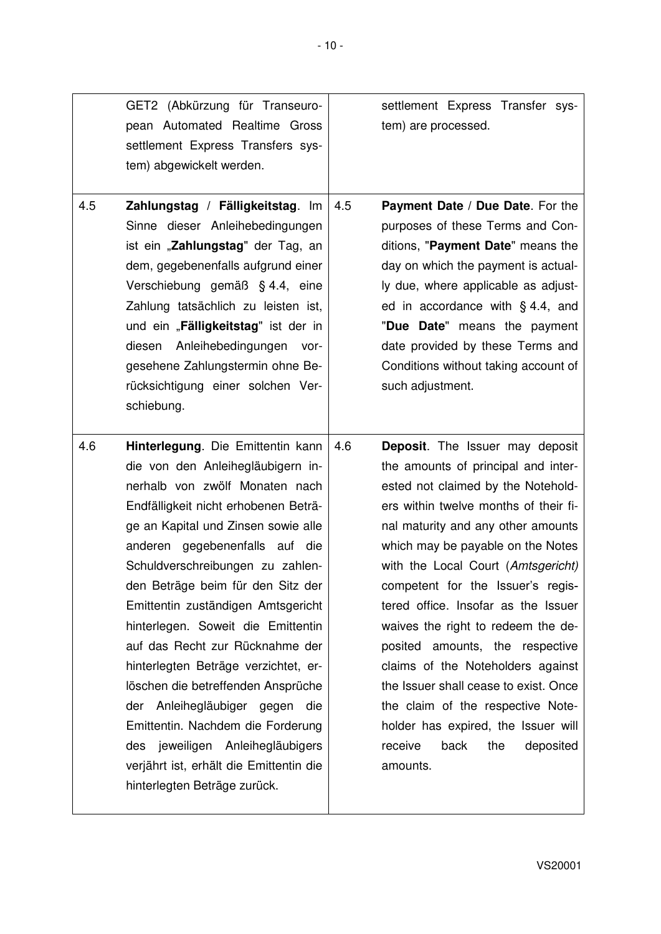|     | GET2 (Abkürzung für Transeuro-<br>pean Automated Realtime Gross<br>settlement Express Transfers sys-<br>tem) abgewickelt werden.                                                                                                                                                                                                                                                                                                                                                                                                                                                                                                                                                      |     | settlement Express Transfer sys-<br>tem) are processed.                                                                                                                                                                                                                                                                                                                                                                                                                                                                                                                                                                                         |
|-----|---------------------------------------------------------------------------------------------------------------------------------------------------------------------------------------------------------------------------------------------------------------------------------------------------------------------------------------------------------------------------------------------------------------------------------------------------------------------------------------------------------------------------------------------------------------------------------------------------------------------------------------------------------------------------------------|-----|-------------------------------------------------------------------------------------------------------------------------------------------------------------------------------------------------------------------------------------------------------------------------------------------------------------------------------------------------------------------------------------------------------------------------------------------------------------------------------------------------------------------------------------------------------------------------------------------------------------------------------------------------|
| 4.5 | Zahlungstag / Fälligkeitstag. Im<br>Sinne dieser Anleihebedingungen<br>ist ein "Zahlungstag" der Tag, an<br>dem, gegebenenfalls aufgrund einer<br>Verschiebung gemäß § 4.4, eine<br>Zahlung tatsächlich zu leisten ist,<br>und ein "Fälligkeitstag" ist der in<br>Anleihebedingungen vor-<br>diesen<br>gesehene Zahlungstermin ohne Be-<br>rücksichtigung einer solchen Ver-<br>schiebung.                                                                                                                                                                                                                                                                                            | 4.5 | Payment Date / Due Date. For the<br>purposes of these Terms and Con-<br>ditions, "Payment Date" means the<br>day on which the payment is actual-<br>ly due, where applicable as adjust-<br>ed in accordance with $\S$ 4.4, and<br>"Due Date" means the payment<br>date provided by these Terms and<br>Conditions without taking account of<br>such adjustment.                                                                                                                                                                                                                                                                                  |
| 4.6 | Hinterlegung. Die Emittentin kann<br>die von den Anleihegläubigern in-<br>nerhalb von zwölf Monaten nach<br>Endfälligkeit nicht erhobenen Beträ-<br>ge an Kapital und Zinsen sowie alle<br>anderen gegebenenfalls auf die<br>Schuldverschreibungen zu zahlen-<br>den Beträge beim für den Sitz der<br>Emittentin zuständigen Amtsgericht<br>hinterlegen. Soweit die Emittentin<br>auf das Recht zur Rücknahme der<br>hinterlegten Beträge verzichtet, er-<br>löschen die betreffenden Ansprüche<br>der Anleihegläubiger gegen die<br>Emittentin. Nachdem die Forderung<br>des jeweiligen Anleihegläubigers<br>verjährt ist, erhält die Emittentin die<br>hinterlegten Beträge zurück. | 4.6 | <b>Deposit.</b> The Issuer may deposit<br>the amounts of principal and inter-<br>ested not claimed by the Notehold-<br>ers within twelve months of their fi-<br>nal maturity and any other amounts<br>which may be payable on the Notes<br>with the Local Court (Amtsgericht)<br>competent for the Issuer's regis-<br>tered office. Insofar as the Issuer<br>waives the right to redeem the de-<br>posited amounts, the respective<br>claims of the Noteholders against<br>the Issuer shall cease to exist. Once<br>the claim of the respective Note-<br>holder has expired, the Issuer will<br>receive<br>back<br>the<br>deposited<br>amounts. |

 $\overline{\phantom{a}}$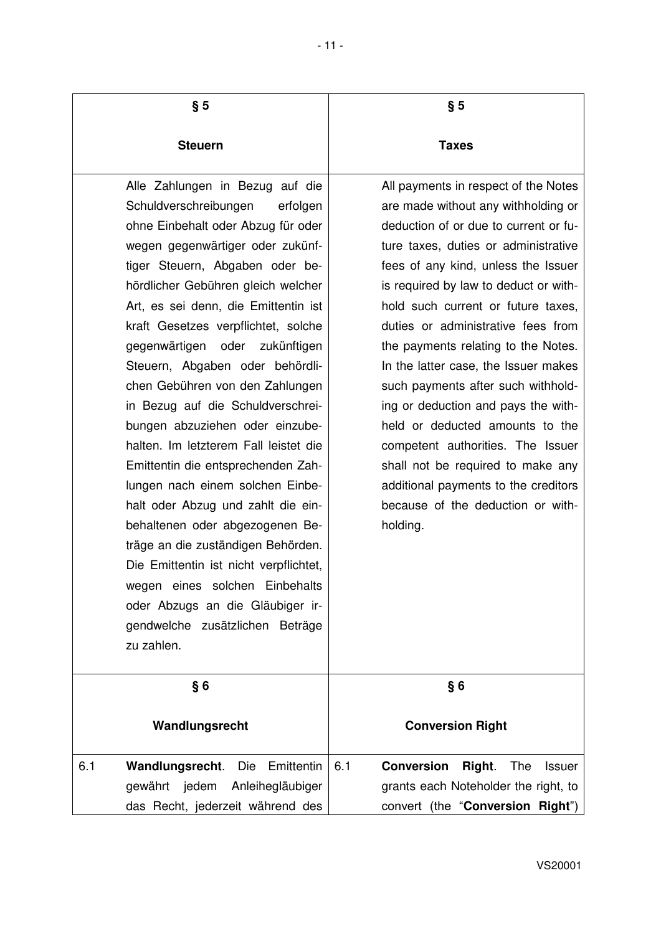| § 5                                                                                                                                                                                                                                                                                                                                                                                                                                                                                                                                                                                                                                                                                                                                                                                                                                                                                          | § 5                                                                                                                                                                                                                                                                                                                                                                                                                                                                                                                                                                                                                                                                                        |
|----------------------------------------------------------------------------------------------------------------------------------------------------------------------------------------------------------------------------------------------------------------------------------------------------------------------------------------------------------------------------------------------------------------------------------------------------------------------------------------------------------------------------------------------------------------------------------------------------------------------------------------------------------------------------------------------------------------------------------------------------------------------------------------------------------------------------------------------------------------------------------------------|--------------------------------------------------------------------------------------------------------------------------------------------------------------------------------------------------------------------------------------------------------------------------------------------------------------------------------------------------------------------------------------------------------------------------------------------------------------------------------------------------------------------------------------------------------------------------------------------------------------------------------------------------------------------------------------------|
| <b>Steuern</b>                                                                                                                                                                                                                                                                                                                                                                                                                                                                                                                                                                                                                                                                                                                                                                                                                                                                               | <b>Taxes</b>                                                                                                                                                                                                                                                                                                                                                                                                                                                                                                                                                                                                                                                                               |
| Alle Zahlungen in Bezug auf die<br>Schuldverschreibungen<br>erfolgen<br>ohne Einbehalt oder Abzug für oder<br>wegen gegenwärtiger oder zukünf-<br>tiger Steuern, Abgaben oder be-<br>hördlicher Gebühren gleich welcher<br>Art, es sei denn, die Emittentin ist<br>kraft Gesetzes verpflichtet, solche<br>gegenwärtigen oder<br>zukünftigen<br>Steuern, Abgaben oder behördli-<br>chen Gebühren von den Zahlungen<br>in Bezug auf die Schuldverschrei-<br>bungen abzuziehen oder einzube-<br>halten. Im letzterem Fall leistet die<br>Emittentin die entsprechenden Zah-<br>lungen nach einem solchen Einbe-<br>halt oder Abzug und zahlt die ein-<br>behaltenen oder abgezogenen Be-<br>träge an die zuständigen Behörden.<br>Die Emittentin ist nicht verpflichtet,<br>wegen eines solchen Einbehalts<br>oder Abzugs an die Gläubiger ir-<br>gendwelche zusätzlichen Beträge<br>zu zahlen. | All payments in respect of the Notes<br>are made without any withholding or<br>deduction of or due to current or fu-<br>ture taxes, duties or administrative<br>fees of any kind, unless the Issuer<br>is required by law to deduct or with-<br>hold such current or future taxes,<br>duties or administrative fees from<br>the payments relating to the Notes.<br>In the latter case, the Issuer makes<br>such payments after such withhold-<br>ing or deduction and pays the with-<br>held or deducted amounts to the<br>competent authorities. The Issuer<br>shall not be required to make any<br>additional payments to the creditors<br>because of the deduction or with-<br>holding. |
| §6                                                                                                                                                                                                                                                                                                                                                                                                                                                                                                                                                                                                                                                                                                                                                                                                                                                                                           | §6                                                                                                                                                                                                                                                                                                                                                                                                                                                                                                                                                                                                                                                                                         |
| Wandlungsrecht                                                                                                                                                                                                                                                                                                                                                                                                                                                                                                                                                                                                                                                                                                                                                                                                                                                                               | <b>Conversion Right</b>                                                                                                                                                                                                                                                                                                                                                                                                                                                                                                                                                                                                                                                                    |
| 6.1<br>Wandlungsrecht.<br>Die<br>Emittentin<br>gewährt jedem<br>Anleihegläubiger<br>das Recht, jederzeit während des                                                                                                                                                                                                                                                                                                                                                                                                                                                                                                                                                                                                                                                                                                                                                                         | 6.1<br><b>Conversion</b><br>Right.<br>The<br><b>Issuer</b><br>grants each Noteholder the right, to<br>convert (the "Conversion Right")                                                                                                                                                                                                                                                                                                                                                                                                                                                                                                                                                     |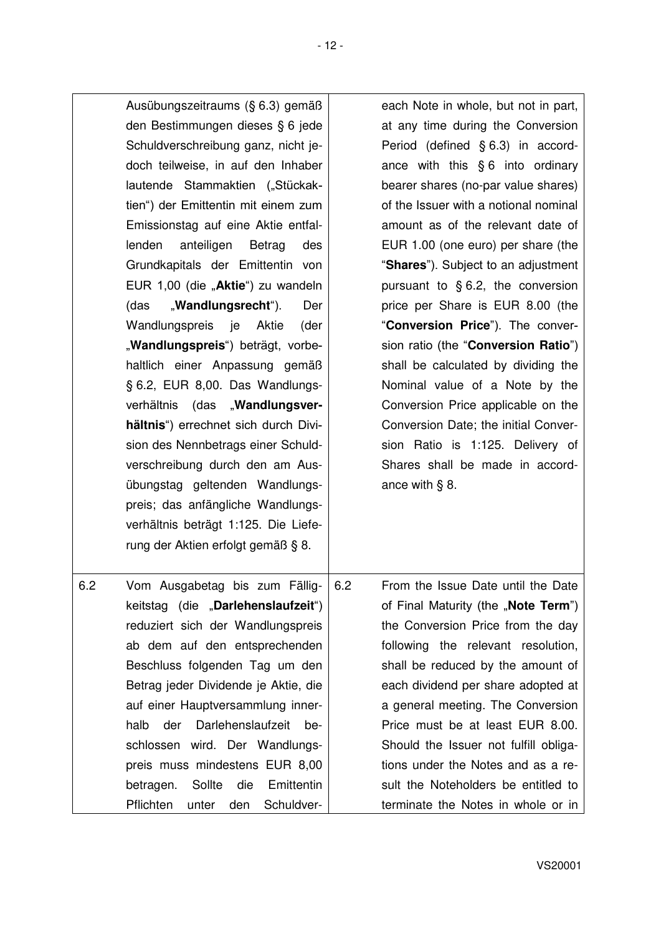| Ausübungszeitraums (§ 6.3) gemäß<br>den Bestimmungen dieses § 6 jede<br>Schuldverschreibung ganz, nicht je-<br>doch teilweise, in auf den Inhaber<br>lautende Stammaktien ("Stückak-<br>tien") der Emittentin mit einem zum<br>Emissionstag auf eine Aktie entfal-<br>lenden<br>anteiligen<br>Betrag<br>des<br>Grundkapitals der Emittentin von<br>EUR 1,00 (die "Aktie") zu wandeln<br>"Wandlungsrecht").<br>Der<br>(das<br>Wandlungspreis je Aktie<br>(der<br>"Wandlungspreis") beträgt, vorbe-<br>haltlich einer Anpassung gemäß<br>§ 6.2, EUR 8,00. Das Wandlungs-<br>verhältnis (das "Wandlungsver-<br>hältnis") errechnet sich durch Divi-<br>sion des Nennbetrags einer Schuld-<br>verschreibung durch den am Aus-<br>übungstag geltenden Wandlungs-<br>preis; das anfängliche Wandlungs-<br>verhältnis beträgt 1:125. Die Liefe-<br>rung der Aktien erfolgt gemäß § 8. | each Note in whole, but not in part,<br>at any time during the Conversion<br>Period (defined § 6.3) in accord-<br>ance with this $§ 6$ into ordinary<br>bearer shares (no-par value shares)<br>of the Issuer with a notional nominal<br>amount as of the relevant date of<br>EUR 1.00 (one euro) per share (the<br>"Shares"). Subject to an adjustment<br>pursuant to $§$ 6.2, the conversion<br>price per Share is EUR 8.00 (the<br>"Conversion Price"). The conver-<br>sion ratio (the "Conversion Ratio")<br>shall be calculated by dividing the<br>Nominal value of a Note by the<br>Conversion Price applicable on the<br>Conversion Date; the initial Conver-<br>sion Ratio is 1:125. Delivery of<br>Shares shall be made in accord-<br>ance with $\S$ 8. |
|--------------------------------------------------------------------------------------------------------------------------------------------------------------------------------------------------------------------------------------------------------------------------------------------------------------------------------------------------------------------------------------------------------------------------------------------------------------------------------------------------------------------------------------------------------------------------------------------------------------------------------------------------------------------------------------------------------------------------------------------------------------------------------------------------------------------------------------------------------------------------------|-----------------------------------------------------------------------------------------------------------------------------------------------------------------------------------------------------------------------------------------------------------------------------------------------------------------------------------------------------------------------------------------------------------------------------------------------------------------------------------------------------------------------------------------------------------------------------------------------------------------------------------------------------------------------------------------------------------------------------------------------------------------|
| 6.2<br>Vom Ausgabetag bis zum Fällig-<br>keitstag (die "Darlehenslaufzeit")<br>reduziert sich der Wandlungspreis<br>ab dem auf den entsprechenden<br>Beschluss folgenden Tag um den<br>Betrag jeder Dividende je Aktie, die<br>auf einer Hauptversammlung inner-<br>Darlehenslaufzeit<br>halb<br>der<br>be-<br>schlossen wird. Der Wandlungs-<br>preis muss mindestens EUR 8,00<br>Sollte<br>die<br>Emittentin<br>betragen.<br>Schuldver-<br>Pflichten<br>unter<br>den                                                                                                                                                                                                                                                                                                                                                                                                         | 6.2<br>From the Issue Date until the Date<br>of Final Maturity (the "Note Term")<br>the Conversion Price from the day<br>following the relevant resolution,<br>shall be reduced by the amount of<br>each dividend per share adopted at<br>a general meeting. The Conversion<br>Price must be at least EUR 8.00.<br>Should the Issuer not fulfill obliga-<br>tions under the Notes and as a re-<br>sult the Noteholders be entitled to<br>terminate the Notes in whole or in                                                                                                                                                                                                                                                                                     |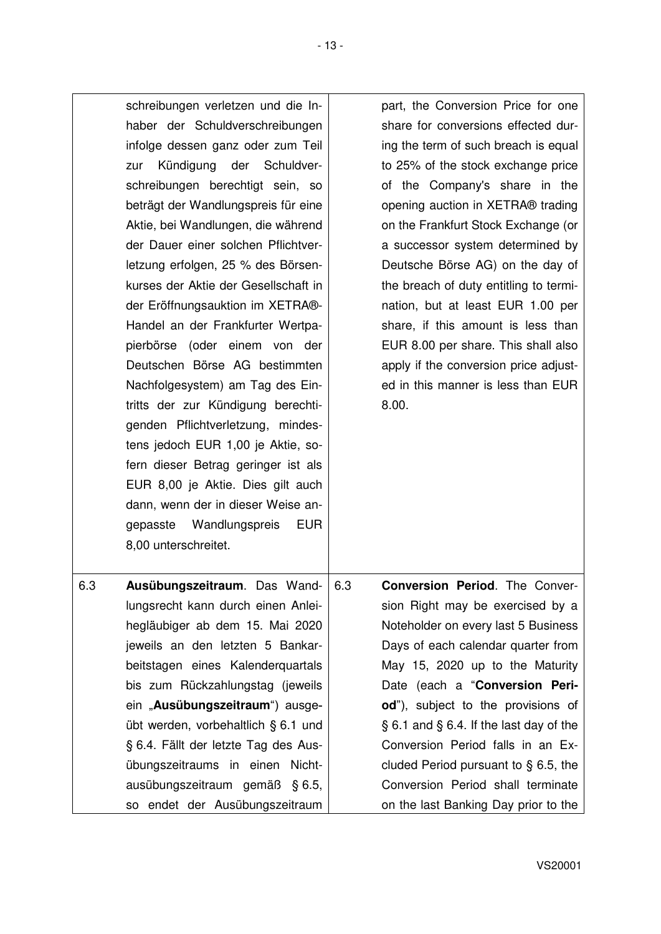|     | schreibungen verletzen und die In-<br>haber der Schuldverschreibungen<br>infolge dessen ganz oder zum Teil<br>Kündigung der Schuldver-<br>zur<br>schreibungen berechtigt sein, so<br>beträgt der Wandlungspreis für eine<br>Aktie, bei Wandlungen, die während<br>der Dauer einer solchen Pflichtver-<br>letzung erfolgen, 25 % des Börsen-<br>kurses der Aktie der Gesellschaft in<br>der Eröffnungsauktion im XETRA®-<br>Handel an der Frankfurter Wertpa-<br>pierbörse (oder einem von der<br>Deutschen Börse AG bestimmten<br>Nachfolgesystem) am Tag des Ein-<br>tritts der zur Kündigung berechti-<br>genden Pflichtverletzung, mindes-<br>tens jedoch EUR 1,00 je Aktie, so-<br>fern dieser Betrag geringer ist als<br>EUR 8,00 je Aktie. Dies gilt auch<br>dann, wenn der in dieser Weise an-<br>gepasste Wandlungspreis<br><b>EUR</b><br>8,00 unterschreitet. | part, the Conversion Price for one<br>share for conversions effected dur-<br>ing the term of such breach is equal<br>to 25% of the stock exchange price<br>of the Company's share in the<br>opening auction in XETRA® trading<br>on the Frankfurt Stock Exchange (or<br>a successor system determined by<br>Deutsche Börse AG) on the day of<br>the breach of duty entitling to termi-<br>nation, but at least EUR 1.00 per<br>share, if this amount is less than<br>EUR 8.00 per share. This shall also<br>apply if the conversion price adjust-<br>ed in this manner is less than EUR<br>8.00. |
|-----|------------------------------------------------------------------------------------------------------------------------------------------------------------------------------------------------------------------------------------------------------------------------------------------------------------------------------------------------------------------------------------------------------------------------------------------------------------------------------------------------------------------------------------------------------------------------------------------------------------------------------------------------------------------------------------------------------------------------------------------------------------------------------------------------------------------------------------------------------------------------|--------------------------------------------------------------------------------------------------------------------------------------------------------------------------------------------------------------------------------------------------------------------------------------------------------------------------------------------------------------------------------------------------------------------------------------------------------------------------------------------------------------------------------------------------------------------------------------------------|
| 6.3 | Ausübungszeitraum. Das Wand-   6.3<br>lungsrecht kann durch einen Anlei-<br>hegläubiger ab dem 15. Mai 2020<br>jeweils an den letzten 5 Bankar-<br>beitstagen eines Kalenderquartals<br>bis zum Rückzahlungstag (jeweils<br>ein "Ausübungszeitraum") ausge-<br>übt werden, vorbehaltlich § 6.1 und<br>§ 6.4. Fällt der letzte Tag des Aus-<br>übungszeitraums in einen Nicht-<br>ausübungszeitraum gemäß § 6.5,<br>so endet der Ausübungszeitraum                                                                                                                                                                                                                                                                                                                                                                                                                      | <b>Conversion Period.</b> The Conver-<br>sion Right may be exercised by a<br>Noteholder on every last 5 Business<br>Days of each calendar quarter from<br>May 15, 2020 up to the Maturity<br>Date (each a "Conversion Peri-<br>od"), subject to the provisions of<br>$\S 6.1$ and $\S 6.4$ . If the last day of the<br>Conversion Period falls in an Ex-<br>cluded Period pursuant to $\S$ 6.5, the<br>Conversion Period shall terminate<br>on the last Banking Day prior to the                                                                                                                 |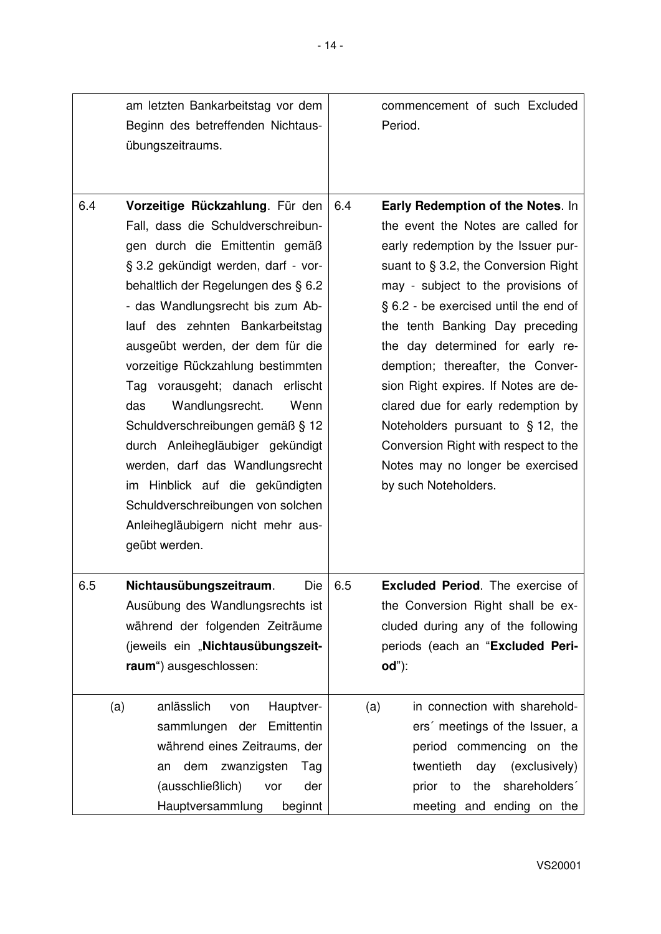|     | am letzten Bankarbeitstag vor dem<br>Beginn des betreffenden Nichtaus-<br>übungszeitraums.                                                                                                                                                                                                                                                                                                                                                                                                                                                                                                                                                             | commencement of such Excluded<br>Period.                                                                                                                                                                                                                                                                                                                                                                                                                                                                                                                                             |
|-----|--------------------------------------------------------------------------------------------------------------------------------------------------------------------------------------------------------------------------------------------------------------------------------------------------------------------------------------------------------------------------------------------------------------------------------------------------------------------------------------------------------------------------------------------------------------------------------------------------------------------------------------------------------|--------------------------------------------------------------------------------------------------------------------------------------------------------------------------------------------------------------------------------------------------------------------------------------------------------------------------------------------------------------------------------------------------------------------------------------------------------------------------------------------------------------------------------------------------------------------------------------|
| 6.4 | Vorzeitige Rückzahlung. Für den<br>Fall, dass die Schuldverschreibun-<br>gen durch die Emittentin gemäß<br>§ 3.2 gekündigt werden, darf - vor-<br>behaltlich der Regelungen des § 6.2<br>- das Wandlungsrecht bis zum Ab-<br>lauf des zehnten Bankarbeitstag<br>ausgeübt werden, der dem für die<br>vorzeitige Rückzahlung bestimmten<br>vorausgeht; danach erlischt<br>Tag<br>Wandlungsrecht.<br>das<br>Wenn<br>Schuldverschreibungen gemäß § 12<br>durch Anleihegläubiger gekündigt<br>werden, darf das Wandlungsrecht<br>im Hinblick auf die gekündigten<br>Schuldverschreibungen von solchen<br>Anleihegläubigern nicht mehr aus-<br>geübt werden. | Early Redemption of the Notes. In<br>6.4<br>the event the Notes are called for<br>early redemption by the Issuer pur-<br>suant to $\S$ 3.2, the Conversion Right<br>may - subject to the provisions of<br>§ 6.2 - be exercised until the end of<br>the tenth Banking Day preceding<br>the day determined for early re-<br>demption; thereafter, the Conver-<br>sion Right expires. If Notes are de-<br>clared due for early redemption by<br>Noteholders pursuant to $§$ 12, the<br>Conversion Right with respect to the<br>Notes may no longer be exercised<br>by such Noteholders. |
| 6.5 | Nichtausübungszeitraum.<br>Die<br>Ausübung des Wandlungsrechts ist<br>während der folgenden Zeiträume<br>(jeweils ein "Nichtausübungszeit-<br>raum") ausgeschlossen:<br>anlässlich<br>Hauptver-<br>(a)<br>von                                                                                                                                                                                                                                                                                                                                                                                                                                          | <b>Excluded Period.</b> The exercise of<br>6.5<br>the Conversion Right shall be ex-<br>cluded during any of the following<br>periods (each an "Excluded Peri-<br>$od$ "):<br>in connection with sharehold-<br>(a)                                                                                                                                                                                                                                                                                                                                                                    |
|     | Emittentin<br>sammlungen der<br>während eines Zeitraums, der<br>dem<br>zwanzigsten<br>Tag<br>an<br>(ausschließlich)<br>der<br>vor<br>Hauptversammlung<br>beginnt                                                                                                                                                                                                                                                                                                                                                                                                                                                                                       | ers' meetings of the Issuer, a<br>period commencing on the<br>twentieth<br>(exclusively)<br>day<br>the shareholders'<br>prior to<br>meeting and ending on the                                                                                                                                                                                                                                                                                                                                                                                                                        |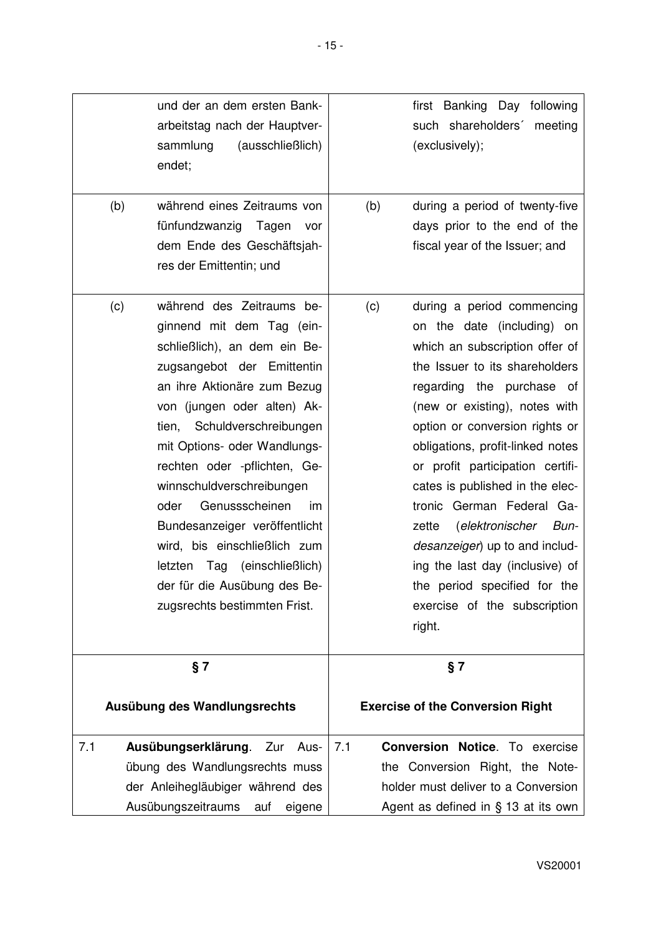|     |     | und der an dem ersten Bank-<br>arbeitstag nach der Hauptver-<br>(ausschließlich)<br>sammlung<br>endet;                                                                                                                                                                                                                                                                                                                                                                                                          |     | first Banking Day<br>following<br>such shareholders'<br>meeting<br>(exclusively);                                                                                                                                                                                                                                                                                                                                                                                                                                                                       |
|-----|-----|-----------------------------------------------------------------------------------------------------------------------------------------------------------------------------------------------------------------------------------------------------------------------------------------------------------------------------------------------------------------------------------------------------------------------------------------------------------------------------------------------------------------|-----|---------------------------------------------------------------------------------------------------------------------------------------------------------------------------------------------------------------------------------------------------------------------------------------------------------------------------------------------------------------------------------------------------------------------------------------------------------------------------------------------------------------------------------------------------------|
|     | (b) | während eines Zeitraums von<br>fünfundzwanzig Tagen<br>vor<br>dem Ende des Geschäftsjah-<br>res der Emittentin; und                                                                                                                                                                                                                                                                                                                                                                                             | (b) | during a period of twenty-five<br>days prior to the end of the<br>fiscal year of the Issuer; and                                                                                                                                                                                                                                                                                                                                                                                                                                                        |
|     | (c) | während des Zeitraums be-<br>ginnend mit dem Tag (ein-<br>schließlich), an dem ein Be-<br>zugsangebot der Emittentin<br>an ihre Aktionäre zum Bezug<br>von (jungen oder alten) Ak-<br>tien, Schuldverschreibungen<br>mit Options- oder Wandlungs-<br>rechten oder -pflichten, Ge-<br>winnschuldverschreibungen<br>Genussscheinen<br>oder<br>im<br>Bundesanzeiger veröffentlicht<br>wird, bis einschließlich zum<br>letzten Tag (einschließlich)<br>der für die Ausübung des Be-<br>zugsrechts bestimmten Frist. | (c) | during a period commencing<br>on the date (including) on<br>which an subscription offer of<br>the Issuer to its shareholders<br>regarding the purchase of<br>(new or existing), notes with<br>option or conversion rights or<br>obligations, profit-linked notes<br>or profit participation certifi-<br>cates is published in the elec-<br>tronic German Federal Ga-<br>(elektronischer<br>zette<br>Bun-<br>desanzeiger) up to and includ-<br>ing the last day (inclusive) of<br>the period specified for the<br>exercise of the subscription<br>right. |
|     |     | § 7                                                                                                                                                                                                                                                                                                                                                                                                                                                                                                             |     | § 7                                                                                                                                                                                                                                                                                                                                                                                                                                                                                                                                                     |
|     |     | Ausübung des Wandlungsrechts                                                                                                                                                                                                                                                                                                                                                                                                                                                                                    |     | <b>Exercise of the Conversion Right</b>                                                                                                                                                                                                                                                                                                                                                                                                                                                                                                                 |
| 7.1 |     | Ausübungserklärung. Zur Aus-<br>übung des Wandlungsrechts muss<br>der Anleihegläubiger während des<br>Ausübungszeitraums<br>eigene<br>auf                                                                                                                                                                                                                                                                                                                                                                       | 7.1 | <b>Conversion Notice.</b> To exercise<br>the Conversion Right, the Note-<br>holder must deliver to a Conversion<br>Agent as defined in § 13 at its own                                                                                                                                                                                                                                                                                                                                                                                                  |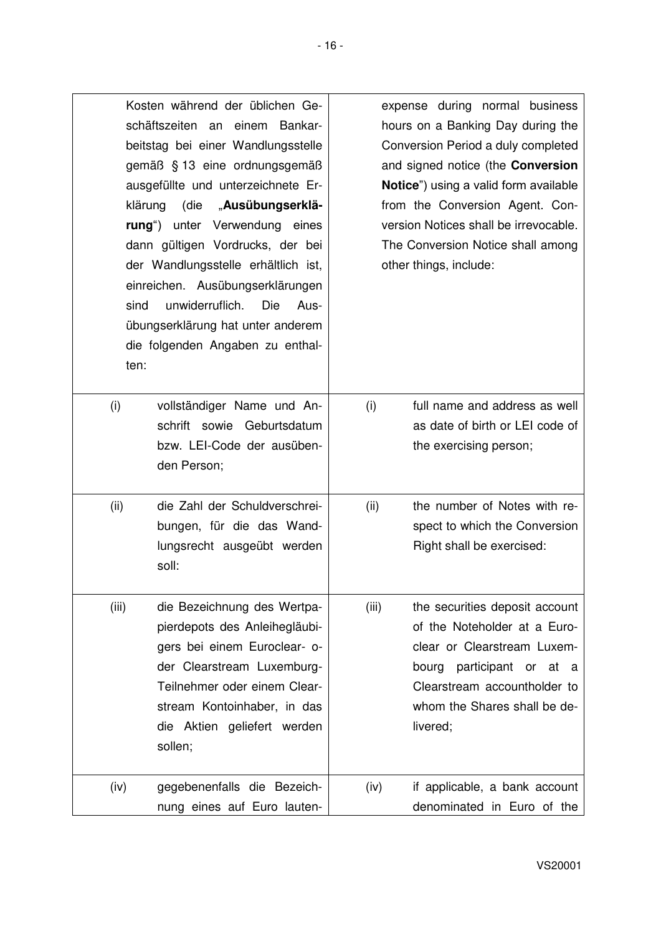| klärung<br>sind<br>ten: | Kosten während der üblichen Ge-<br>schäftszeiten an einem Bankar-<br>beitstag bei einer Wandlungsstelle<br>gemäß § 13 eine ordnungsgemäß<br>ausgefüllte und unterzeichnete Er-<br>(die " <b>Ausübungserklä-</b><br>rung") unter Verwendung eines<br>dann gültigen Vordrucks, der bei<br>der Wandlungsstelle erhältlich ist,<br>einreichen. Ausübungserklärungen<br>unwiderruflich.<br><b>Die</b><br>Aus-<br>übungserklärung hat unter anderem<br>die folgenden Angaben zu enthal- |       | expense during normal business<br>hours on a Banking Day during the<br>Conversion Period a duly completed<br>and signed notice (the Conversion<br>Notice") using a valid form available<br>from the Conversion Agent. Con-<br>version Notices shall be irrevocable.<br>The Conversion Notice shall among<br>other things, include: |
|-------------------------|-----------------------------------------------------------------------------------------------------------------------------------------------------------------------------------------------------------------------------------------------------------------------------------------------------------------------------------------------------------------------------------------------------------------------------------------------------------------------------------|-------|------------------------------------------------------------------------------------------------------------------------------------------------------------------------------------------------------------------------------------------------------------------------------------------------------------------------------------|
| (i)                     | vollständiger Name und An-<br>schrift sowie Geburtsdatum<br>bzw. LEI-Code der ausüben-<br>den Person;                                                                                                                                                                                                                                                                                                                                                                             | (i)   | full name and address as well<br>as date of birth or LEI code of<br>the exercising person;                                                                                                                                                                                                                                         |
| (ii)                    | die Zahl der Schuldverschrei-<br>bungen, für die das Wand-<br>lungsrecht ausgeübt werden<br>soll:                                                                                                                                                                                                                                                                                                                                                                                 | (ii)  | the number of Notes with re-<br>spect to which the Conversion<br>Right shall be exercised:                                                                                                                                                                                                                                         |
| (iii)                   | die Bezeichnung des Wertpa-<br>pierdepots des Anleihegläubi-<br>gers bei einem Euroclear- o-<br>der Clearstream Luxemburg-<br>Teilnehmer oder einem Clear-<br>stream Kontoinhaber, in das<br>die Aktien geliefert werden<br>sollen;                                                                                                                                                                                                                                               | (iii) | the securities deposit account<br>of the Noteholder at a Euro-<br>clear or Clearstream Luxem-<br>bourg participant or at<br>- a<br>Clearstream accountholder to<br>whom the Shares shall be de-<br>livered;                                                                                                                        |
| (iv)                    | gegebenenfalls die Bezeich-<br>nung eines auf Euro lauten-                                                                                                                                                                                                                                                                                                                                                                                                                        | (iv)  | if applicable, a bank account<br>denominated in Euro of the                                                                                                                                                                                                                                                                        |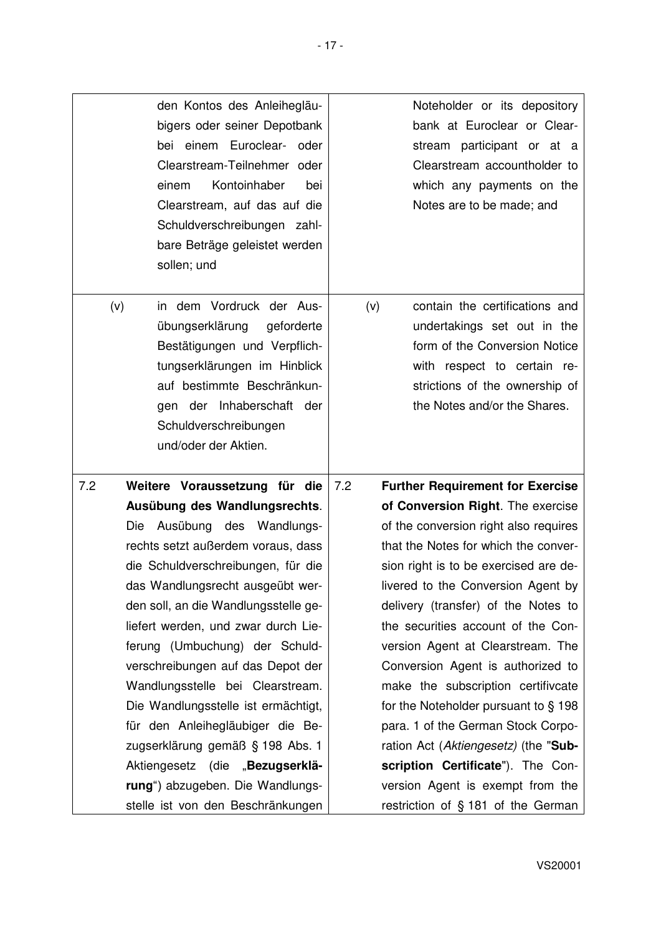|     |     | den Kontos des Anleihegläu-<br>bigers oder seiner Depotbank<br>bei einem Euroclear- oder<br>Clearstream-Teilnehmer oder<br>Kontoinhaber<br>einem<br>bei<br>Clearstream, auf das auf die<br>Schuldverschreibungen zahl-<br>bare Beträge geleistet werden<br>sollen; und |     |     | Noteholder or its depository<br>bank at Euroclear or Clear-<br>stream participant or at a<br>Clearstream accountholder to<br>which any payments on the<br>Notes are to be made; and             |
|-----|-----|------------------------------------------------------------------------------------------------------------------------------------------------------------------------------------------------------------------------------------------------------------------------|-----|-----|-------------------------------------------------------------------------------------------------------------------------------------------------------------------------------------------------|
|     | (v) | in dem Vordruck der Aus-<br>übungserklärung<br>geforderte<br>Bestätigungen und Verpflich-<br>tungserklärungen im Hinblick<br>auf bestimmte Beschränkun-<br>gen der Inhaberschaft der<br>Schuldverschreibungen<br>und/oder der Aktien.                                  |     | (v) | contain the certifications and<br>undertakings set out in the<br>form of the Conversion Notice<br>with respect to certain re-<br>strictions of the ownership of<br>the Notes and/or the Shares. |
| 7.2 |     | Weitere Voraussetzung für die                                                                                                                                                                                                                                          | 7.2 |     | <b>Further Requirement for Exercise</b>                                                                                                                                                         |
|     |     | Ausübung des Wandlungsrechts.                                                                                                                                                                                                                                          |     |     | of Conversion Right. The exercise                                                                                                                                                               |
|     |     | Die Ausübung des Wandlungs-                                                                                                                                                                                                                                            |     |     | of the conversion right also requires                                                                                                                                                           |
|     |     | rechts setzt außerdem voraus, dass                                                                                                                                                                                                                                     |     |     | that the Notes for which the conver-                                                                                                                                                            |
|     |     | die Schuldverschreibungen, für die                                                                                                                                                                                                                                     |     |     | sion right is to be exercised are de-                                                                                                                                                           |
|     |     | das Wandlungsrecht ausgeübt wer-                                                                                                                                                                                                                                       |     |     | livered to the Conversion Agent by                                                                                                                                                              |
|     |     | den soll, an die Wandlungsstelle ge-                                                                                                                                                                                                                                   |     |     | delivery (transfer) of the Notes to                                                                                                                                                             |
|     |     | liefert werden, und zwar durch Lie-                                                                                                                                                                                                                                    |     |     | the securities account of the Con-                                                                                                                                                              |
|     |     | ferung (Umbuchung) der Schuld-                                                                                                                                                                                                                                         |     |     | version Agent at Clearstream. The                                                                                                                                                               |
|     |     | verschreibungen auf das Depot der<br>Wandlungsstelle bei Clearstream.                                                                                                                                                                                                  |     |     | Conversion Agent is authorized to<br>make the subscription certifivcate                                                                                                                         |
|     |     | Die Wandlungsstelle ist ermächtigt,                                                                                                                                                                                                                                    |     |     | for the Noteholder pursuant to $\S$ 198                                                                                                                                                         |
|     |     | für den Anleihegläubiger die Be-                                                                                                                                                                                                                                       |     |     | para. 1 of the German Stock Corpo-                                                                                                                                                              |
|     |     | zugserklärung gemäß § 198 Abs. 1                                                                                                                                                                                                                                       |     |     | ration Act (Aktiengesetz) (the "Sub-                                                                                                                                                            |
|     |     | Aktiengesetz (die "Bezugserklä-                                                                                                                                                                                                                                        |     |     | scription Certificate"). The Con-                                                                                                                                                               |
|     |     | rung") abzugeben. Die Wandlungs-                                                                                                                                                                                                                                       |     |     | version Agent is exempt from the                                                                                                                                                                |
|     |     | stelle ist von den Beschränkungen                                                                                                                                                                                                                                      |     |     | restriction of § 181 of the German                                                                                                                                                              |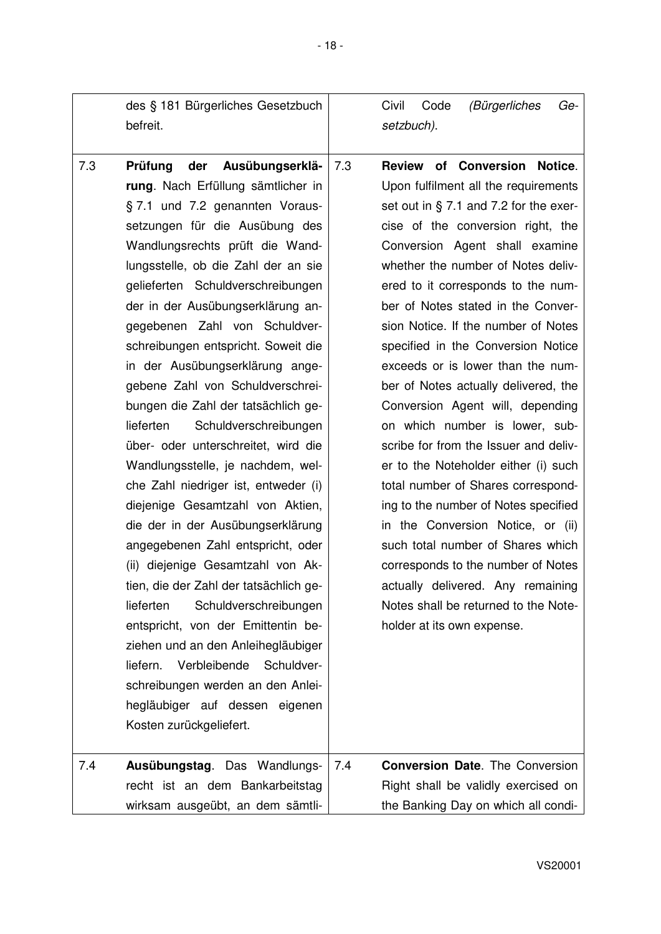|     | des § 181 Bürgerliches Gesetzbuch<br>befreit.                                                                                                                                                                                                                                                                                                                                                                                                                                                                                                                                                                                                                                                                                                                                                                                                                                                                                                                                                                                                                                                               |     | (Bürgerliches<br>Civil<br>Code<br>Ge-<br>setzbuch).                                                                                                                                                                                                                                                                                                                                                                                                                                                                                                                                                                                                                                                                                                                                                                                                                                                                                            |
|-----|-------------------------------------------------------------------------------------------------------------------------------------------------------------------------------------------------------------------------------------------------------------------------------------------------------------------------------------------------------------------------------------------------------------------------------------------------------------------------------------------------------------------------------------------------------------------------------------------------------------------------------------------------------------------------------------------------------------------------------------------------------------------------------------------------------------------------------------------------------------------------------------------------------------------------------------------------------------------------------------------------------------------------------------------------------------------------------------------------------------|-----|------------------------------------------------------------------------------------------------------------------------------------------------------------------------------------------------------------------------------------------------------------------------------------------------------------------------------------------------------------------------------------------------------------------------------------------------------------------------------------------------------------------------------------------------------------------------------------------------------------------------------------------------------------------------------------------------------------------------------------------------------------------------------------------------------------------------------------------------------------------------------------------------------------------------------------------------|
| 7.3 | der<br>Ausübungserklä-<br>Prüfung<br>rung. Nach Erfüllung sämtlicher in<br>§ 7.1 und 7.2 genannten Voraus-<br>setzungen für die Ausübung des<br>Wandlungsrechts prüft die Wand-<br>lungsstelle, ob die Zahl der an sie<br>gelieferten Schuldverschreibungen<br>der in der Ausübungserklärung an-<br>gegebenen Zahl von Schuldver-<br>schreibungen entspricht. Soweit die<br>in der Ausübungserklärung ange-<br>gebene Zahl von Schuldverschrei-<br>bungen die Zahl der tatsächlich ge-<br>Schuldverschreibungen<br>lieferten<br>über- oder unterschreitet, wird die<br>Wandlungsstelle, je nachdem, wel-<br>che Zahl niedriger ist, entweder (i)<br>diejenige Gesamtzahl von Aktien,<br>die der in der Ausübungserklärung<br>angegebenen Zahl entspricht, oder<br>(ii) diejenige Gesamtzahl von Ak-<br>tien, die der Zahl der tatsächlich ge-<br>Schuldverschreibungen<br>lieferten<br>entspricht, von der Emittentin be-<br>ziehen und an den Anleihegläubiger<br>Verbleibende<br>Schuldver-<br>liefern.<br>schreibungen werden an den Anlei-<br>hegläubiger auf dessen eigenen<br>Kosten zurückgeliefert. | 7.3 | <b>Review of Conversion</b><br>Notice.<br>Upon fulfilment all the requirements<br>set out in $\S$ 7.1 and 7.2 for the exer-<br>cise of the conversion right, the<br>Conversion Agent shall examine<br>whether the number of Notes deliv-<br>ered to it corresponds to the num-<br>ber of Notes stated in the Conver-<br>sion Notice. If the number of Notes<br>specified in the Conversion Notice<br>exceeds or is lower than the num-<br>ber of Notes actually delivered, the<br>Conversion Agent will, depending<br>on which number is lower, sub-<br>scribe for from the Issuer and deliv-<br>er to the Noteholder either (i) such<br>total number of Shares correspond-<br>ing to the number of Notes specified<br>in the Conversion Notice, or (ii)<br>such total number of Shares which<br>corresponds to the number of Notes<br>actually delivered. Any remaining<br>Notes shall be returned to the Note-<br>holder at its own expense. |
| 7.4 | Ausübungstag. Das Wandlungs-<br>recht ist an dem Bankarbeitstag<br>wirksam ausgeübt, an dem sämtli-                                                                                                                                                                                                                                                                                                                                                                                                                                                                                                                                                                                                                                                                                                                                                                                                                                                                                                                                                                                                         | 7.4 | <b>Conversion Date.</b> The Conversion<br>Right shall be validly exercised on<br>the Banking Day on which all condi-                                                                                                                                                                                                                                                                                                                                                                                                                                                                                                                                                                                                                                                                                                                                                                                                                           |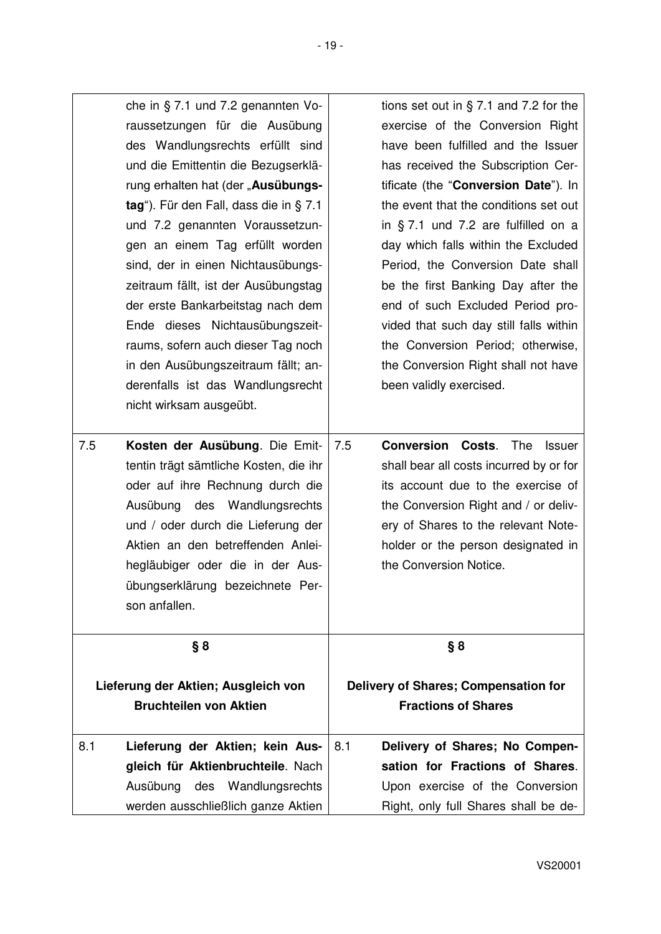|     | che in $\S$ 7.1 und 7.2 genannten Vo-<br>raussetzungen für die Ausübung<br>des Wandlungsrechts erfüllt sind<br>und die Emittentin die Bezugserklä-<br>rung erhalten hat (der "Ausübungs-<br>tag"). Für den Fall, dass die in § 7.1<br>und 7.2 genannten Voraussetzun-<br>gen an einem Tag erfüllt worden<br>sind, der in einen Nichtausübungs-<br>zeitraum fällt, ist der Ausübungstag<br>der erste Bankarbeitstag nach dem<br>Ende dieses Nichtausübungszeit-<br>raums, sofern auch dieser Tag noch<br>in den Ausübungszeitraum fällt; an-<br>derenfalls ist das Wandlungsrecht<br>nicht wirksam ausgeübt. | tions set out in $\S$ 7.1 and 7.2 for the<br>exercise of the Conversion Right<br>have been fulfilled and the Issuer<br>has received the Subscription Cer-<br>tificate (the "Conversion Date"). In<br>the event that the conditions set out<br>in $§$ 7.1 und 7.2 are fulfilled on a<br>day which falls within the Excluded<br>Period, the Conversion Date shall<br>be the first Banking Day after the<br>end of such Excluded Period pro-<br>vided that such day still falls within<br>the Conversion Period; otherwise,<br>the Conversion Right shall not have<br>been validly exercised. |
|-----|-------------------------------------------------------------------------------------------------------------------------------------------------------------------------------------------------------------------------------------------------------------------------------------------------------------------------------------------------------------------------------------------------------------------------------------------------------------------------------------------------------------------------------------------------------------------------------------------------------------|--------------------------------------------------------------------------------------------------------------------------------------------------------------------------------------------------------------------------------------------------------------------------------------------------------------------------------------------------------------------------------------------------------------------------------------------------------------------------------------------------------------------------------------------------------------------------------------------|
| 7.5 | Kosten der Ausübung. Die Emit-<br>tentin trägt sämtliche Kosten, die ihr<br>oder auf ihre Rechnung durch die<br>Ausübung des Wandlungsrechts<br>und / oder durch die Lieferung der<br>Aktien an den betreffenden Anlei-<br>hegläubiger oder die in der Aus-<br>übungserklärung bezeichnete Per-<br>son anfallen.                                                                                                                                                                                                                                                                                            | 7.5<br><b>Conversion Costs.</b><br>The<br><b>Issuer</b><br>shall bear all costs incurred by or for<br>its account due to the exercise of<br>the Conversion Right and / or deliv-<br>ery of Shares to the relevant Note-<br>holder or the person designated in<br>the Conversion Notice.                                                                                                                                                                                                                                                                                                    |
|     | § 8<br>Lieferung der Aktien; Ausgleich von                                                                                                                                                                                                                                                                                                                                                                                                                                                                                                                                                                  | § 8<br><b>Delivery of Shares; Compensation for</b>                                                                                                                                                                                                                                                                                                                                                                                                                                                                                                                                         |
|     | <b>Bruchteilen von Aktien</b>                                                                                                                                                                                                                                                                                                                                                                                                                                                                                                                                                                               | <b>Fractions of Shares</b>                                                                                                                                                                                                                                                                                                                                                                                                                                                                                                                                                                 |
| 8.1 | Lieferung der Aktien; kein Aus-                                                                                                                                                                                                                                                                                                                                                                                                                                                                                                                                                                             | Delivery of Shares; No Compen-<br>8.1                                                                                                                                                                                                                                                                                                                                                                                                                                                                                                                                                      |
|     | gleich für Aktienbruchteile. Nach                                                                                                                                                                                                                                                                                                                                                                                                                                                                                                                                                                           | sation for Fractions of Shares.                                                                                                                                                                                                                                                                                                                                                                                                                                                                                                                                                            |
|     |                                                                                                                                                                                                                                                                                                                                                                                                                                                                                                                                                                                                             |                                                                                                                                                                                                                                                                                                                                                                                                                                                                                                                                                                                            |
|     | Ausübung<br>Wandlungsrechts<br>des                                                                                                                                                                                                                                                                                                                                                                                                                                                                                                                                                                          | Upon exercise of the Conversion                                                                                                                                                                                                                                                                                                                                                                                                                                                                                                                                                            |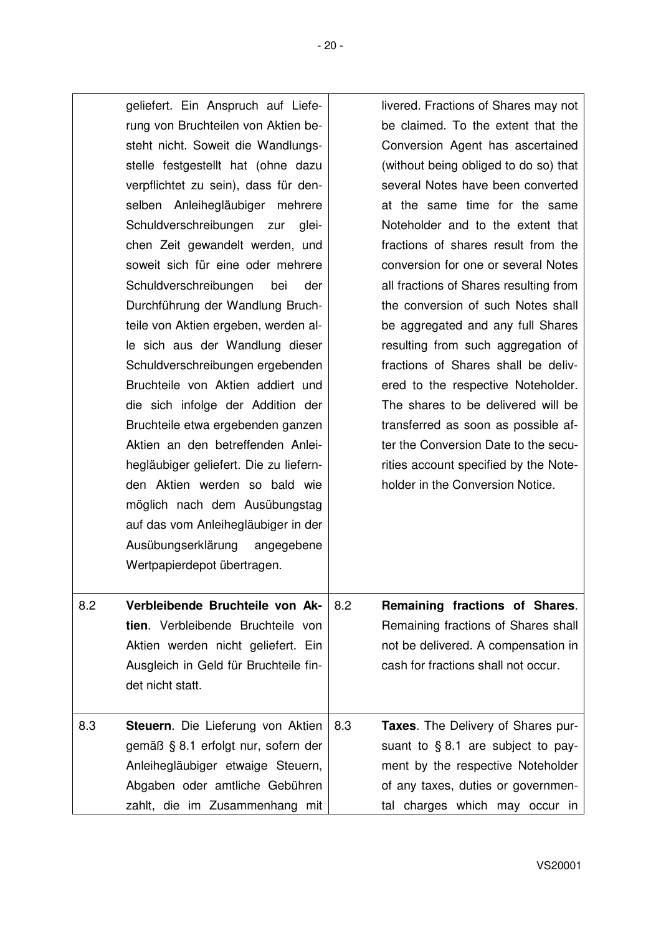|     | geliefert. Ein Anspruch auf Liefe-<br>rung von Bruchteilen von Aktien be-<br>steht nicht. Soweit die Wandlungs-<br>stelle festgestellt hat (ohne dazu<br>verpflichtet zu sein), dass für den-<br>selben Anleihegläubiger mehrere<br>Schuldverschreibungen zur<br>glei-<br>chen Zeit gewandelt werden, und<br>soweit sich für eine oder mehrere<br>Schuldverschreibungen<br>bei<br>der<br>Durchführung der Wandlung Bruch-<br>teile von Aktien ergeben, werden al-<br>le sich aus der Wandlung dieser<br>Schuldverschreibungen ergebenden<br>Bruchteile von Aktien addiert und<br>die sich infolge der Addition der<br>Bruchteile etwa ergebenden ganzen<br>Aktien an den betreffenden Anlei-<br>hegläubiger geliefert. Die zu liefern-<br>den Aktien werden so bald wie<br>möglich nach dem Ausübungstag<br>auf das vom Anleihegläubiger in der<br>Ausübungserklärung angegebene<br>Wertpapierdepot übertragen. |     | livered. Fractions of Shares may not<br>be claimed. To the extent that the<br>Conversion Agent has ascertained<br>(without being obliged to do so) that<br>several Notes have been converted<br>at the same time for the same<br>Noteholder and to the extent that<br>fractions of shares result from the<br>conversion for one or several Notes<br>all fractions of Shares resulting from<br>the conversion of such Notes shall<br>be aggregated and any full Shares<br>resulting from such aggregation of<br>fractions of Shares shall be deliv-<br>ered to the respective Noteholder.<br>The shares to be delivered will be<br>transferred as soon as possible af-<br>ter the Conversion Date to the secu-<br>rities account specified by the Note-<br>holder in the Conversion Notice. |
|-----|-----------------------------------------------------------------------------------------------------------------------------------------------------------------------------------------------------------------------------------------------------------------------------------------------------------------------------------------------------------------------------------------------------------------------------------------------------------------------------------------------------------------------------------------------------------------------------------------------------------------------------------------------------------------------------------------------------------------------------------------------------------------------------------------------------------------------------------------------------------------------------------------------------------------|-----|--------------------------------------------------------------------------------------------------------------------------------------------------------------------------------------------------------------------------------------------------------------------------------------------------------------------------------------------------------------------------------------------------------------------------------------------------------------------------------------------------------------------------------------------------------------------------------------------------------------------------------------------------------------------------------------------------------------------------------------------------------------------------------------------|
| 8.2 | Verbleibende Bruchteile von Ak-<br>tien. Verbleibende Bruchteile von<br>Aktien werden nicht geliefert. Ein<br>Ausgleich in Geld für Bruchteile fin-<br>det nicht statt.                                                                                                                                                                                                                                                                                                                                                                                                                                                                                                                                                                                                                                                                                                                                         | 8.2 | Remaining fractions of Shares.<br>Remaining fractions of Shares shall<br>not be delivered. A compensation in<br>cash for fractions shall not occur.                                                                                                                                                                                                                                                                                                                                                                                                                                                                                                                                                                                                                                        |
| 8.3 | Steuern. Die Lieferung von Aktien<br>gemäß § 8.1 erfolgt nur, sofern der<br>Anleihegläubiger etwaige Steuern,<br>Abgaben oder amtliche Gebühren<br>zahlt, die im Zusammenhang mit                                                                                                                                                                                                                                                                                                                                                                                                                                                                                                                                                                                                                                                                                                                               | 8.3 | Taxes. The Delivery of Shares pur-<br>suant to $§ 8.1$ are subject to pay-<br>ment by the respective Noteholder<br>of any taxes, duties or governmen-<br>tal charges which may occur in                                                                                                                                                                                                                                                                                                                                                                                                                                                                                                                                                                                                    |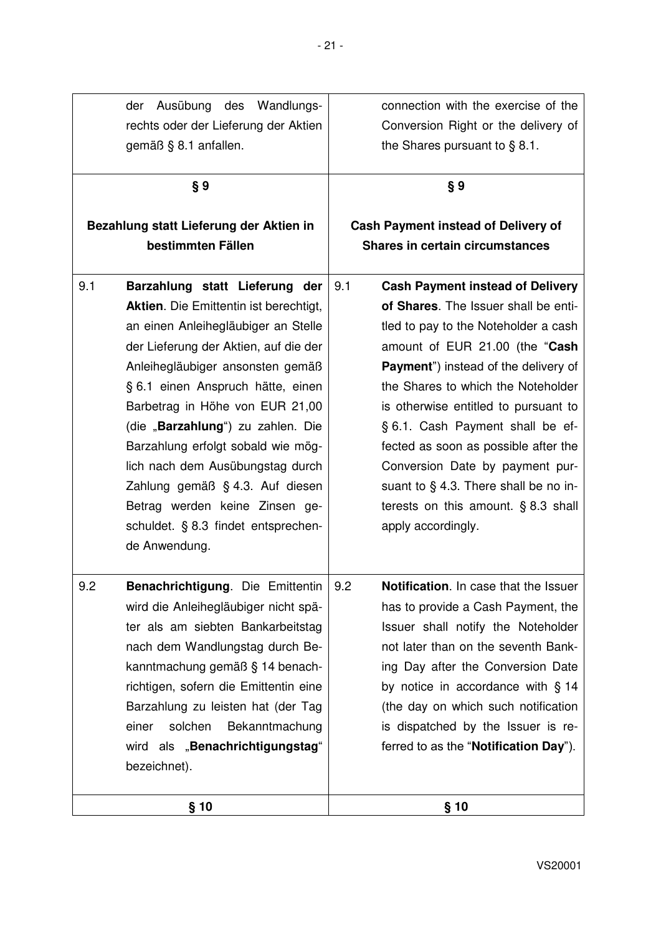| Wandlungs-<br>Ausübung<br>des<br>der<br>rechts oder der Lieferung der Aktien<br>gemäß § 8.1 anfallen.                                                                                                                                                                                                                                                                                                                                                                                                                          | connection with the exercise of the<br>Conversion Right or the delivery of<br>the Shares pursuant to $\S 8.1$ .                                                                                                                                                                                                                                                                                                                                                                                               |  |
|--------------------------------------------------------------------------------------------------------------------------------------------------------------------------------------------------------------------------------------------------------------------------------------------------------------------------------------------------------------------------------------------------------------------------------------------------------------------------------------------------------------------------------|---------------------------------------------------------------------------------------------------------------------------------------------------------------------------------------------------------------------------------------------------------------------------------------------------------------------------------------------------------------------------------------------------------------------------------------------------------------------------------------------------------------|--|
| §9                                                                                                                                                                                                                                                                                                                                                                                                                                                                                                                             | § 9                                                                                                                                                                                                                                                                                                                                                                                                                                                                                                           |  |
| Bezahlung statt Lieferung der Aktien in<br>bestimmten Fällen                                                                                                                                                                                                                                                                                                                                                                                                                                                                   | <b>Cash Payment instead of Delivery of</b><br>Shares in certain circumstances                                                                                                                                                                                                                                                                                                                                                                                                                                 |  |
| 9.1<br>Barzahlung statt Lieferung der<br><b>Aktien.</b> Die Emittentin ist berechtigt,<br>an einen Anleihegläubiger an Stelle<br>der Lieferung der Aktien, auf die der<br>Anleihegläubiger ansonsten gemäß<br>§ 6.1 einen Anspruch hätte, einen<br>Barbetrag in Höhe von EUR 21,00<br>(die "Barzahlung") zu zahlen. Die<br>Barzahlung erfolgt sobald wie mög-<br>lich nach dem Ausübungstag durch<br>Zahlung gemäß § 4.3. Auf diesen<br>Betrag werden keine Zinsen ge-<br>schuldet. § 8.3 findet entsprechen-<br>de Anwendung. | <b>Cash Payment instead of Delivery</b><br>9.1<br>of Shares. The Issuer shall be enti-<br>tled to pay to the Noteholder a cash<br>amount of EUR 21.00 (the "Cash<br>Payment") instead of the delivery of<br>the Shares to which the Noteholder<br>is otherwise entitled to pursuant to<br>§ 6.1. Cash Payment shall be ef-<br>fected as soon as possible after the<br>Conversion Date by payment pur-<br>suant to § 4.3. There shall be no in-<br>terests on this amount. $§ 8.3$ shall<br>apply accordingly. |  |
| 9.2<br>Benachrichtigung. Die Emittentin<br>wird die Anleihegläubiger nicht spä-<br>ter als am siebten Bankarbeitstag<br>nach dem Wandlungstag durch Be-<br>kanntmachung gemäß § 14 benach-<br>richtigen, sofern die Emittentin eine<br>Barzahlung zu leisten hat (der Tag<br>einer<br>solchen<br>Bekanntmachung<br>wird als "Benachrichtigungstag"<br>bezeichnet).                                                                                                                                                             | 9.2<br>Notification. In case that the Issuer<br>has to provide a Cash Payment, the<br>Issuer shall notify the Noteholder<br>not later than on the seventh Bank-<br>ing Day after the Conversion Date<br>by notice in accordance with § 14<br>(the day on which such notification<br>is dispatched by the Issuer is re-<br>ferred to as the "Notification Day").                                                                                                                                               |  |
| § 10                                                                                                                                                                                                                                                                                                                                                                                                                                                                                                                           | § 10                                                                                                                                                                                                                                                                                                                                                                                                                                                                                                          |  |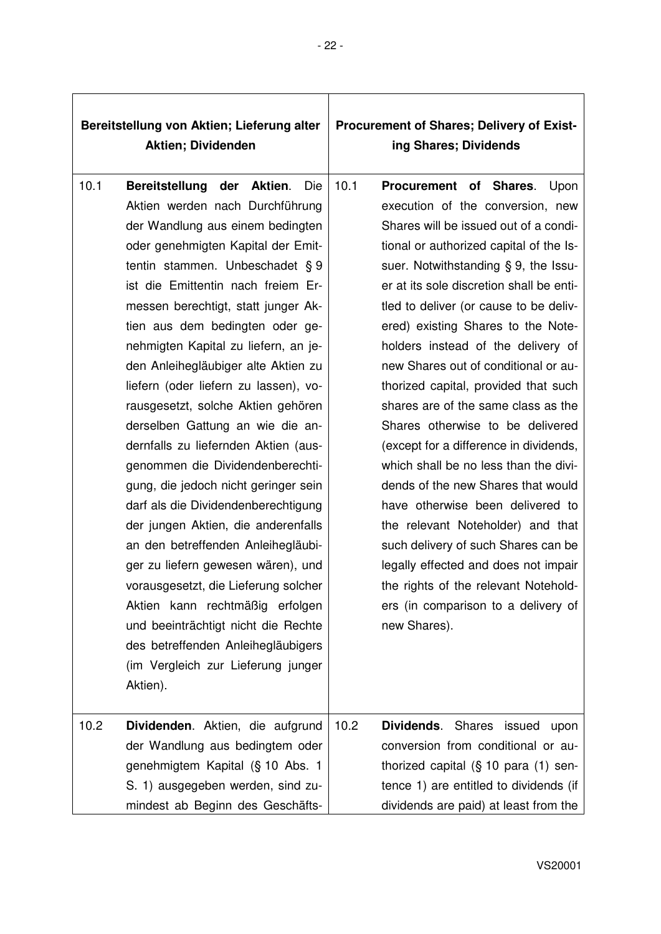| Bereitstellung von Aktien; Lieferung alter<br><b>Aktien; Dividenden</b> |                                                                                                                                                                                                                                                                                                                                                                                                                                                                                                                                                                                                                                                                                                                                                                                                                                                                                                                                                                                             |      | <b>Procurement of Shares; Delivery of Exist-</b><br>ing Shares; Dividends                                                                                                                                                                                                                                                                                                                                                                                                                                                                                                                                                                                                                                                                                                                                                                                                                                   |
|-------------------------------------------------------------------------|---------------------------------------------------------------------------------------------------------------------------------------------------------------------------------------------------------------------------------------------------------------------------------------------------------------------------------------------------------------------------------------------------------------------------------------------------------------------------------------------------------------------------------------------------------------------------------------------------------------------------------------------------------------------------------------------------------------------------------------------------------------------------------------------------------------------------------------------------------------------------------------------------------------------------------------------------------------------------------------------|------|-------------------------------------------------------------------------------------------------------------------------------------------------------------------------------------------------------------------------------------------------------------------------------------------------------------------------------------------------------------------------------------------------------------------------------------------------------------------------------------------------------------------------------------------------------------------------------------------------------------------------------------------------------------------------------------------------------------------------------------------------------------------------------------------------------------------------------------------------------------------------------------------------------------|
| 10.1                                                                    | Bereitstellung der Aktien.<br>Die<br>Aktien werden nach Durchführung<br>der Wandlung aus einem bedingten<br>oder genehmigten Kapital der Emit-<br>tentin stammen. Unbeschadet § 9<br>ist die Emittentin nach freiem Er-<br>messen berechtigt, statt junger Ak-<br>tien aus dem bedingten oder ge-<br>nehmigten Kapital zu liefern, an je-<br>den Anleihegläubiger alte Aktien zu<br>liefern (oder liefern zu lassen), vo-<br>rausgesetzt, solche Aktien gehören<br>derselben Gattung an wie die an-<br>dernfalls zu liefernden Aktien (aus-<br>genommen die Dividendenberechti-<br>gung, die jedoch nicht geringer sein<br>darf als die Dividendenberechtigung<br>der jungen Aktien, die anderenfalls<br>an den betreffenden Anleihegläubi-<br>ger zu liefern gewesen wären), und<br>vorausgesetzt, die Lieferung solcher<br>Aktien kann rechtmäßig erfolgen<br>und beeinträchtigt nicht die Rechte<br>des betreffenden Anleihegläubigers<br>(im Vergleich zur Lieferung junger<br>Aktien). | 10.1 | Procurement of Shares.<br>Upon<br>execution of the conversion, new<br>Shares will be issued out of a condi-<br>tional or authorized capital of the Is-<br>suer. Notwithstanding § 9, the Issu-<br>er at its sole discretion shall be enti-<br>tled to deliver (or cause to be deliv-<br>ered) existing Shares to the Note-<br>holders instead of the delivery of<br>new Shares out of conditional or au-<br>thorized capital, provided that such<br>shares are of the same class as the<br>Shares otherwise to be delivered<br>(except for a difference in dividends,<br>which shall be no less than the divi-<br>dends of the new Shares that would<br>have otherwise been delivered to<br>the relevant Noteholder) and that<br>such delivery of such Shares can be<br>legally effected and does not impair<br>the rights of the relevant Notehold-<br>ers (in comparison to a delivery of<br>new Shares). |
| 10.2                                                                    | Dividenden. Aktien, die aufgrund<br>der Wandlung aus bedingtem oder<br>genehmigtem Kapital (§ 10 Abs. 1<br>S. 1) ausgegeben werden, sind zu-<br>mindest ab Beginn des Geschäfts-                                                                                                                                                                                                                                                                                                                                                                                                                                                                                                                                                                                                                                                                                                                                                                                                            | 10.2 | Shares issued<br>Dividends.<br>upon<br>conversion from conditional or au-<br>thorized capital $(\S 10 \text{ para } (1) \text{ sen-})$<br>tence 1) are entitled to dividends (if<br>dividends are paid) at least from the                                                                                                                                                                                                                                                                                                                                                                                                                                                                                                                                                                                                                                                                                   |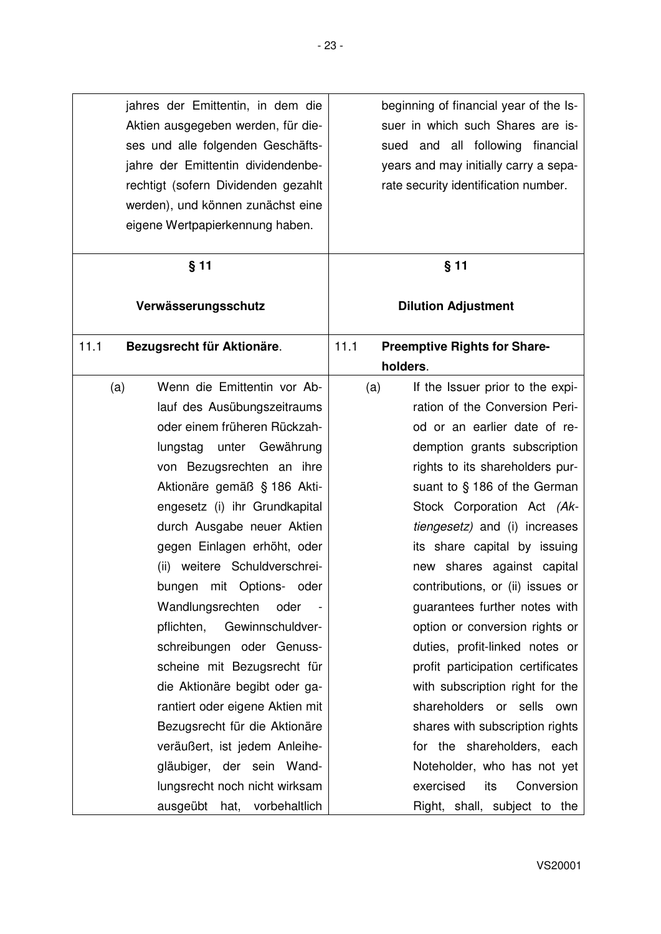| beginning of financial year of the Is- | jahres der Emittentin, in dem die   |
|----------------------------------------|-------------------------------------|
| suer in which such Shares are is-      | Aktien ausgegeben werden, für die-  |
| sued and all following<br>financial    | ses und alle folgenden Geschäfts-   |
| years and may initially carry a sepa-  | jahre der Emittentin dividendenbe-  |
| rate security identification number.   | rechtigt (sofern Dividenden gezahlt |
|                                        | werden), und können zunächst eine   |
|                                        | eigene Wertpapierkennung haben.     |
|                                        |                                     |

| $§$ 11                             | $§$ 11                                      |
|------------------------------------|---------------------------------------------|
| Verwässerungsschutz                | <b>Dilution Adjustment</b>                  |
| 11.1<br>Bezugsrecht für Aktionäre. | 11.1<br><b>Preemptive Rights for Share-</b> |
|                                    | holders.                                    |
| Wenn die Emittentin vor Ab-<br>(a) | (a)<br>If the Issuer prior to the expi-     |
| lauf des Ausübungszeitraums        | ration of the Conversion Peri-              |
| oder einem früheren Rückzah-       | od or an earlier date of re-                |
| unter Gewährung<br>lungstag        | demption grants subscription                |
| von Bezugsrechten an ihre          | rights to its shareholders pur-             |
| Aktionäre gemäß § 186 Akti-        | suant to $§$ 186 of the German              |
| engesetz (i) ihr Grundkapital      | Stock Corporation Act (Ak-                  |
| durch Ausgabe neuer Aktien         | tiengesetz) and (i) increases               |
| gegen Einlagen erhöht, oder        | its share capital by issuing                |
| (ii) weitere Schuldverschrei-      | new shares against capital                  |
| mit Options- oder<br>bungen        | contributions, or (ii) issues or            |
| Wandlungsrechten<br>oder           | guarantees further notes with               |
| Gewinnschuldver-<br>pflichten,     | option or conversion rights or              |
| schreibungen oder Genuss-          | duties, profit-linked notes or              |
| scheine mit Bezugsrecht für        | profit participation certificates           |
| die Aktionäre begibt oder ga-      | with subscription right for the             |
| rantiert oder eigene Aktien mit    | shareholders or sells own                   |
| Bezugsrecht für die Aktionäre      | shares with subscription rights             |
| veräußert, ist jedem Anleihe-      | for the shareholders, each                  |
| gläubiger, der sein Wand-          | Noteholder, who has not yet                 |
| lungsrecht noch nicht wirksam      | exercised<br>its<br>Conversion              |
| ausgeübt hat, vorbehaltlich        | Right, shall, subject to the                |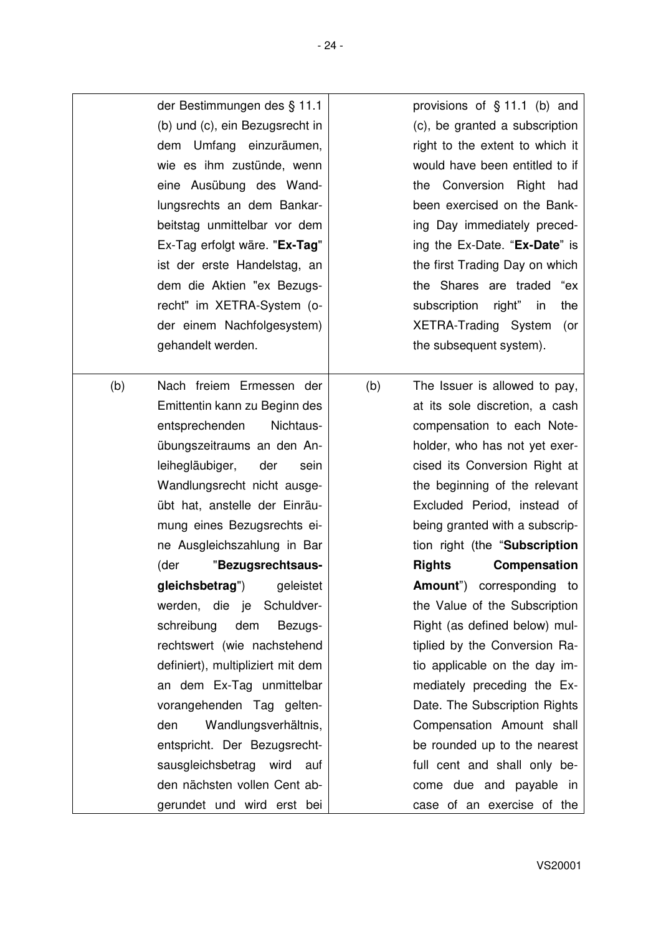|     | der Bestimmungen des § 11.1<br>(b) und (c), ein Bezugsrecht in<br>dem Umfang einzuräumen,<br>wie es ihm zustünde, wenn<br>eine Ausübung des Wand-<br>lungsrechts an dem Bankar-<br>beitstag unmittelbar vor dem<br>Ex-Tag erfolgt wäre. "Ex-Tag"<br>ist der erste Handelstag, an<br>dem die Aktien "ex Bezugs-<br>recht" im XETRA-System (o-<br>der einem Nachfolgesystem)<br>gehandelt werden.                                                                                                                                                                                                                                                                                                        |     | provisions of $§$ 11.1 (b) and<br>(c), be granted a subscription<br>right to the extent to which it<br>would have been entitled to if<br>the Conversion Right<br>had<br>been exercised on the Bank-<br>ing Day immediately preced-<br>ing the Ex-Date. "Ex-Date" is<br>the first Trading Day on which<br>the Shares are traded<br>"ex<br>subscription right"<br>the<br><i>in</i><br>XETRA-Trading System<br>(or<br>the subsequent system).                                                                                                                                                                                                                                                                          |
|-----|--------------------------------------------------------------------------------------------------------------------------------------------------------------------------------------------------------------------------------------------------------------------------------------------------------------------------------------------------------------------------------------------------------------------------------------------------------------------------------------------------------------------------------------------------------------------------------------------------------------------------------------------------------------------------------------------------------|-----|---------------------------------------------------------------------------------------------------------------------------------------------------------------------------------------------------------------------------------------------------------------------------------------------------------------------------------------------------------------------------------------------------------------------------------------------------------------------------------------------------------------------------------------------------------------------------------------------------------------------------------------------------------------------------------------------------------------------|
| (b) | Nach freiem Ermessen der<br>Emittentin kann zu Beginn des<br>entsprechenden<br>Nichtaus-<br>übungszeitraums an den An-<br>leihegläubiger,<br>der<br>sein<br>Wandlungsrecht nicht ausge-<br>übt hat, anstelle der Einräu-<br>mung eines Bezugsrechts ei-<br>ne Ausgleichszahlung in Bar<br>(der<br>"Bezugsrechtsaus-<br>gleichsbetrag") geleistet<br>werden, die je Schuldver-<br>dem<br>schreibung<br>Bezugs-<br>rechtswert (wie nachstehend<br>definiert), multipliziert mit dem<br>an dem Ex-Tag unmittelbar<br>vorangehenden Tag gelten-<br>Wandlungsverhältnis,<br>den<br>entspricht. Der Bezugsrecht-<br>sausgleichsbetrag wird auf<br>den nächsten vollen Cent ab-<br>gerundet und wird erst bei | (b) | The Issuer is allowed to pay,<br>at its sole discretion, a cash<br>compensation to each Note-<br>holder, who has not yet exer-<br>cised its Conversion Right at<br>the beginning of the relevant<br>Excluded Period, instead of<br>being granted with a subscrip-<br>tion right (the "Subscription<br>Rights<br>Compensation<br>Amount") corresponding to<br>the Value of the Subscription<br>Right (as defined below) mul-<br>tiplied by the Conversion Ra-<br>tio applicable on the day im-<br>mediately preceding the Ex-<br>Date. The Subscription Rights<br>Compensation Amount shall<br>be rounded up to the nearest<br>full cent and shall only be-<br>come due and payable in<br>case of an exercise of the |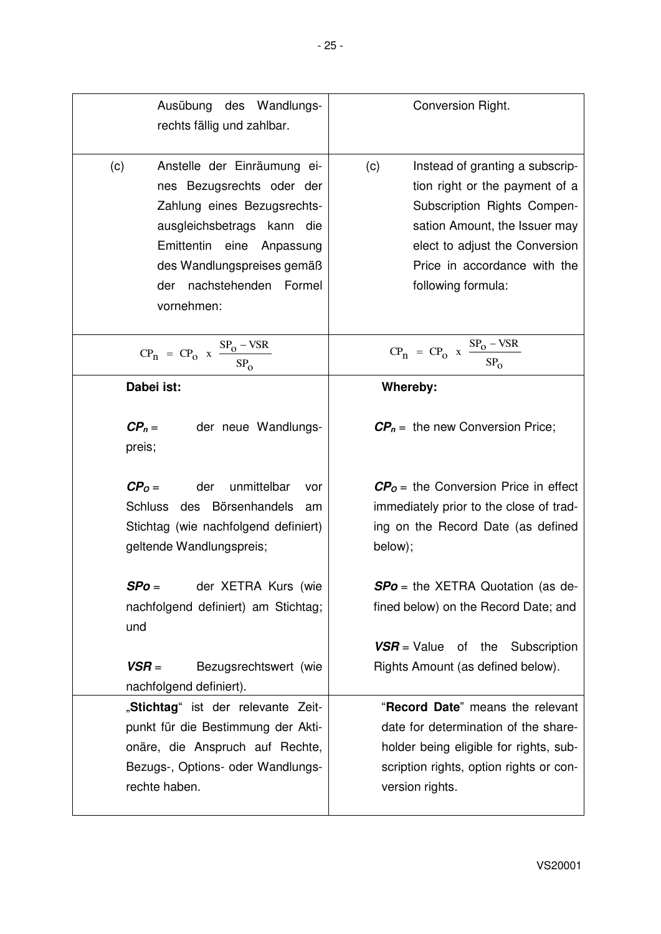| Ausübung des Wandlungs-<br>rechts fällig und zahlbar.                                                                                                                                                                                | Conversion Right.                                                                                                                                                                                                                |
|--------------------------------------------------------------------------------------------------------------------------------------------------------------------------------------------------------------------------------------|----------------------------------------------------------------------------------------------------------------------------------------------------------------------------------------------------------------------------------|
| Anstelle der Einräumung ei-<br>(c)<br>nes Bezugsrechts oder der<br>Zahlung eines Bezugsrechts-<br>ausgleichsbetrags kann die<br>Emittentin eine Anpassung<br>des Wandlungspreises gemäß<br>nachstehenden Formel<br>der<br>vornehmen: | (c)<br>Instead of granting a subscrip-<br>tion right or the payment of a<br>Subscription Rights Compen-<br>sation Amount, the Issuer may<br>elect to adjust the Conversion<br>Price in accordance with the<br>following formula: |
| $CP_n = CP_0$ x $\frac{SP_0 - VSR}{SP_0}$                                                                                                                                                                                            | $CP_n = CP_0$ x $\frac{SP_0 - VSR}{SP_0}$                                                                                                                                                                                        |
| Dabei ist:                                                                                                                                                                                                                           | Whereby:                                                                                                                                                                                                                         |
| $\mathbf{CP}_n =$<br>der neue Wandlungs-<br>preis;                                                                                                                                                                                   | $\mathbf{CP}_n =$ the new Conversion Price;                                                                                                                                                                                      |
| unmittelbar<br>$CPO =$<br>der<br>vor<br>Schluss des Börsenhandels<br>am<br>Stichtag (wie nachfolgend definiert)<br>geltende Wandlungspreis;                                                                                          | $C PO$ = the Conversion Price in effect<br>immediately prior to the close of trad-<br>ing on the Record Date (as defined<br>below);                                                                                              |
| der XETRA Kurs (wie<br>$SPo =$<br>nachfolgend definiert) am Stichtag;<br>und                                                                                                                                                         | <b>SPo</b> = the XETRA Quotation (as de-<br>fined below) on the Record Date; and                                                                                                                                                 |
| $VSR =$<br>Bezugsrechtswert (wie<br>nachfolgend definiert).                                                                                                                                                                          | $VSR = Value$ of the Subscription<br>Rights Amount (as defined below).                                                                                                                                                           |
| "Stichtag" ist der relevante Zeit-<br>punkt für die Bestimmung der Akti-<br>onäre, die Anspruch auf Rechte,<br>Bezugs-, Options- oder Wandlungs-<br>rechte haben.                                                                    | "Record Date" means the relevant<br>date for determination of the share-<br>holder being eligible for rights, sub-<br>scription rights, option rights or con-<br>version rights.                                                 |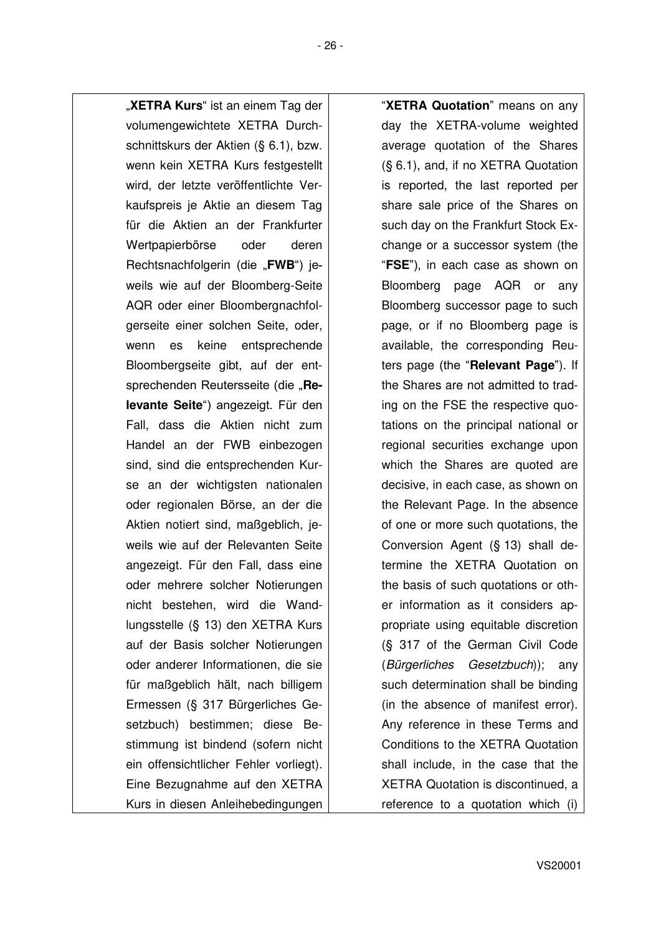"XETRA Kurs" ist an einem Tag der volumengewichtete XETRA Durchschnittskurs der Aktien (§ 6.1), bzw. wenn kein XETRA Kurs festgestellt wird, der letzte veröffentlichte Verkaufspreis je Aktie an diesem Tag für die Aktien an der Frankfurter Wertpapierbörse oder deren Rechtsnachfolgerin (die "**FWB**") jeweils wie auf der Bloomberg-Seite AQR oder einer Bloombergnachfolgerseite einer solchen Seite, oder, wenn es keine entsprechende Bloombergseite gibt, auf der entsprechenden Reutersseite (die "Re**levante Seite**") angezeigt. Für den Fall, dass die Aktien nicht zum Handel an der FWB einbezogen sind, sind die entsprechenden Kurse an der wichtigsten nationalen oder regionalen Börse, an der die Aktien notiert sind, maßgeblich, jeweils wie auf der Relevanten Seite angezeigt. Für den Fall, dass eine oder mehrere solcher Notierungen nicht bestehen, wird die Wandlungsstelle (§ 13) den XETRA Kurs auf der Basis solcher Notierungen oder anderer Informationen, die sie für maßgeblich hält, nach billigem Ermessen (§ 317 Bürgerliches Gesetzbuch) bestimmen; diese Bestimmung ist bindend (sofern nicht ein offensichtlicher Fehler vorliegt). Eine Bezugnahme auf den XETRA Kurs in diesen Anleihebedingungen

"**XETRA Quotation**" means on any day the XETRA-volume weighted average quotation of the Shares (§ 6.1), and, if no XETRA Quotation is reported, the last reported per share sale price of the Shares on such day on the Frankfurt Stock Exchange or a successor system (the "**FSE**"), in each case as shown on Bloomberg page AQR or any Bloomberg successor page to such page, or if no Bloomberg page is available, the corresponding Reuters page (the "**Relevant Page**"). If the Shares are not admitted to trading on the FSE the respective quotations on the principal national or regional securities exchange upon which the Shares are quoted are decisive, in each case, as shown on the Relevant Page. In the absence of one or more such quotations, the Conversion Agent (§ 13) shall determine the XETRA Quotation on the basis of such quotations or other information as it considers appropriate using equitable discretion (§ 317 of the German Civil Code (*Bürgerliches Gesetzbuch*)); any such determination shall be binding (in the absence of manifest error). Any reference in these Terms and Conditions to the XETRA Quotation shall include, in the case that the XETRA Quotation is discontinued, a reference to a quotation which (i)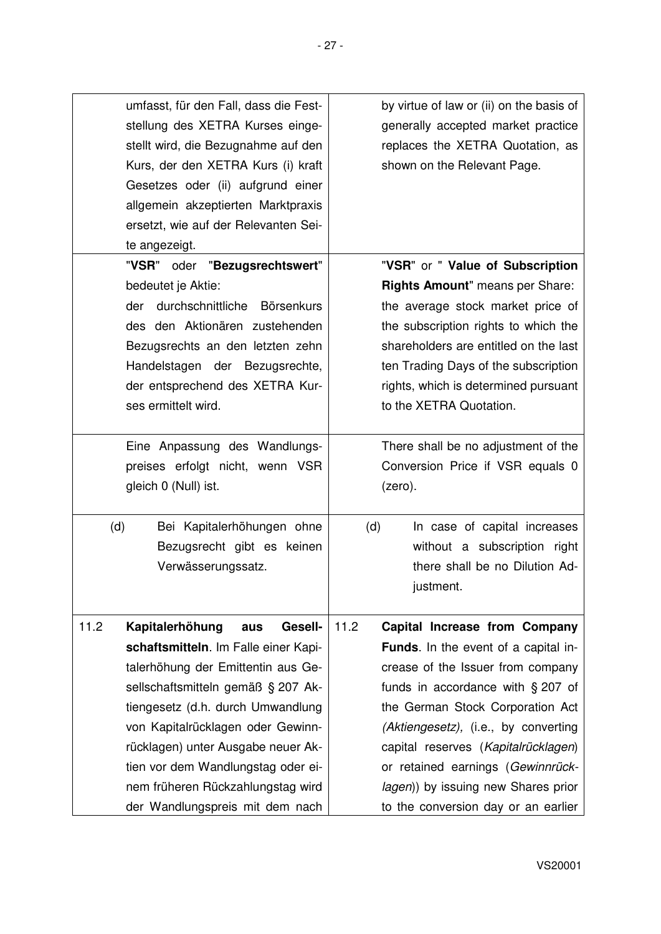| umfasst, für den Fall, dass die Fest-<br>stellung des XETRA Kurses einge-<br>stellt wird, die Bezugnahme auf den<br>Kurs, der den XETRA Kurs (i) kraft<br>Gesetzes oder (ii) aufgrund einer<br>allgemein akzeptierten Marktpraxis<br>ersetzt, wie auf der Relevanten Sei-                                                        | by virtue of law or (ii) on the basis of<br>generally accepted market practice<br>replaces the XETRA Quotation, as<br>shown on the Relevant Page.                                                                                                                                                                                                                               |
|----------------------------------------------------------------------------------------------------------------------------------------------------------------------------------------------------------------------------------------------------------------------------------------------------------------------------------|---------------------------------------------------------------------------------------------------------------------------------------------------------------------------------------------------------------------------------------------------------------------------------------------------------------------------------------------------------------------------------|
| te angezeigt.                                                                                                                                                                                                                                                                                                                    |                                                                                                                                                                                                                                                                                                                                                                                 |
| "VSR" oder "Bezugsrechtswert"<br>bedeutet je Aktie:<br>durchschnittliche Börsenkurs<br>der<br>des den Aktionären zustehenden<br>Bezugsrechts an den letzten zehn<br>Handelstagen der Bezugsrechte,<br>der entsprechend des XETRA Kur-<br>ses ermittelt wird.<br>Eine Anpassung des Wandlungs-<br>preises erfolgt nicht, wenn VSR | "VSR" or " Value of Subscription<br>Rights Amount" means per Share:<br>the average stock market price of<br>the subscription rights to which the<br>shareholders are entitled on the last<br>ten Trading Days of the subscription<br>rights, which is determined pursuant<br>to the XETRA Quotation.<br>There shall be no adjustment of the<br>Conversion Price if VSR equals 0 |
| gleich 0 (Null) ist.                                                                                                                                                                                                                                                                                                             | (zero).                                                                                                                                                                                                                                                                                                                                                                         |
| (d)<br>Bei Kapitalerhöhungen ohne<br>Bezugsrecht gibt es keinen<br>Verwässerungssatz.                                                                                                                                                                                                                                            | (d)<br>In case of capital increases<br>without a subscription right<br>there shall be no Dilution Ad-<br>justment.                                                                                                                                                                                                                                                              |
| 11.2<br>Kapitalerhöhung<br><b>Gesell-</b><br>aus                                                                                                                                                                                                                                                                                 | 11.2<br>Capital Increase from Company                                                                                                                                                                                                                                                                                                                                           |
| schaftsmitteln. Im Falle einer Kapi-<br>talerhöhung der Emittentin aus Ge-<br>sellschaftsmitteln gemäß § 207 Ak-                                                                                                                                                                                                                 | Funds. In the event of a capital in-<br>crease of the Issuer from company<br>funds in accordance with $\S 207$ of                                                                                                                                                                                                                                                               |
| tiengesetz (d.h. durch Umwandlung<br>von Kapitalrücklagen oder Gewinn-<br>rücklagen) unter Ausgabe neuer Ak-<br>tien vor dem Wandlungstag oder ei-                                                                                                                                                                               | the German Stock Corporation Act<br>(Aktiengesetz), (i.e., by converting<br>capital reserves (Kapitalrücklagen)<br>or retained earnings (Gewinnrück-                                                                                                                                                                                                                            |
| nem früheren Rückzahlungstag wird<br>der Wandlungspreis mit dem nach                                                                                                                                                                                                                                                             | lagen)) by issuing new Shares prior<br>to the conversion day or an earlier                                                                                                                                                                                                                                                                                                      |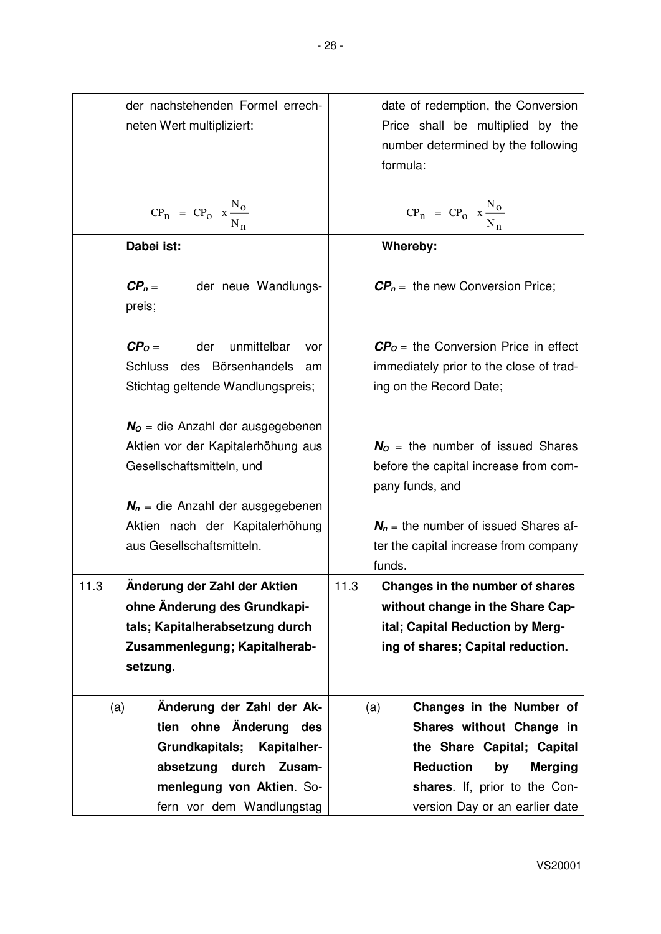| der nachstehenden Formel errech-          | date of redemption, the Conversion               |
|-------------------------------------------|--------------------------------------------------|
| neten Wert multipliziert:                 | Price shall be multiplied by the                 |
|                                           | number determined by the following               |
|                                           | formula:                                         |
|                                           |                                                  |
| $CP_n = CP_0 x \frac{N_0}{N_n}$           | $CP_n = CP_0 x \frac{N_0}{N_n}$                  |
|                                           |                                                  |
| Dabei ist:                                | Whereby:                                         |
| $CP_n =$<br>der neue Wandlungs-<br>preis; | $\mathbf{CP}_n =$ the new Conversion Price;      |
| $CPO =$<br>der<br>unmittelbar<br>vor      | $\mathbf{CP}_0$ = the Conversion Price in effect |
| des Börsenhandels<br>Schluss<br>am        | immediately prior to the close of trad-          |
| Stichtag geltende Wandlungspreis;         | ing on the Record Date;                          |
|                                           |                                                  |
| $NO$ = die Anzahl der ausgegebenen        |                                                  |
| Aktien vor der Kapitalerhöhung aus        | $No$ = the number of issued Shares               |
| Gesellschaftsmitteln, und                 | before the capital increase from com-            |
|                                           | pany funds, and                                  |
| $N_n$ = die Anzahl der ausgegebenen       |                                                  |
| Aktien nach der Kapitalerhöhung           | $N_n$ = the number of issued Shares af-          |
| aus Gesellschaftsmitteln.                 | ter the capital increase from company            |
|                                           | funds.                                           |
| Anderung der Zahl der Aktien<br>11.3      | Changes in the number of shares<br>11.3          |
| ohne Änderung des Grundkapi-              | without change in the Share Cap-                 |
| tals; Kapitalherabsetzung durch           | ital; Capital Reduction by Merg-                 |
| Zusammenlegung; Kapitalherab-             | ing of shares; Capital reduction.                |
| setzung.                                  |                                                  |
|                                           |                                                  |
| Änderung der Zahl der Ak-<br>(a)          | Changes in the Number of<br>(a)                  |
| tien ohne Änderung<br>des                 | Shares without Change in                         |
| Grundkapitals; Kapitalher-                | the Share Capital; Capital                       |
| absetzung<br>durch<br>Zusam-              | <b>Reduction</b><br>by<br><b>Merging</b>         |
| menlegung von Aktien. So-                 | shares. If, prior to the Con-                    |
| fern vor dem Wandlungstag                 | version Day or an earlier date                   |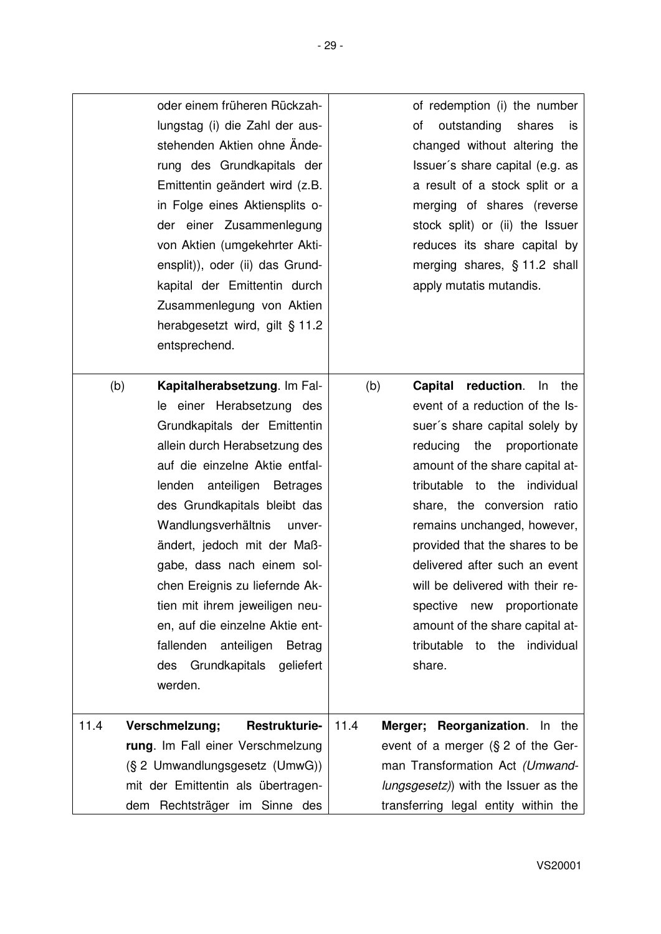|      | oder einem früheren Rückzah-<br>lungstag (i) die Zahl der aus-<br>stehenden Aktien ohne Ände-<br>rung des Grundkapitals der<br>Emittentin geändert wird (z.B.<br>in Folge eines Aktiensplits o-<br>der einer Zusammenlegung<br>von Aktien (umgekehrter Akti-<br>ensplit)), oder (ii) das Grund-<br>kapital der Emittentin durch<br>Zusammenlegung von Aktien<br>herabgesetzt wird, gilt § 11.2<br>entsprechend.                                                                                                | of redemption (i) the number<br>outstanding<br>οf<br>shares<br>is<br>changed without altering the<br>Issuer's share capital (e.g. as<br>a result of a stock split or a<br>merging of shares (reverse<br>stock split) or (ii) the Issuer<br>reduces its share capital by<br>merging shares, § 11.2 shall<br>apply mutatis mutandis.                                                                                                                                                                    |
|------|----------------------------------------------------------------------------------------------------------------------------------------------------------------------------------------------------------------------------------------------------------------------------------------------------------------------------------------------------------------------------------------------------------------------------------------------------------------------------------------------------------------|-------------------------------------------------------------------------------------------------------------------------------------------------------------------------------------------------------------------------------------------------------------------------------------------------------------------------------------------------------------------------------------------------------------------------------------------------------------------------------------------------------|
| (b)  | Kapitalherabsetzung. Im Fal-<br>le einer Herabsetzung des<br>Grundkapitals der Emittentin<br>allein durch Herabsetzung des<br>auf die einzelne Aktie entfal-<br>lenden anteiligen Betrages<br>des Grundkapitals bleibt das<br>Wandlungsverhältnis<br>unver-<br>ändert, jedoch mit der Maß-<br>gabe, dass nach einem sol-<br>chen Ereignis zu liefernde Ak-<br>tien mit ihrem jeweiligen neu-<br>en, auf die einzelne Aktie ent-<br>fallenden anteiligen<br>Betrag<br>des Grundkapitals<br>geliefert<br>werden. | reduction. In the<br>(b)<br>Capital<br>event of a reduction of the Is-<br>suer's share capital solely by<br>the proportionate<br>reducing<br>amount of the share capital at-<br>tributable to the individual<br>share, the conversion ratio<br>remains unchanged, however,<br>provided that the shares to be<br>delivered after such an event<br>will be delivered with their re-<br>spective<br>new proportionate<br>amount of the share capital at-<br>tributable<br>individual<br>to the<br>share. |
| 11.4 | Verschmelzung;<br><b>Restrukturie-</b>                                                                                                                                                                                                                                                                                                                                                                                                                                                                         | 11.4<br>Merger; Reorganization. In the                                                                                                                                                                                                                                                                                                                                                                                                                                                                |
|      | rung. Im Fall einer Verschmelzung                                                                                                                                                                                                                                                                                                                                                                                                                                                                              | event of a merger $(S2$ of the Ger-                                                                                                                                                                                                                                                                                                                                                                                                                                                                   |
|      | (§ 2 Umwandlungsgesetz (UmwG))                                                                                                                                                                                                                                                                                                                                                                                                                                                                                 | man Transformation Act (Umwand-                                                                                                                                                                                                                                                                                                                                                                                                                                                                       |
|      | mit der Emittentin als übertragen-                                                                                                                                                                                                                                                                                                                                                                                                                                                                             | lungsgesetz)) with the Issuer as the                                                                                                                                                                                                                                                                                                                                                                                                                                                                  |
|      | dem Rechtsträger im Sinne des                                                                                                                                                                                                                                                                                                                                                                                                                                                                                  | transferring legal entity within the                                                                                                                                                                                                                                                                                                                                                                                                                                                                  |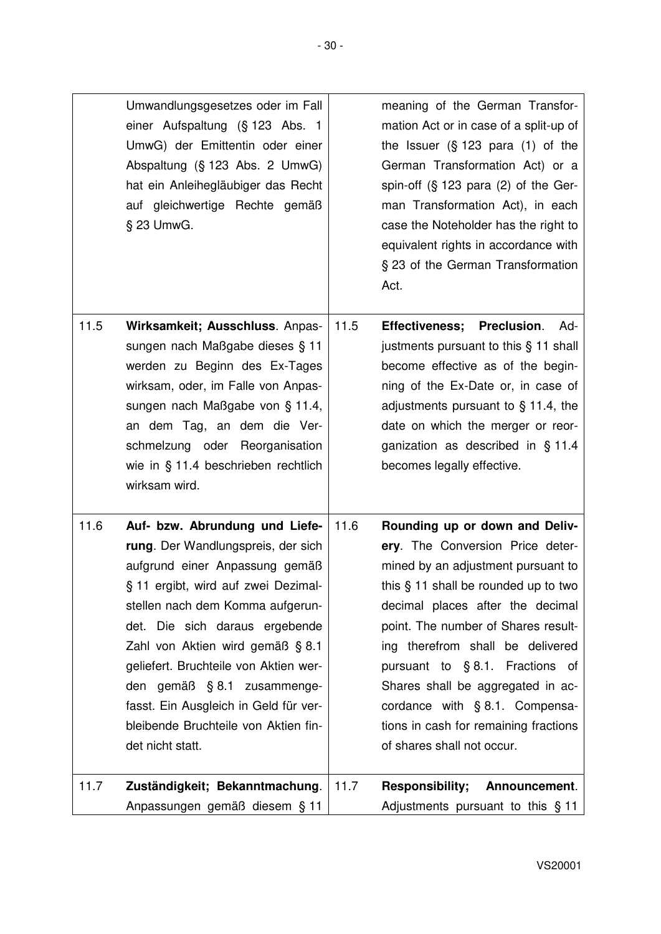|      | Umwandlungsgesetzes oder im Fall<br>einer Aufspaltung (§ 123 Abs. 1<br>UmwG) der Emittentin oder einer<br>Abspaltung (§ 123 Abs. 2 UmwG)<br>hat ein Anleihegläubiger das Recht<br>auf gleichwertige Rechte gemäß<br>§ 23 UmwG.                                                                                                                                                                                                       |      | meaning of the German Transfor-<br>mation Act or in case of a split-up of<br>the Issuer $(\S 123 \text{ para } (1) \text{ of the})$<br>German Transformation Act) or a<br>spin-off $(S_1 123)$ para $(2)$ of the Ger-<br>man Transformation Act), in each<br>case the Noteholder has the right to<br>equivalent rights in accordance with<br>§ 23 of the German Transformation<br>Act.                                                             |
|------|--------------------------------------------------------------------------------------------------------------------------------------------------------------------------------------------------------------------------------------------------------------------------------------------------------------------------------------------------------------------------------------------------------------------------------------|------|----------------------------------------------------------------------------------------------------------------------------------------------------------------------------------------------------------------------------------------------------------------------------------------------------------------------------------------------------------------------------------------------------------------------------------------------------|
| 11.5 | Wirksamkeit; Ausschluss. Anpas-<br>sungen nach Maßgabe dieses § 11<br>werden zu Beginn des Ex-Tages<br>wirksam, oder, im Falle von Anpas-<br>sungen nach Maßgabe von § 11.4,<br>an dem Tag, an dem die Ver-<br>schmelzung oder Reorganisation<br>wie in § 11.4 beschrieben rechtlich<br>wirksam wird.                                                                                                                                | 11.5 | Effectiveness; Preclusion.<br>Ad-<br>justments pursuant to this § 11 shall<br>become effective as of the begin-<br>ning of the Ex-Date or, in case of<br>adjustments pursuant to $\S$ 11.4, the<br>date on which the merger or reor-<br>ganization as described in § 11.4<br>becomes legally effective.                                                                                                                                            |
| 11.6 | Auf- bzw. Abrundung und Liefe-<br>rung. Der Wandlungspreis, der sich<br>aufgrund einer Anpassung gemäß<br>§ 11 ergibt, wird auf zwei Dezimal-<br>stellen nach dem Komma aufgerun-<br>det. Die sich daraus ergebende<br>Zahl von Aktien wird gemäß § 8.1<br>geliefert. Bruchteile von Aktien wer-<br>den gemäß § 8.1 zusammenge-<br>fasst. Ein Ausgleich in Geld für ver-<br>bleibende Bruchteile von Aktien fin-<br>det nicht statt. | 11.6 | Rounding up or down and Deliv-<br>ery. The Conversion Price deter-<br>mined by an adjustment pursuant to<br>this $\S$ 11 shall be rounded up to two<br>decimal places after the decimal<br>point. The number of Shares result-<br>ing therefrom shall be delivered<br>pursuant to §8.1. Fractions of<br>Shares shall be aggregated in ac-<br>cordance with § 8.1. Compensa-<br>tions in cash for remaining fractions<br>of shares shall not occur. |
| 11.7 | Zuständigkeit; Bekanntmachung.                                                                                                                                                                                                                                                                                                                                                                                                       | 11.7 | Responsibility;<br>Announcement.                                                                                                                                                                                                                                                                                                                                                                                                                   |
|      | Anpassungen gemäß diesem § 11                                                                                                                                                                                                                                                                                                                                                                                                        |      | Adjustments pursuant to this § 11                                                                                                                                                                                                                                                                                                                                                                                                                  |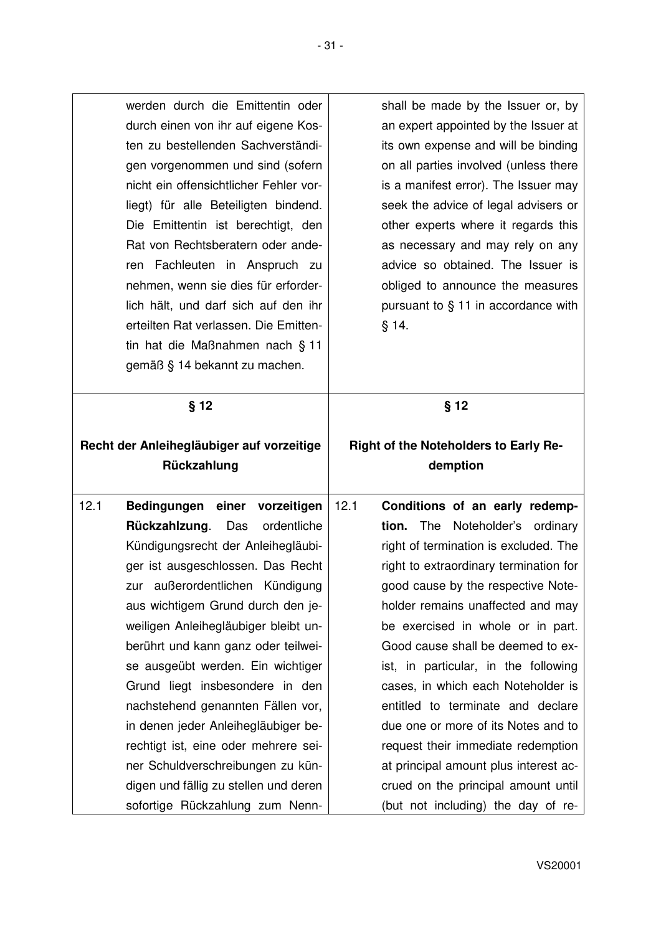| werden durch die Emittentin oder                                                                                                                                                                                                                                                                                                                                                                                                                                                                        | shall be made by the Issuer or, by                                                                                                                                                                                                                                                                                                                                                                       |
|---------------------------------------------------------------------------------------------------------------------------------------------------------------------------------------------------------------------------------------------------------------------------------------------------------------------------------------------------------------------------------------------------------------------------------------------------------------------------------------------------------|----------------------------------------------------------------------------------------------------------------------------------------------------------------------------------------------------------------------------------------------------------------------------------------------------------------------------------------------------------------------------------------------------------|
| durch einen von ihr auf eigene Kos-<br>ten zu bestellenden Sachverständi-<br>gen vorgenommen und sind (sofern<br>nicht ein offensichtlicher Fehler vor-<br>liegt) für alle Beteiligten bindend.<br>Die Emittentin ist berechtigt, den<br>Rat von Rechtsberatern oder ande-<br>ren Fachleuten in Anspruch zu<br>nehmen, wenn sie dies für erforder-<br>lich hält, und darf sich auf den ihr<br>erteilten Rat verlassen. Die Emitten-<br>tin hat die Maßnahmen nach § 11<br>gemäß § 14 bekannt zu machen. | an expert appointed by the Issuer at<br>its own expense and will be binding<br>on all parties involved (unless there<br>is a manifest error). The Issuer may<br>seek the advice of legal advisers or<br>other experts where it regards this<br>as necessary and may rely on any<br>advice so obtained. The Issuer is<br>obliged to announce the measures<br>pursuant to § 11 in accordance with<br>§ 14. |
| § 12                                                                                                                                                                                                                                                                                                                                                                                                                                                                                                    | $§$ 12                                                                                                                                                                                                                                                                                                                                                                                                   |
| Recht der Anleihegläubiger auf vorzeitige                                                                                                                                                                                                                                                                                                                                                                                                                                                               | Right of the Noteholders to Early Re-                                                                                                                                                                                                                                                                                                                                                                    |
| Rückzahlung                                                                                                                                                                                                                                                                                                                                                                                                                                                                                             | demption                                                                                                                                                                                                                                                                                                                                                                                                 |
|                                                                                                                                                                                                                                                                                                                                                                                                                                                                                                         |                                                                                                                                                                                                                                                                                                                                                                                                          |
|                                                                                                                                                                                                                                                                                                                                                                                                                                                                                                         |                                                                                                                                                                                                                                                                                                                                                                                                          |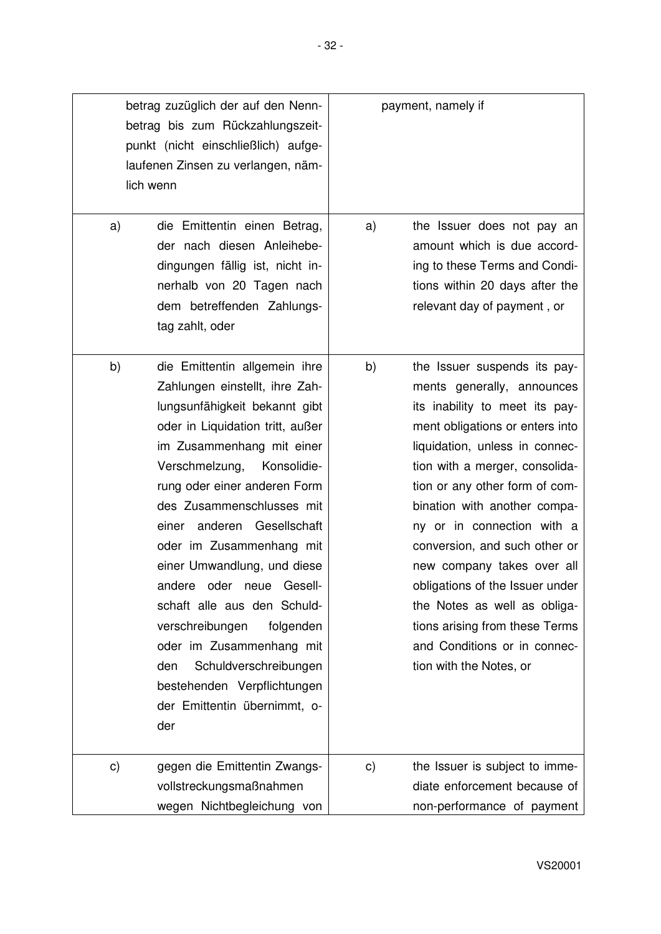|               | betrag zuzüglich der auf den Nenn-<br>betrag bis zum Rückzahlungszeit-<br>punkt (nicht einschließlich) aufge-<br>laufenen Zinsen zu verlangen, näm-<br>lich wenn                                                                                                                                                                                                                                                                                                                                                                                                                         | payment, namely if |                                                                                                                                                                                                                                                                                                                                                                                                                                                                                                                                    |
|---------------|------------------------------------------------------------------------------------------------------------------------------------------------------------------------------------------------------------------------------------------------------------------------------------------------------------------------------------------------------------------------------------------------------------------------------------------------------------------------------------------------------------------------------------------------------------------------------------------|--------------------|------------------------------------------------------------------------------------------------------------------------------------------------------------------------------------------------------------------------------------------------------------------------------------------------------------------------------------------------------------------------------------------------------------------------------------------------------------------------------------------------------------------------------------|
| a)            | die Emittentin einen Betrag,<br>der nach diesen Anleihebe-<br>dingungen fällig ist, nicht in-<br>nerhalb von 20 Tagen nach<br>dem betreffenden Zahlungs-<br>tag zahlt, oder                                                                                                                                                                                                                                                                                                                                                                                                              | a)                 | the Issuer does not pay an<br>amount which is due accord-<br>ing to these Terms and Condi-<br>tions within 20 days after the<br>relevant day of payment, or                                                                                                                                                                                                                                                                                                                                                                        |
| b)            | die Emittentin allgemein ihre<br>Zahlungen einstellt, ihre Zah-<br>lungsunfähigkeit bekannt gibt<br>oder in Liquidation tritt, außer<br>im Zusammenhang mit einer<br>Verschmelzung,<br>Konsolidie-<br>rung oder einer anderen Form<br>des Zusammenschlusses mit<br>einer anderen Gesellschaft<br>oder im Zusammenhang mit<br>einer Umwandlung, und diese<br>Gesell-<br>andere oder neue<br>schaft alle aus den Schuld-<br>verschreibungen<br>folgenden<br>oder im Zusammenhang mit<br>Schuldverschreibungen<br>den<br>bestehenden Verpflichtungen<br>der Emittentin übernimmt, o-<br>der | b)                 | the Issuer suspends its pay-<br>ments generally, announces<br>its inability to meet its pay-<br>ment obligations or enters into<br>liquidation, unless in connec-<br>tion with a merger, consolida-<br>tion or any other form of com-<br>bination with another compa-<br>ny or in connection with a<br>conversion, and such other or<br>new company takes over all<br>obligations of the Issuer under<br>the Notes as well as obliga-<br>tions arising from these Terms<br>and Conditions or in connec-<br>tion with the Notes, or |
| $\mathsf{c})$ | gegen die Emittentin Zwangs-<br>vollstreckungsmaßnahmen<br>wegen Nichtbegleichung von                                                                                                                                                                                                                                                                                                                                                                                                                                                                                                    | $\mathsf{c})$      | the Issuer is subject to imme-<br>diate enforcement because of<br>non-performance of payment                                                                                                                                                                                                                                                                                                                                                                                                                                       |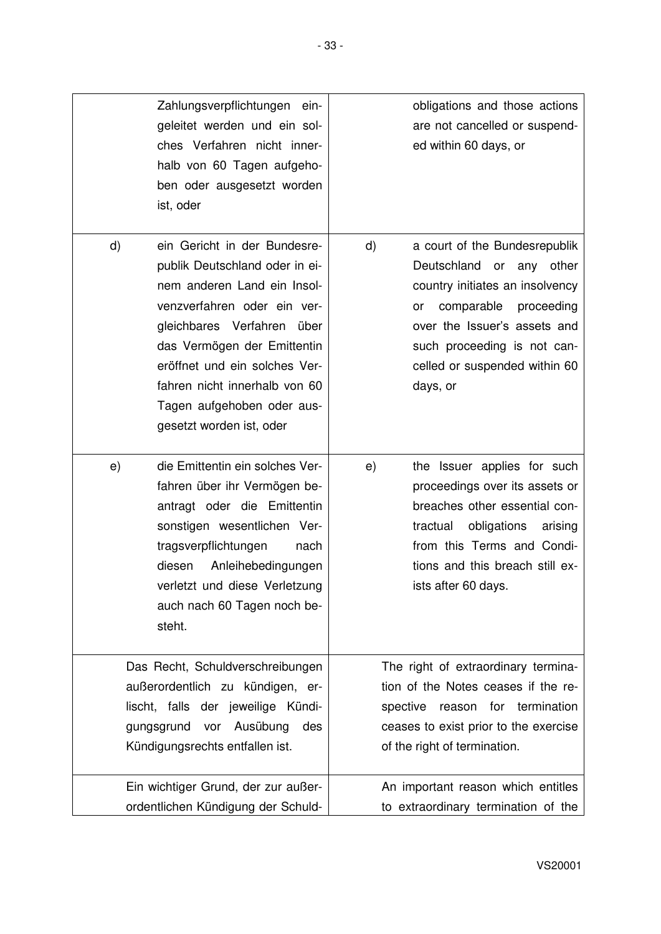| Zahlungsverpflichtungen ein-<br>geleitet werden und ein sol-<br>ches Verfahren nicht inner-<br>halb von 60 Tagen aufgeho-<br>ben oder ausgesetzt worden<br>ist, oder                                                                                                                                                        | obligations and those actions<br>are not cancelled or suspend-<br>ed within 60 days, or                                                                                                                                                                       |
|-----------------------------------------------------------------------------------------------------------------------------------------------------------------------------------------------------------------------------------------------------------------------------------------------------------------------------|---------------------------------------------------------------------------------------------------------------------------------------------------------------------------------------------------------------------------------------------------------------|
| d)<br>ein Gericht in der Bundesre-<br>publik Deutschland oder in ei-<br>nem anderen Land ein Insol-<br>venzverfahren oder ein ver-<br>gleichbares Verfahren über<br>das Vermögen der Emittentin<br>eröffnet und ein solches Ver-<br>fahren nicht innerhalb von 60<br>Tagen aufgehoben oder aus-<br>gesetzt worden ist, oder | $\mathsf{d}$<br>a court of the Bundesrepublik<br>Deutschland<br>or any other<br>country initiates an insolvency<br>comparable<br>proceeding<br>or<br>over the Issuer's assets and<br>such proceeding is not can-<br>celled or suspended within 60<br>days, or |
| die Emittentin ein solches Ver-<br>e)<br>fahren über ihr Vermögen be-<br>antragt oder die Emittentin<br>sonstigen wesentlichen Ver-<br>tragsverpflichtungen<br>nach<br>Anleihebedingungen<br>diesen<br>verletzt und diese Verletzung<br>auch nach 60 Tagen noch be-<br>steht.                                               | the Issuer applies for such<br>e)<br>proceedings over its assets or<br>breaches other essential con-<br>obligations<br>tractual<br>arising<br>from this Terms and Condi-<br>tions and this breach still ex-<br>ists after 60 days.                            |
| Das Recht, Schuldverschreibungen<br>außerordentlich zu kündigen, er-<br>lischt, falls der jeweilige Kündi-<br>gungsgrund<br>vor Ausübung<br>des<br>Kündigungsrechts entfallen ist.                                                                                                                                          | The right of extraordinary termina-<br>tion of the Notes ceases if the re-<br>reason for termination<br>spective<br>ceases to exist prior to the exercise<br>of the right of termination.                                                                     |
| Ein wichtiger Grund, der zur außer-<br>ordentlichen Kündigung der Schuld-                                                                                                                                                                                                                                                   | An important reason which entitles<br>to extraordinary termination of the                                                                                                                                                                                     |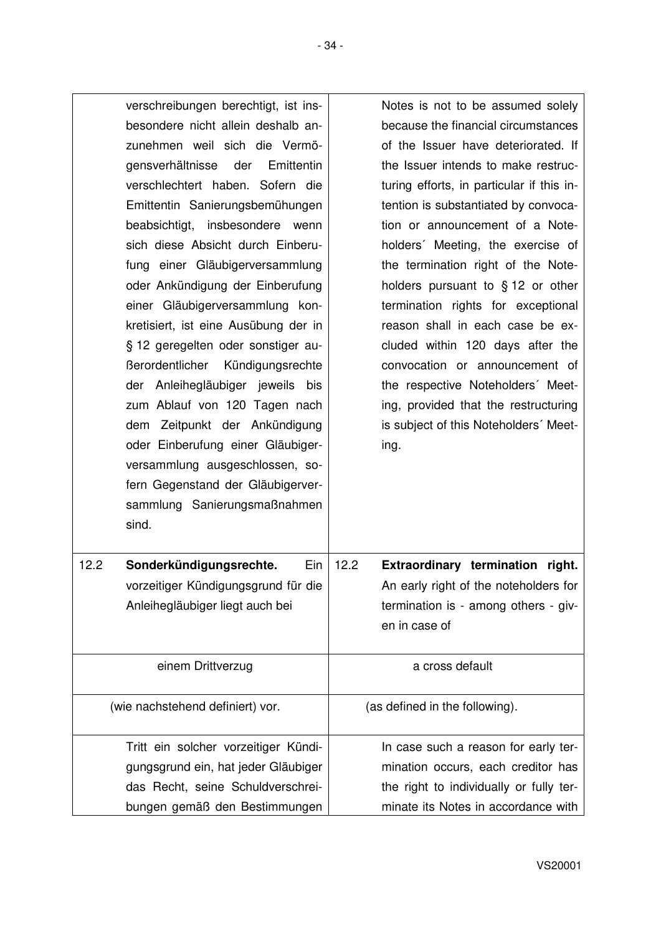| verschreibungen berechtigt, ist ins-<br>besondere nicht allein deshalb an-<br>zunehmen weil sich die Vermö-<br>gensverhältnisse der<br>Emittentin<br>verschlechtert haben. Sofern die<br>Emittentin Sanierungsbemühungen<br>insbesondere<br>beabsichtigt,<br>wenn<br>sich diese Absicht durch Einberu-<br>fung einer Gläubigerversammlung<br>oder Ankündigung der Einberufung<br>einer Gläubigerversammlung kon-<br>kretisiert, ist eine Ausübung der in<br>§ 12 geregelten oder sonstiger au-<br>Berordentlicher Kündigungsrechte<br>der Anleihegläubiger jeweils bis<br>zum Ablauf von 120 Tagen nach<br>dem Zeitpunkt der Ankündigung<br>oder Einberufung einer Gläubiger-<br>versammlung ausgeschlossen, so-<br>fern Gegenstand der Gläubigerver-<br>sammlung Sanierungsmaßnahmen<br>sind. | Notes is not to be assumed solely<br>because the financial circumstances<br>of the Issuer have deteriorated. If<br>the Issuer intends to make restruc-<br>turing efforts, in particular if this in-<br>tention is substantiated by convoca-<br>tion or announcement of a Note-<br>holders' Meeting, the exercise of<br>the termination right of the Note-<br>holders pursuant to $§ 12$ or other<br>termination rights for exceptional<br>reason shall in each case be ex-<br>cluded within 120 days after the<br>convocation or announcement of<br>the respective Noteholders' Meet-<br>ing, provided that the restructuring<br>is subject of this Noteholders' Meet-<br>ing. |
|------------------------------------------------------------------------------------------------------------------------------------------------------------------------------------------------------------------------------------------------------------------------------------------------------------------------------------------------------------------------------------------------------------------------------------------------------------------------------------------------------------------------------------------------------------------------------------------------------------------------------------------------------------------------------------------------------------------------------------------------------------------------------------------------|--------------------------------------------------------------------------------------------------------------------------------------------------------------------------------------------------------------------------------------------------------------------------------------------------------------------------------------------------------------------------------------------------------------------------------------------------------------------------------------------------------------------------------------------------------------------------------------------------------------------------------------------------------------------------------|
| 12.2<br>Sonderkündigungsrechte.<br>Ein<br>vorzeitiger Kündigungsgrund für die                                                                                                                                                                                                                                                                                                                                                                                                                                                                                                                                                                                                                                                                                                                  | Extraordinary termination right.<br>12.2<br>An early right of the noteholders for                                                                                                                                                                                                                                                                                                                                                                                                                                                                                                                                                                                              |
| Anleihegläubiger liegt auch bei                                                                                                                                                                                                                                                                                                                                                                                                                                                                                                                                                                                                                                                                                                                                                                | termination is - among others - giv-<br>en in case of                                                                                                                                                                                                                                                                                                                                                                                                                                                                                                                                                                                                                          |
| einem Drittverzug                                                                                                                                                                                                                                                                                                                                                                                                                                                                                                                                                                                                                                                                                                                                                                              | a cross default                                                                                                                                                                                                                                                                                                                                                                                                                                                                                                                                                                                                                                                                |
| (wie nachstehend definiert) vor.                                                                                                                                                                                                                                                                                                                                                                                                                                                                                                                                                                                                                                                                                                                                                               | (as defined in the following).                                                                                                                                                                                                                                                                                                                                                                                                                                                                                                                                                                                                                                                 |
| Tritt ein solcher vorzeitiger Kündi-                                                                                                                                                                                                                                                                                                                                                                                                                                                                                                                                                                                                                                                                                                                                                           | In case such a reason for early ter-                                                                                                                                                                                                                                                                                                                                                                                                                                                                                                                                                                                                                                           |
| gungsgrund ein, hat jeder Gläubiger                                                                                                                                                                                                                                                                                                                                                                                                                                                                                                                                                                                                                                                                                                                                                            | mination occurs, each creditor has                                                                                                                                                                                                                                                                                                                                                                                                                                                                                                                                                                                                                                             |
| das Recht, seine Schuldverschrei-                                                                                                                                                                                                                                                                                                                                                                                                                                                                                                                                                                                                                                                                                                                                                              | the right to individually or fully ter-                                                                                                                                                                                                                                                                                                                                                                                                                                                                                                                                                                                                                                        |
| bungen gemäß den Bestimmungen                                                                                                                                                                                                                                                                                                                                                                                                                                                                                                                                                                                                                                                                                                                                                                  | minate its Notes in accordance with                                                                                                                                                                                                                                                                                                                                                                                                                                                                                                                                                                                                                                            |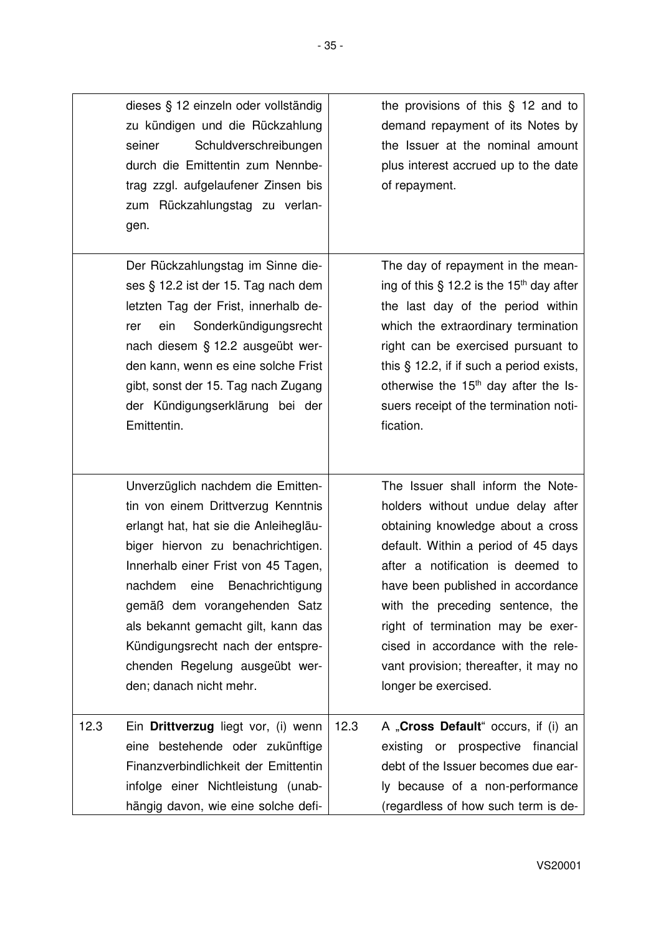|      | dieses § 12 einzeln oder vollständig<br>zu kündigen und die Rückzahlung<br>Schuldverschreibungen<br>seiner<br>durch die Emittentin zum Nennbe-<br>trag zzgl. aufgelaufener Zinsen bis<br>zum Rückzahlungstag zu verlan-<br>gen.                                                                                                                                                                       |      | the provisions of this $\S$ 12 and to<br>demand repayment of its Notes by<br>the Issuer at the nominal amount<br>plus interest accrued up to the date<br>of repayment.                                                                                                                                                                                                                                       |
|------|-------------------------------------------------------------------------------------------------------------------------------------------------------------------------------------------------------------------------------------------------------------------------------------------------------------------------------------------------------------------------------------------------------|------|--------------------------------------------------------------------------------------------------------------------------------------------------------------------------------------------------------------------------------------------------------------------------------------------------------------------------------------------------------------------------------------------------------------|
|      | Der Rückzahlungstag im Sinne die-<br>ses § 12.2 ist der 15. Tag nach dem<br>letzten Tag der Frist, innerhalb de-<br>Sonderkündigungsrecht<br>ein<br>rer<br>nach diesem § 12.2 ausgeübt wer-<br>den kann, wenn es eine solche Frist<br>gibt, sonst der 15. Tag nach Zugang<br>der Kündigungserklärung bei der<br>Emittentin.                                                                           |      | The day of repayment in the mean-<br>ing of this $\S$ 12.2 is the 15 <sup>th</sup> day after<br>the last day of the period within<br>which the extraordinary termination<br>right can be exercised pursuant to<br>this $\S$ 12.2, if if such a period exists,<br>otherwise the 15 <sup>th</sup> day after the Is-<br>suers receipt of the termination noti-<br>fication.                                     |
|      | Unverzüglich nachdem die Emitten-<br>tin von einem Drittverzug Kenntnis<br>erlangt hat, hat sie die Anleihegläu-<br>biger hiervon zu benachrichtigen.<br>Innerhalb einer Frist von 45 Tagen,<br>nachdem eine Benachrichtigung<br>gemäß dem vorangehenden Satz<br>als bekannt gemacht gilt, kann das<br>Kündigungsrecht nach der entspre-<br>chenden Regelung ausgeübt wer-<br>den; danach nicht mehr. |      | The Issuer shall inform the Note-<br>holders without undue delay after<br>obtaining knowledge about a cross<br>default. Within a period of 45 days<br>after a notification is deemed to<br>have been published in accordance<br>with the preceding sentence, the<br>right of termination may be exer-<br>cised in accordance with the rele-<br>vant provision; thereafter, it may no<br>longer be exercised. |
| 12.3 | Ein Drittverzug liegt vor, (i) wenn<br>eine bestehende oder zukünftige<br>Finanzverbindlichkeit der Emittentin<br>infolge einer Nichtleistung (unab-<br>hängig davon, wie eine solche defi-                                                                                                                                                                                                           | 12.3 | A "Cross Default" occurs, if (i) an<br>existing or prospective financial<br>debt of the Issuer becomes due ear-<br>ly because of a non-performance<br>(regardless of how such term is de-                                                                                                                                                                                                                    |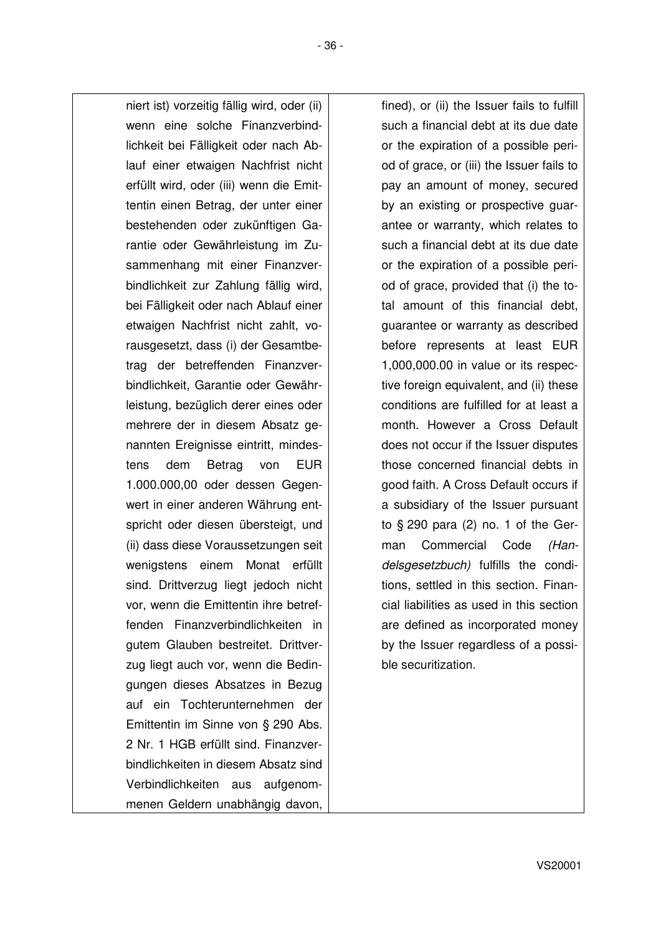niert ist) vorzeitig fällig wird, oder (ii) wenn eine solche Finanzverbindlichkeit bei Fälligkeit oder nach Ablauf einer etwaigen Nachfrist nicht erfüllt wird, oder (iii) wenn die Emittentin einen Betrag, der unter einer bestehenden oder zukünftigen Garantie oder Gewährleistung im Zusammenhang mit einer Finanzverbindlichkeit zur Zahlung fällig wird, bei Fälligkeit oder nach Ablauf einer etwaigen Nachfrist nicht zahlt, vorausgesetzt, dass (i) der Gesamtbetrag der betreffenden Finanzverbindlichkeit, Garantie oder Gewährleistung, bezüglich derer eines oder mehrere der in diesem Absatz genannten Ereignisse eintritt, mindestens dem Betrag von EUR 1.000.000,00 oder dessen Gegenwert in einer anderen Währung entspricht oder diesen übersteigt, und (ii) dass diese Voraussetzungen seit wenigstens einem Monat erfüllt sind. Drittverzug liegt jedoch nicht vor, wenn die Emittentin ihre betreffenden Finanzverbindlichkeiten in gutem Glauben bestreitet. Drittverzug liegt auch vor, wenn die Bedingungen dieses Absatzes in Bezug auf ein Tochterunternehmen der Emittentin im Sinne von § 290 Abs. 2 Nr. 1 HGB erfüllt sind. Finanzverbindlichkeiten in diesem Absatz sind Verbindlichkeiten aus aufgenommenen Geldern unabhängig davon,

fined), or (ii) the Issuer fails to fulfill such a financial debt at its due date or the expiration of a possible period of grace, or (iii) the Issuer fails to pay an amount of money, secured by an existing or prospective guarantee or warranty, which relates to such a financial debt at its due date or the expiration of a possible period of grace, provided that (i) the total amount of this financial debt, guarantee or warranty as described before represents at least EUR 1,000,000.00 in value or its respective foreign equivalent, and (ii) these conditions are fulfilled for at least a month. However a Cross Default does not occur if the Issuer disputes those concerned financial debts in good faith. A Cross Default occurs if a subsidiary of the Issuer pursuant to § 290 para (2) no. 1 of the German Commercial Code *(Handelsgesetzbuch)* fulfills the conditions, settled in this section. Financial liabilities as used in this section are defined as incorporated money by the Issuer regardless of a possible securitization.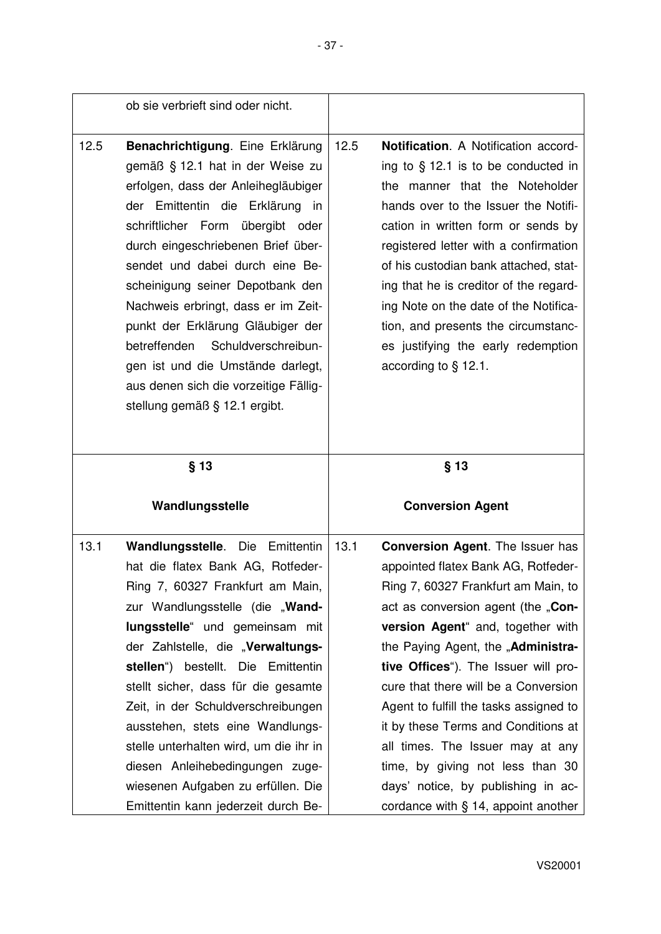|      | ob sie verbrieft sind oder nicht.                                                                                                                                                                                                                                                                                                                                                                                                                                                                                              |                                                                                                                                                                                                                                                                                                                                                                                                                                                                                            |
|------|--------------------------------------------------------------------------------------------------------------------------------------------------------------------------------------------------------------------------------------------------------------------------------------------------------------------------------------------------------------------------------------------------------------------------------------------------------------------------------------------------------------------------------|--------------------------------------------------------------------------------------------------------------------------------------------------------------------------------------------------------------------------------------------------------------------------------------------------------------------------------------------------------------------------------------------------------------------------------------------------------------------------------------------|
| 12.5 | Benachrichtigung. Eine Erklärung<br>gemäß § 12.1 hat in der Weise zu<br>erfolgen, dass der Anleihegläubiger<br>der Emittentin die Erklärung in<br>schriftlicher Form übergibt oder<br>durch eingeschriebenen Brief über-<br>sendet und dabei durch eine Be-<br>scheinigung seiner Depotbank den<br>Nachweis erbringt, dass er im Zeit-<br>punkt der Erklärung Gläubiger der<br>betreffenden Schuldverschreibun-<br>gen ist und die Umstände darlegt,<br>aus denen sich die vorzeitige Fällig-<br>stellung gemäß § 12.1 ergibt. | 12.5<br><b>Notification.</b> A Notification accord-<br>ing to $\S$ 12.1 is to be conducted in<br>the manner that the Noteholder<br>hands over to the Issuer the Notifi-<br>cation in written form or sends by<br>registered letter with a confirmation<br>of his custodian bank attached, stat-<br>ing that he is creditor of the regard-<br>ing Note on the date of the Notifica-<br>tion, and presents the circumstanc-<br>es justifying the early redemption<br>according to $\S$ 12.1. |
|      | $§$ 13                                                                                                                                                                                                                                                                                                                                                                                                                                                                                                                         | $§$ 13                                                                                                                                                                                                                                                                                                                                                                                                                                                                                     |
|      | Wandlungsstelle                                                                                                                                                                                                                                                                                                                                                                                                                                                                                                                | <b>Conversion Agent</b>                                                                                                                                                                                                                                                                                                                                                                                                                                                                    |
| 13.1 | Wandlungsstelle. Die<br>Emittentin<br>hat die flatex Bank AG, Rotfeder-<br>Ring 7, 60327 Frankfurt am Main,<br>zur Wandlungsstelle (die "Wand-<br>lungsstelle" und gemeinsam mit<br>der Zahlstelle, die "Verwaltungs-<br>stellen") bestellt. Die Emittentin<br>stellt sicher, dass für die gesamte                                                                                                                                                                                                                             | 13.1<br><b>Conversion Agent.</b> The Issuer has<br>appointed flatex Bank AG, Rotfeder-<br>Ring 7, 60327 Frankfurt am Main, to<br>act as conversion agent (the "Con-<br>version Agent" and, together with<br>the Paying Agent, the "Administra-<br>tive Offices"). The Issuer will pro-<br>cure that there will be a Conversion                                                                                                                                                             |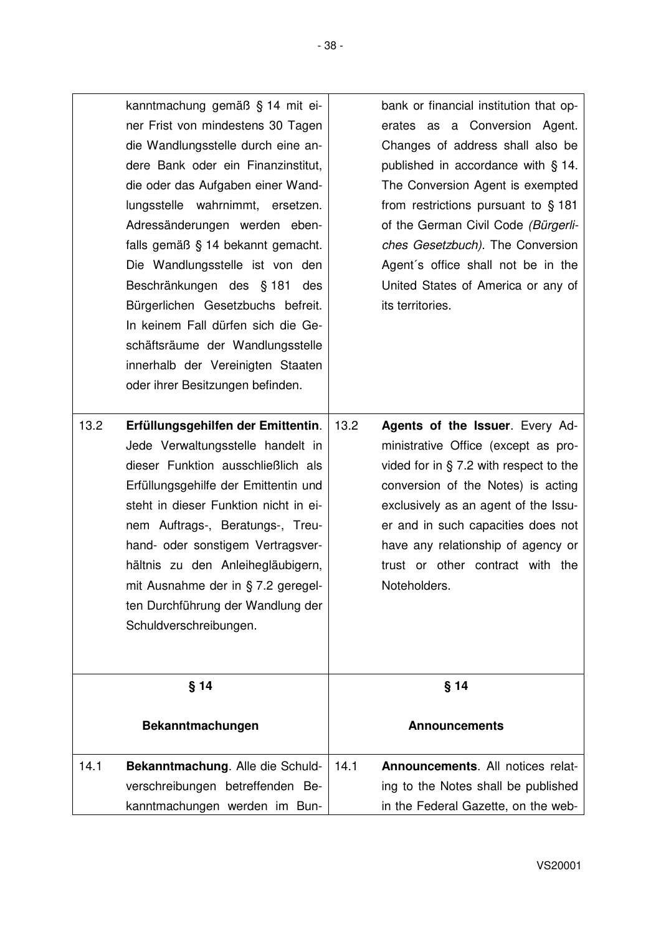|      | kanntmachung gemäß § 14 mit ei-<br>ner Frist von mindestens 30 Tagen<br>die Wandlungsstelle durch eine an-<br>dere Bank oder ein Finanzinstitut,<br>die oder das Aufgaben einer Wand-<br>lungsstelle wahrnimmt, ersetzen.<br>Adressänderungen werden eben-<br>falls gemäß § 14 bekannt gemacht.<br>Die Wandlungsstelle ist von den<br>Beschränkungen des § 181 des<br>Bürgerlichen Gesetzbuchs befreit.<br>In keinem Fall dürfen sich die Ge-<br>schäftsräume der Wandlungsstelle<br>innerhalb der Vereinigten Staaten<br>oder ihrer Besitzungen befinden. |      | bank or financial institution that op-<br>erates as a Conversion Agent.<br>Changes of address shall also be<br>published in accordance with § 14.<br>The Conversion Agent is exempted<br>from restrictions pursuant to $§$ 181<br>of the German Civil Code (Bürgerli-<br>ches Gesetzbuch). The Conversion<br>Agent's office shall not be in the<br>United States of America or any of<br>its territories. |
|------|------------------------------------------------------------------------------------------------------------------------------------------------------------------------------------------------------------------------------------------------------------------------------------------------------------------------------------------------------------------------------------------------------------------------------------------------------------------------------------------------------------------------------------------------------------|------|-----------------------------------------------------------------------------------------------------------------------------------------------------------------------------------------------------------------------------------------------------------------------------------------------------------------------------------------------------------------------------------------------------------|
| 13.2 | Erfüllungsgehilfen der Emittentin.<br>Jede Verwaltungsstelle handelt in<br>dieser Funktion ausschließlich als<br>Erfüllungsgehilfe der Emittentin und<br>steht in dieser Funktion nicht in ei-<br>nem Auftrags-, Beratungs-, Treu-<br>hand- oder sonstigem Vertragsver-<br>hältnis zu den Anleihegläubigern,<br>mit Ausnahme der in § 7.2 geregel-<br>ten Durchführung der Wandlung der<br>Schuldverschreibungen.                                                                                                                                          | 13.2 | Agents of the Issuer. Every Ad-<br>ministrative Office (except as pro-<br>vided for in $\S$ 7.2 with respect to the<br>conversion of the Notes) is acting<br>exclusively as an agent of the Issu-<br>er and in such capacities does not<br>have any relationship of agency or<br>trust or other contract with the<br>Noteholders.                                                                         |
|      | $§$ 14<br>Bekanntmachungen                                                                                                                                                                                                                                                                                                                                                                                                                                                                                                                                 |      | $§$ 14<br><b>Announcements</b>                                                                                                                                                                                                                                                                                                                                                                            |
| 14.1 | Bekanntmachung. Alle die Schuld-<br>verschreibungen betreffenden Be-<br>kanntmachungen werden im Bun-                                                                                                                                                                                                                                                                                                                                                                                                                                                      | 14.1 | Announcements. All notices relat-<br>ing to the Notes shall be published<br>in the Federal Gazette, on the web-                                                                                                                                                                                                                                                                                           |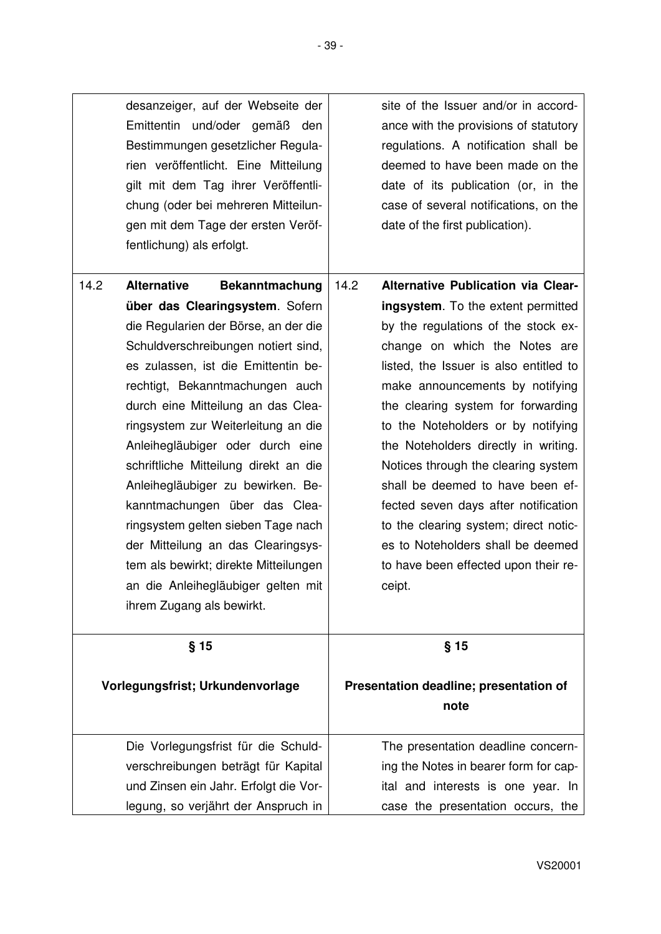|      | desanzeiger, auf der Webseite der<br>Emittentin und/oder gemäß den<br>Bestimmungen gesetzlicher Regula-<br>rien veröffentlicht. Eine Mitteilung<br>gilt mit dem Tag ihrer Veröffentli-<br>chung (oder bei mehreren Mitteilun-<br>gen mit dem Tage der ersten Veröf-<br>fentlichung) als erfolgt.                                                                                                                                                                                                                                                                                                                                                                | site of the Issuer and/or in accord-<br>ance with the provisions of statutory<br>regulations. A notification shall be<br>deemed to have been made on the<br>date of its publication (or, in the<br>case of several notifications, on the<br>date of the first publication).                                                                                                                                                                                                                                                                                                                                         |
|------|-----------------------------------------------------------------------------------------------------------------------------------------------------------------------------------------------------------------------------------------------------------------------------------------------------------------------------------------------------------------------------------------------------------------------------------------------------------------------------------------------------------------------------------------------------------------------------------------------------------------------------------------------------------------|---------------------------------------------------------------------------------------------------------------------------------------------------------------------------------------------------------------------------------------------------------------------------------------------------------------------------------------------------------------------------------------------------------------------------------------------------------------------------------------------------------------------------------------------------------------------------------------------------------------------|
| 14.2 | <b>Alternative</b><br><b>Bekanntmachung</b><br>über das Clearingsystem. Sofern<br>die Regularien der Börse, an der die<br>Schuldverschreibungen notiert sind,<br>es zulassen, ist die Emittentin be-<br>rechtigt, Bekanntmachungen auch<br>durch eine Mitteilung an das Clea-<br>ringsystem zur Weiterleitung an die<br>Anleihegläubiger oder durch eine<br>schriftliche Mitteilung direkt an die<br>Anleihegläubiger zu bewirken. Be-<br>kanntmachungen über das Clea-<br>ringsystem gelten sieben Tage nach<br>der Mitteilung an das Clearingsys-<br>tem als bewirkt; direkte Mitteilungen<br>an die Anleihegläubiger gelten mit<br>ihrem Zugang als bewirkt. | 14.2<br><b>Alternative Publication via Clear-</b><br>ingsystem. To the extent permitted<br>by the regulations of the stock ex-<br>change on which the Notes are<br>listed, the Issuer is also entitled to<br>make announcements by notifying<br>the clearing system for forwarding<br>to the Noteholders or by notifying<br>the Noteholders directly in writing.<br>Notices through the clearing system<br>shall be deemed to have been ef-<br>fected seven days after notification<br>to the clearing system; direct notic-<br>es to Noteholders shall be deemed<br>to have been effected upon their re-<br>ceipt. |
|      | $§$ 15<br>Vorlegungsfrist; Urkundenvorlage                                                                                                                                                                                                                                                                                                                                                                                                                                                                                                                                                                                                                      | $§$ 15<br>Presentation deadline; presentation of<br>note                                                                                                                                                                                                                                                                                                                                                                                                                                                                                                                                                            |
|      | Die Vorlegungsfrist für die Schuld-<br>verschreibungen beträgt für Kapital<br>und Zinsen ein Jahr. Erfolgt die Vor-<br>legung, so verjährt der Anspruch in                                                                                                                                                                                                                                                                                                                                                                                                                                                                                                      | The presentation deadline concern-<br>ing the Notes in bearer form for cap-<br>ital and interests is one year. In<br>case the presentation occurs, the                                                                                                                                                                                                                                                                                                                                                                                                                                                              |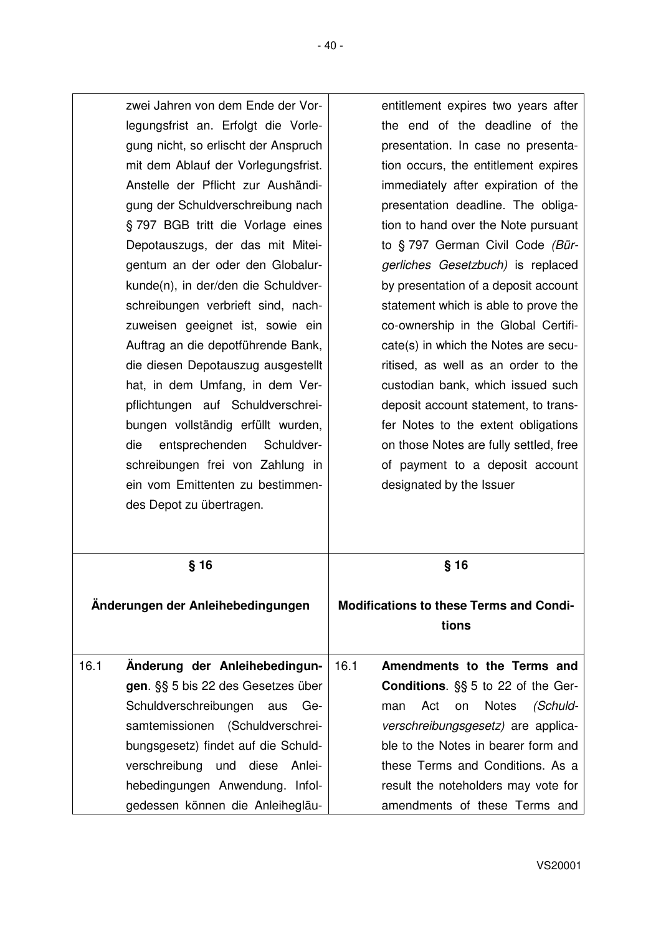| zwei Jahren von dem Ende der Vor-<br>legungsfrist an. Erfolgt die Vorle-<br>gung nicht, so erlischt der Anspruch<br>mit dem Ablauf der Vorlegungsfrist.<br>Anstelle der Pflicht zur Aushändi-<br>gung der Schuldverschreibung nach<br>§ 797 BGB tritt die Vorlage eines<br>Depotauszugs, der das mit Mitei-<br>gentum an der oder den Globalur-<br>kunde(n), in der/den die Schuldver-<br>schreibungen verbrieft sind, nach-<br>zuweisen geeignet ist, sowie ein<br>Auftrag an die depotführende Bank,<br>die diesen Depotauszug ausgestellt<br>hat, in dem Umfang, in dem Ver-<br>pflichtungen auf Schuldverschrei-<br>bungen vollständig erfüllt wurden,<br>Schuldver-<br>die<br>entsprechenden<br>schreibungen frei von Zahlung in<br>ein vom Emittenten zu bestimmen-<br>des Depot zu übertragen. | entitlement expires two years after<br>the end of the deadline of the<br>presentation. In case no presenta-<br>tion occurs, the entitlement expires<br>immediately after expiration of the<br>presentation deadline. The obliga-<br>tion to hand over the Note pursuant<br>to § 797 German Civil Code (Bür-<br>gerliches Gesetzbuch) is replaced<br>by presentation of a deposit account<br>statement which is able to prove the<br>co-ownership in the Global Certifi-<br>cate(s) in which the Notes are secu-<br>ritised, as well as an order to the<br>custodian bank, which issued such<br>deposit account statement, to trans-<br>fer Notes to the extent obligations<br>on those Notes are fully settled, free<br>of payment to a deposit account<br>designated by the Issuer |
|-------------------------------------------------------------------------------------------------------------------------------------------------------------------------------------------------------------------------------------------------------------------------------------------------------------------------------------------------------------------------------------------------------------------------------------------------------------------------------------------------------------------------------------------------------------------------------------------------------------------------------------------------------------------------------------------------------------------------------------------------------------------------------------------------------|-------------------------------------------------------------------------------------------------------------------------------------------------------------------------------------------------------------------------------------------------------------------------------------------------------------------------------------------------------------------------------------------------------------------------------------------------------------------------------------------------------------------------------------------------------------------------------------------------------------------------------------------------------------------------------------------------------------------------------------------------------------------------------------|
| $§$ 16                                                                                                                                                                                                                                                                                                                                                                                                                                                                                                                                                                                                                                                                                                                                                                                                | § 16                                                                                                                                                                                                                                                                                                                                                                                                                                                                                                                                                                                                                                                                                                                                                                                |
| Änderungen der Anleihebedingungen                                                                                                                                                                                                                                                                                                                                                                                                                                                                                                                                                                                                                                                                                                                                                                     | <b>Modifications to these Terms and Condi-</b><br>tions                                                                                                                                                                                                                                                                                                                                                                                                                                                                                                                                                                                                                                                                                                                             |
| 16.1<br>Änderung der Anleihebedingun-<br>gen. §§ 5 bis 22 des Gesetzes über<br>Schuldverschreibungen<br>aus<br>Ge-<br>samtemissionen (Schuldverschrei-<br>bungsgesetz) findet auf die Schuld-<br>verschreibung<br>und diese<br>Anlei-<br>hebedingungen Anwendung. Infol-                                                                                                                                                                                                                                                                                                                                                                                                                                                                                                                              | 16.1<br>Amendments to the Terms and<br>Conditions. §§ 5 to 22 of the Ger-<br><b>Notes</b><br>Act<br>on<br>(Schuld-<br>man<br>verschreibungsgesetz) are applica-<br>ble to the Notes in bearer form and<br>these Terms and Conditions. As a<br>result the noteholders may vote for                                                                                                                                                                                                                                                                                                                                                                                                                                                                                                   |

gedessen können die Anleihegläu-

amendments of these Terms and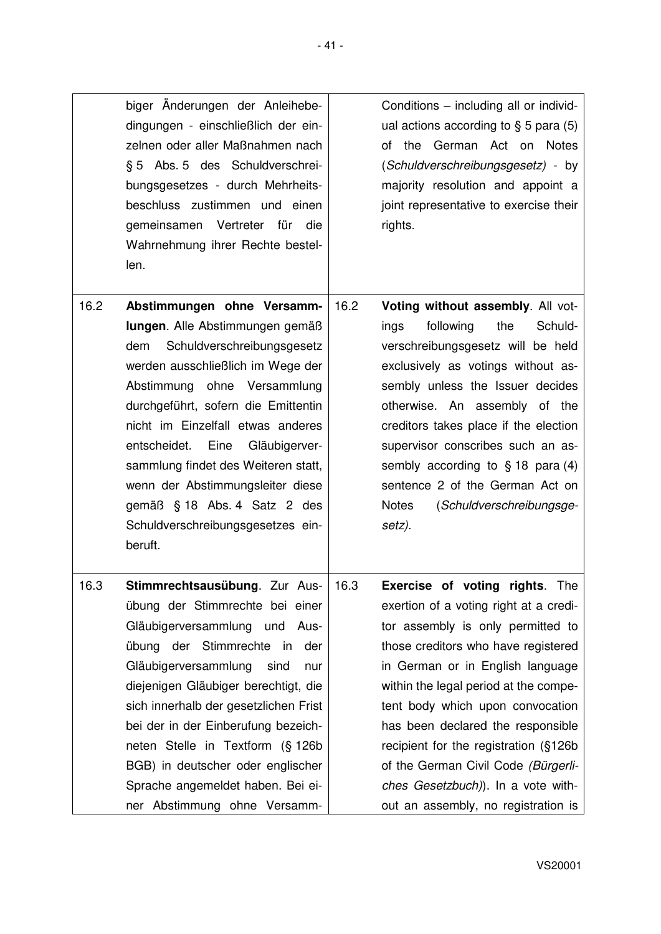| biger Änderungen der Anleihebe-     | Conditions - including all or individ-   |
|-------------------------------------|------------------------------------------|
| dingungen - einschließlich der ein- | ual actions according to $\S$ 5 para (5) |
| zelnen oder aller Maßnahmen nach    | of the German Act on Notes               |
| § 5 Abs. 5 des Schuldverschrei-     | (Schuldverschreibungsgesetz) - by        |
| bungsgesetzes - durch Mehrheits-    | majority resolution and appoint a        |
| beschluss zustimmen und einen       | joint representative to exercise their   |
| gemeinsamen Vertreter für die       | rights.                                  |
| Wahrnehmung ihrer Rechte bestel-    |                                          |
| len.                                |                                          |

16.2 **Abstimmungen ohne Versammlungen**. Alle Abstimmungen gemäß dem Schuldverschreibungsgesetz werden ausschließlich im Wege der Abstimmung ohne Versammlung durchgeführt, sofern die Emittentin nicht im Einzelfall etwas anderes entscheidet. Eine Gläubigerversammlung findet des Weiteren statt, wenn der Abstimmungsleiter diese gemäß § 18 Abs. 4 Satz 2 des Schuldverschreibungsgesetzes einberuft. 16.2 **Voting without assembly**. All votings following the Schuldverschreibungsgesetz will be held exclusively as votings without assembly unless the Issuer decides otherwise. An assembly of the creditors takes place if the election supervisor conscribes such an assembly according to § 18 para (4) sentence 2 of the German Act on Notes (*Schuldverschreibungsgesetz).* 16.3 **Stimmrechtsausübung**. Zur Ausübung der Stimmrechte bei einer Gläubigerversammlung und Ausübung der Stimmrechte in der Gläubigerversammlung sind nur diejenigen Gläubiger berechtigt, die 16.3 **Exercise of voting rights**. The exertion of a voting right at a creditor assembly is only permitted to those creditors who have registered in German or in English language within the legal period at the compe-

> sich innerhalb der gesetzlichen Frist bei der in der Einberufung bezeichneten Stelle in Textform (§ 126b BGB) in deutscher oder englischer Sprache angemeldet haben. Bei einer Abstimmung ohne Versamm

tent body which upon convocation has been declared the responsible recipient for the registration (§126b of the German Civil Code *(Bürgerliches Gesetzbuch)*). In a vote without an assembly, no registration is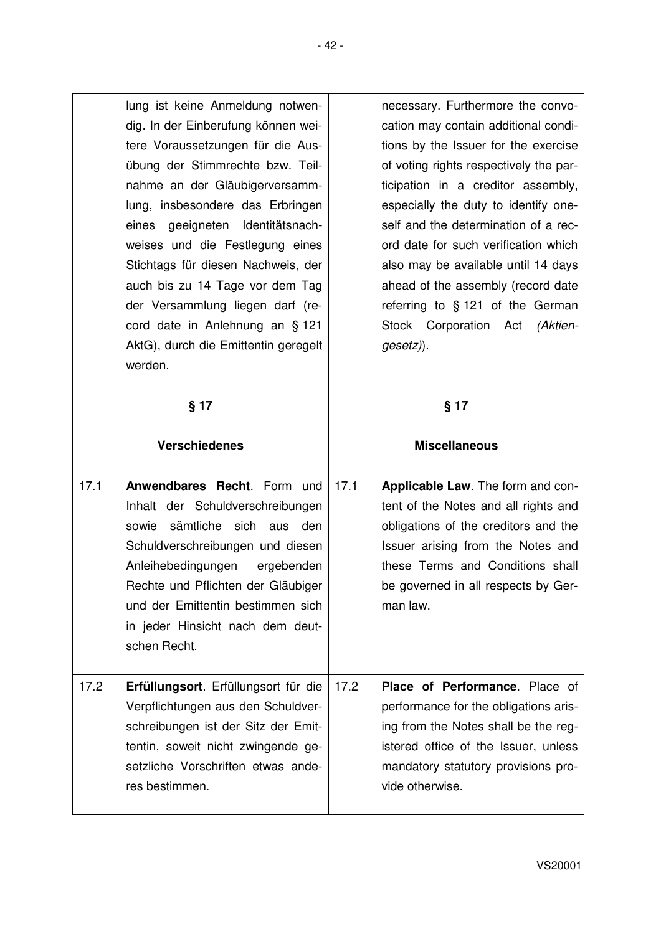|      | lung ist keine Anmeldung notwen-<br>dig. In der Einberufung können wei-<br>tere Voraussetzungen für die Aus-<br>übung der Stimmrechte bzw. Teil-<br>nahme an der Gläubigerversamm-<br>lung, insbesondere das Erbringen<br>geeigneten Identitätsnach-<br>eines<br>weises und die Festlegung eines<br>Stichtags für diesen Nachweis, der<br>auch bis zu 14 Tage vor dem Tag<br>der Versammlung liegen darf (re-<br>cord date in Anlehnung an § 121<br>AktG), durch die Emittentin geregelt<br>werden. | necessary. Furthermore the convo-<br>cation may contain additional condi-<br>tions by the Issuer for the exercise<br>of voting rights respectively the par-<br>ticipation in a creditor assembly,<br>especially the duty to identify one-<br>self and the determination of a rec-<br>ord date for such verification which<br>also may be available until 14 days<br>ahead of the assembly (record date<br>referring to § 121 of the German<br>Stock Corporation Act (Aktien-<br>gesetz)). |  |
|------|-----------------------------------------------------------------------------------------------------------------------------------------------------------------------------------------------------------------------------------------------------------------------------------------------------------------------------------------------------------------------------------------------------------------------------------------------------------------------------------------------------|-------------------------------------------------------------------------------------------------------------------------------------------------------------------------------------------------------------------------------------------------------------------------------------------------------------------------------------------------------------------------------------------------------------------------------------------------------------------------------------------|--|
|      | $§$ 17                                                                                                                                                                                                                                                                                                                                                                                                                                                                                              | § 17                                                                                                                                                                                                                                                                                                                                                                                                                                                                                      |  |
|      |                                                                                                                                                                                                                                                                                                                                                                                                                                                                                                     | <b>Miscellaneous</b>                                                                                                                                                                                                                                                                                                                                                                                                                                                                      |  |
|      | <b>Verschiedenes</b>                                                                                                                                                                                                                                                                                                                                                                                                                                                                                |                                                                                                                                                                                                                                                                                                                                                                                                                                                                                           |  |
|      |                                                                                                                                                                                                                                                                                                                                                                                                                                                                                                     |                                                                                                                                                                                                                                                                                                                                                                                                                                                                                           |  |
| 17.1 | Anwendbares Recht. Form und<br>Inhalt der Schuldverschreibungen<br>sämtliche sich aus den<br>sowie<br>Schuldverschreibungen und diesen<br>Anleihebedingungen<br>ergebenden<br>Rechte und Pflichten der Gläubiger<br>und der Emittentin bestimmen sich<br>in jeder Hinsicht nach dem deut-<br>schen Recht.                                                                                                                                                                                           | 17.1<br>Applicable Law. The form and con-<br>tent of the Notes and all rights and<br>obligations of the creditors and the<br>Issuer arising from the Notes and<br>these Terms and Conditions shall<br>be governed in all respects by Ger-<br>man law.                                                                                                                                                                                                                                     |  |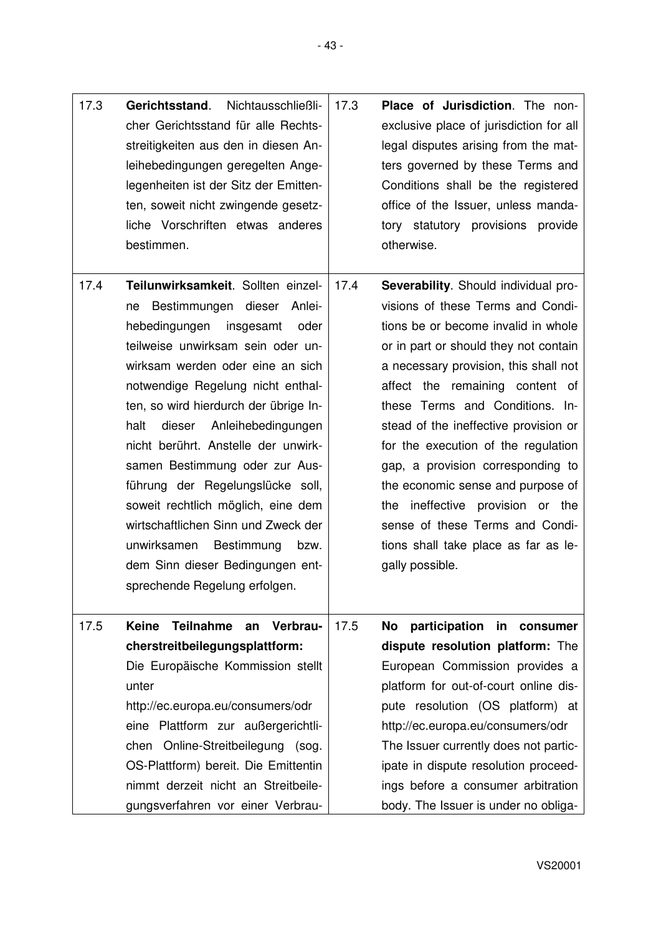| 17.3 | Gerichtsstand.<br>Nichtausschließli-<br>cher Gerichtsstand für alle Rechts-<br>streitigkeiten aus den in diesen An- | 17.3 | Place of Jurisdiction. The non-<br>exclusive place of jurisdiction for all<br>legal disputes arising from the mat- |
|------|---------------------------------------------------------------------------------------------------------------------|------|--------------------------------------------------------------------------------------------------------------------|
|      | leihebedingungen geregelten Ange-                                                                                   |      | ters governed by these Terms and                                                                                   |
|      | legenheiten ist der Sitz der Emitten-                                                                               |      | Conditions shall be the registered                                                                                 |
|      | ten, soweit nicht zwingende gesetz-                                                                                 |      | office of the Issuer, unless manda-                                                                                |
|      | liche Vorschriften etwas anderes                                                                                    |      | tory statutory provisions provide                                                                                  |
|      | bestimmen.                                                                                                          |      | otherwise.                                                                                                         |
| 17.4 | Teilunwirksamkeit. Sollten einzel-                                                                                  | 17.4 | Severability. Should individual pro-                                                                               |
|      | Bestimmungen dieser Anlei-<br>ne                                                                                    |      | visions of these Terms and Condi-                                                                                  |
|      | hebedingungen<br>insgesamt<br>oder                                                                                  |      | tions be or become invalid in whole                                                                                |
|      | teilweise unwirksam sein oder un-                                                                                   |      | or in part or should they not contain                                                                              |
|      | wirksam werden oder eine an sich                                                                                    |      | a necessary provision, this shall not                                                                              |
|      | notwendige Regelung nicht enthal-                                                                                   |      | affect the remaining content of                                                                                    |
|      | ten, so wird hierdurch der übrige In-                                                                               |      | these Terms and Conditions. In-                                                                                    |
|      | Anleihebedingungen<br>halt<br>dieser                                                                                |      | stead of the ineffective provision or                                                                              |
|      | nicht berührt. Anstelle der unwirk-                                                                                 |      | for the execution of the regulation                                                                                |
|      | samen Bestimmung oder zur Aus-                                                                                      |      | gap, a provision corresponding to                                                                                  |
|      | führung der Regelungslücke soll,                                                                                    |      | the economic sense and purpose of                                                                                  |
|      | soweit rechtlich möglich, eine dem                                                                                  |      | the ineffective provision or the                                                                                   |
|      | wirtschaftlichen Sinn und Zweck der                                                                                 |      | sense of these Terms and Condi-                                                                                    |
|      | unwirksamen<br>Bestimmung<br>bzw.                                                                                   |      | tions shall take place as far as le-                                                                               |
|      | dem Sinn dieser Bedingungen ent-                                                                                    |      | gally possible.                                                                                                    |
|      | sprechende Regelung erfolgen.                                                                                       |      |                                                                                                                    |
| 17.5 | <b>Teilnahme</b><br>Verbrau-<br><b>Keine</b><br>an                                                                  | 17.5 | participation in<br>No<br>consumer                                                                                 |
|      | cherstreitbeilegungsplattform:                                                                                      |      | dispute resolution platform: The                                                                                   |
|      | Die Europäische Kommission stellt                                                                                   |      | European Commission provides a                                                                                     |
|      | unter                                                                                                               |      | platform for out-of-court online dis-                                                                              |
|      | http://ec.europa.eu/consumers/odr                                                                                   |      | pute resolution (OS platform) at                                                                                   |
|      | eine Plattform zur außergerichtli-                                                                                  |      | http://ec.europa.eu/consumers/odr                                                                                  |
|      | chen Online-Streitbeilegung (sog.                                                                                   |      | The Issuer currently does not partic-                                                                              |
|      | OS-Plattform) bereit. Die Emittentin                                                                                |      | ipate in dispute resolution proceed-                                                                               |
|      | nimmt derzeit nicht an Streitbeile-                                                                                 |      | ings before a consumer arbitration                                                                                 |
|      | gungsverfahren vor einer Verbrau-                                                                                   |      | body. The Issuer is under no obliga-                                                                               |